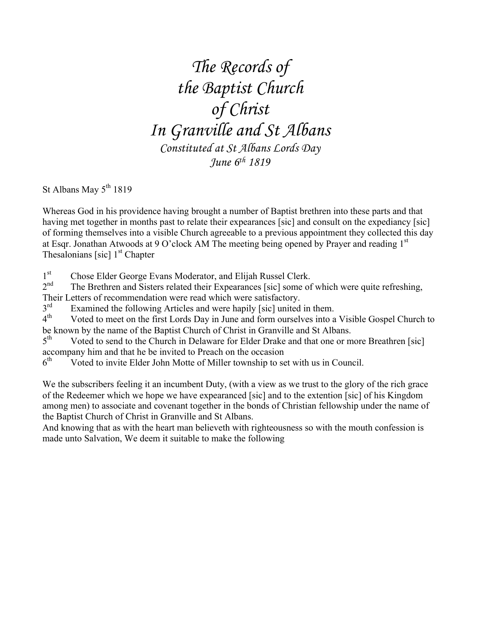*The Records of the Baptist Church of Christ In Granville and St Albans Constituted at St Albans Lords Day June 6th 1819*

St Albans May  $5<sup>th</sup> 1819$ 

Whereas God in his providence having brought a number of Baptist brethren into these parts and that having met together in months past to relate their expearances [sic] and consult on the expediancy [sic] of forming themselves into a visible Church agreeable to a previous appointment they collected this day at Esqr. Jonathan Atwoods at 9 O'clock AM The meeting being opened by Prayer and reading 1st Thesalonians [sic]  $1<sup>st</sup> Chapter$ 

 $1<sup>st</sup>$ <sub>2</sub>nd Chose Elder George Evans Moderator, and Elijah Russel Clerk.

The Brethren and Sisters related their Expearances [sic] some of which were quite refreshing, Their Letters of recommendation were read which were satisfactory.<br>3<sup>rd</sup> Examined the following Articles and were hanily [sic] united

 $3<sup>rd</sup>$  Examined the following Articles and were hapily [sic] united in them.<br> $4<sup>th</sup>$  Voted to meet on the first Lords Day in June and form ourselves into a

Voted to meet on the first Lords Day in June and form ourselves into a Visible Gospel Church to be known by the name of the Baptist Church of Christ in Granville and St Albans.

5<sup>th</sup> Voted to send to the Church in Delaware for Elder Drake and that one or more Breathren [sic] accompany him and that he be invited to Preach on the occasion

 $6<sup>th</sup>$  Voted to invite Elder John Motte of Miller township to set with us in Council.

We the subscribers feeling it an incumbent Duty, (with a view as we trust to the glory of the rich grace of the Redeemer which we hope we have expearanced [sic] and to the extention [sic] of his Kingdom among men) to associate and covenant together in the bonds of Christian fellowship under the name of the Baptist Church of Christ in Granville and St Albans.

And knowing that as with the heart man believeth with righteousness so with the mouth confession is made unto Salvation, We deem it suitable to make the following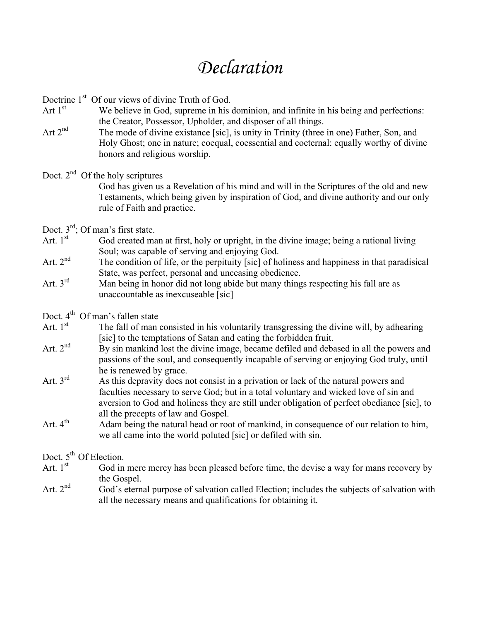## *Declaration*

Doctrine 1<sup>st</sup> Of our views of divine Truth of God.

- Art  $1<sup>st</sup>$  We believe in God, supreme in his dominion, and infinite in his being and perfections: the Creator, Possessor, Upholder, and disposer of all things.
- Art 2<sup>nd</sup> The mode of divine existance [sic], is unity in Trinity (three in one) Father, Son, and Holy Ghost; one in nature; coequal, coessential and coeternal: equally worthy of divine honors and religious worship.

## Doct.  $2<sup>nd</sup>$  Of the holy scriptures

God has given us a Revelation of his mind and will in the Scriptures of the old and new Testaments, which being given by inspiration of God, and divine authority and our only rule of Faith and practice.

- Doct.  $3^{\text{rd}}$ ; Of man's first state.<br>Art  $1^{\text{st}}$  God created ma
- God created man at first, holy or upright, in the divine image; being a rational living Soul; was capable of serving and enjoying God.
- Art.  $2^{nd}$  The condition of life, or the perpituity [sic] of holiness and happiness in that paradisical State, was perfect, personal and unceasing obedience.
- Art.  $3<sup>rd</sup>$  Man being in honor did not long abide but many things respecting his fall are as unaccountable as inexcuseable [sic]
- Doct. 4<sup>th</sup> Of man's fallen state
- Art.  $1<sup>st</sup>$  The fall of man consisted in his voluntarily transgressing the divine will, by adhearing [sic] to the temptations of Satan and eating the forbidden fruit.
- Art.  $2<sup>nd</sup>$  By sin mankind lost the divine image, became defiled and debased in all the powers and passions of the soul, and consequently incapable of serving or enjoying God truly, until he is renewed by grace.
- Art.  $3<sup>rd</sup>$  As this depravity does not consist in a privation or lack of the natural powers and faculties necessary to serve God; but in a total voluntary and wicked love of sin and aversion to God and holiness they are still under obligation of perfect obediance [sic], to all the precepts of law and Gospel.
- Art.  $4<sup>th</sup>$  Adam being the natural head or root of mankind, in consequence of our relation to him, we all came into the world poluted [sic] or defiled with sin.

Doct.  $5^{th}$  Of Election.<br>Art  $1^{st}$  God in

- God in mere mercy has been pleased before time, the devise a way for mans recovery by the Gospel.
- Art.  $2<sup>nd</sup>$  God's eternal purpose of salvation called Election; includes the subjects of salvation with all the necessary means and qualifications for obtaining it.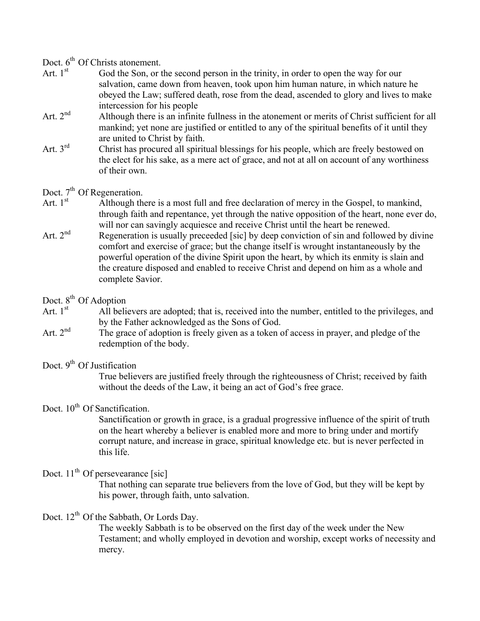# Doct.  $6^{th}$  Of Christs atonement.<br>Art  $1^{st}$  God the Son or 1

- God the Son, or the second person in the trinity, in order to open the way for our salvation, came down from heaven, took upon him human nature, in which nature he obeyed the Law; suffered death, rose from the dead, ascended to glory and lives to make intercession for his people
- Art. 2<sup>nd</sup> Although there is an infinite fullness in the atonement or merits of Christ sufficient for all mankind; yet none are justified or entitled to any of the spiritual benefits of it until they are united to Christ by faith.
- Art. 3<sup>rd</sup> Christ has procured all spiritual blessings for his people, which are freely bestowed on the elect for his sake, as a mere act of grace, and not at all on account of any worthiness of their own.

# Doct.  $7^{th}$  Of Regeneration.<br>Art. 1<sup>st</sup> Although the

- Although there is a most full and free declaration of mercy in the Gospel, to mankind, through faith and repentance, yet through the native opposition of the heart, none ever do, will nor can savingly acquiesce and receive Christ until the heart be renewed.
- Art.  $2^{nd}$  Regeneration is usually preceeded [sic] by deep conviction of sin and followed by divine comfort and exercise of grace; but the change itself is wrought instantaneously by the powerful operation of the divine Spirit upon the heart, by which its enmity is slain and the creature disposed and enabled to receive Christ and depend on him as a whole and complete Savior.

# Doct.  $8^{th}$  Of Adoption<br>Art.  $1^{st}$  All beli

- All believers are adopted; that is, received into the number, entitled to the privileges, and by the Father acknowledged as the Sons of God.
- Art.  $2<sup>nd</sup>$  The grace of adoption is freely given as a token of access in prayer, and pledge of the redemption of the body.

## Doct. 9<sup>th</sup> Of Justification

True believers are justified freely through the righteousness of Christ; received by faith without the deeds of the Law, it being an act of God's free grace.

### Doct. 10<sup>th</sup> Of Sanctification.

Sanctification or growth in grace, is a gradual progressive influence of the spirit of truth on the heart whereby a believer is enabled more and more to bring under and mortify corrupt nature, and increase in grace, spiritual knowledge etc. but is never perfected in this life.

## Doct.  $11<sup>th</sup>$  Of persevearance [sic]

That nothing can separate true believers from the love of God, but they will be kept by his power, through faith, unto salvation.

### Doct.  $12<sup>th</sup>$  Of the Sabbath, Or Lords Day.

The weekly Sabbath is to be observed on the first day of the week under the New Testament; and wholly employed in devotion and worship, except works of necessity and mercy.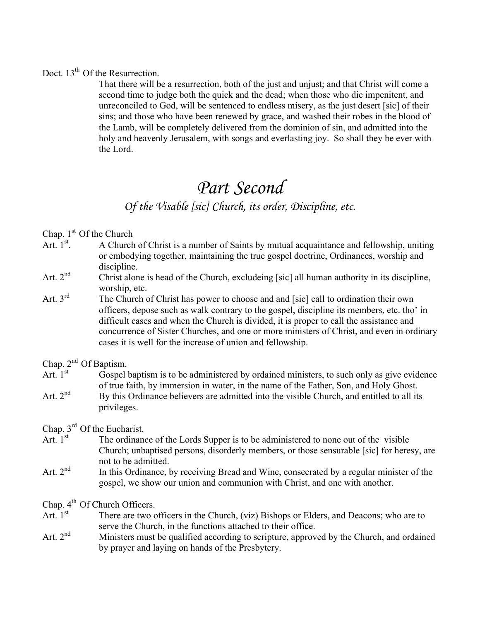### Doct. 13<sup>th</sup> Of the Resurrection.

That there will be a resurrection, both of the just and unjust; and that Christ will come a second time to judge both the quick and the dead; when those who die impenitent, and unreconciled to God, will be sentenced to endless misery, as the just desert [sic] of their sins; and those who have been renewed by grace, and washed their robes in the blood of the Lamb, will be completely delivered from the dominion of sin, and admitted into the holy and heavenly Jerusalem, with songs and everlasting joy. So shall they be ever with the Lord.

## *Part Second*

## *Of the Visable [sic] Church, its order, Discipline, etc.*

Chap.  $1<sup>st</sup>$  Of the Church

- Art $\int$ <sup>st</sup> . A Church of Christ is a number of Saints by mutual acquaintance and fellowship, uniting or embodying together, maintaining the true gospel doctrine, Ordinances, worship and discipline.
- Art.  $2<sup>nd</sup>$  Christ alone is head of the Church, excludeing [sic] all human authority in its discipline, worship, etc.
- Art. 3<sup>rd</sup> The Church of Christ has power to choose and and [sic] call to ordination their own officers, depose such as walk contrary to the gospel, discipline its members, etc. tho' in difficult cases and when the Church is divided, it is proper to call the assistance and concurrence of Sister Churches, and one or more ministers of Christ, and even in ordinary cases it is well for the increase of union and fellowship.

Chap.  $2^{nd}$  Of Baptism.<br>Art  $1^{st}$  Gospel

Gospel baptism is to be administered by ordained ministers, to such only as give evidence of true faith, by immersion in water, in the name of the Father, Son, and Holy Ghost. Art.  $2<sup>nd</sup>$  By this Ordinance believers are admitted into the visible Church, and entitled to all its privileges.

Chap.  $3^{\text{rd}}$  Of the Eucharist.<br>Art  $1^{\text{st}}$  The ordinance

- The ordinance of the Lords Supper is to be administered to none out of the visible Church; unbaptised persons, disorderly members, or those sensurable [sic] for heresy, are not to be admitted.
- Art.  $2<sup>nd</sup>$  In this Ordinance, by receiving Bread and Wine, consecrated by a regular minister of the gospel, we show our union and communion with Christ, and one with another.

Chap.  $4^{th}$  Of Church Officers.<br>Art.  $1^{st}$  There are two o

- There are two officers in the Church, (viz) Bishops or Elders, and Deacons; who are to serve the Church, in the functions attached to their office.
- Art. 2<sup>nd</sup> Ministers must be qualified according to scripture, approved by the Church, and ordained by prayer and laying on hands of the Presbytery.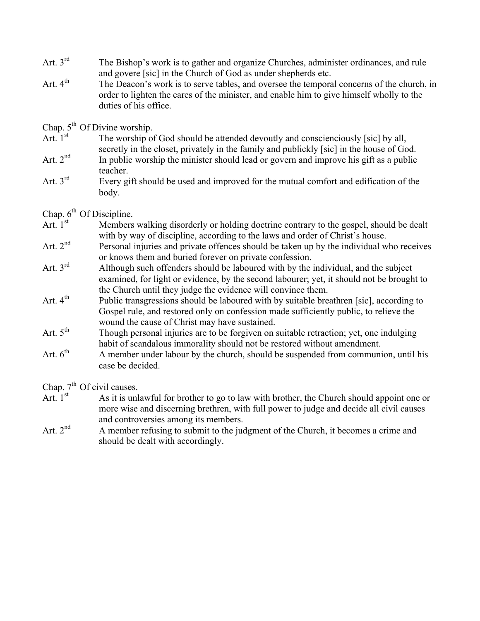- Art. 3<sup>rd</sup> The Bishop's work is to gather and organize Churches, administer ordinances, and rule and govere [sic] in the Church of God as under shepherds etc.
- Art. 4<sup>th</sup> The Deacon's work is to serve tables, and oversee the temporal concerns of the church, in order to lighten the cares of the minister, and enable him to give himself wholly to the duties of his office.

Chap.  $5<sup>th</sup>$  Of Divine worship.

- Art.  $1<sup>st</sup>$  The worship of God should be attended devoutly and conscienciously [sic] by all, secretly in the closet, privately in the family and publickly [sic] in the house of God.
- Art.  $2<sup>nd</sup>$  In public worship the minister should lead or govern and improve his gift as a public teacher.
- Art.  $3<sup>rd</sup>$  Every gift should be used and improved for the mutual comfort and edification of the body.

# Chap.  $6^{th}$  Of Discipline.<br>Art. 1<sup>st</sup> Members

- Members walking disorderly or holding doctrine contrary to the gospel, should be dealt with by way of discipline, according to the laws and order of Christ's house.
- Art.  $2<sup>nd</sup>$  Personal injuries and private offences should be taken up by the individual who receives or knows them and buried forever on private confession.
- Art.  $3<sup>rd</sup>$  Although such offenders should be laboured with by the individual, and the subject examined, for light or evidence, by the second labourer; yet, it should not be brought to the Church until they judge the evidence will convince them.
- Art. 4<sup>th</sup> Public transgressions should be laboured with by suitable breathren [sic], according to Gospel rule, and restored only on confession made sufficiently public, to relieve the wound the cause of Christ may have sustained.
- Art.  $5<sup>th</sup>$  Though personal injuries are to be forgiven on suitable retraction; yet, one indulging habit of scandalous immorality should not be restored without amendment.
- Art.  $6<sup>th</sup>$  A member under labour by the church, should be suspended from communion, until his case be decided.

Chap.  $7^{th}$  Of civil causes.<br>Art. 1<sup>st</sup> As it is unl

- As it is unlawful for brother to go to law with brother, the Church should appoint one or more wise and discerning brethren, with full power to judge and decide all civil causes and controversies among its members.
- Art.  $2^{nd}$  A member refusing to submit to the judgment of the Church, it becomes a crime and should be dealt with accordingly.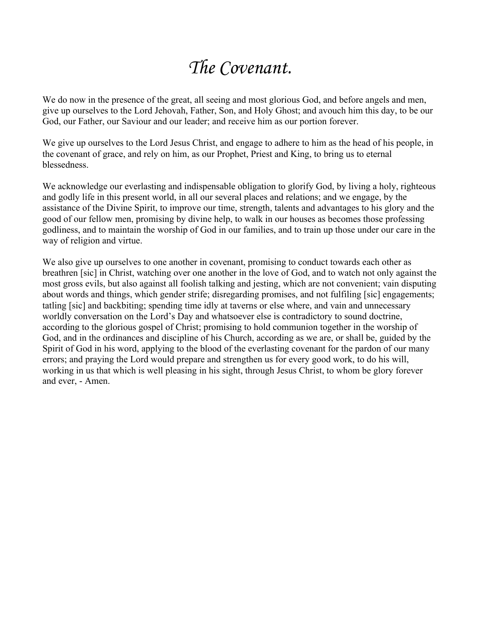# *The Covenant.*

We do now in the presence of the great, all seeing and most glorious God, and before angels and men, give up ourselves to the Lord Jehovah, Father, Son, and Holy Ghost; and avouch him this day, to be our God, our Father, our Saviour and our leader; and receive him as our portion forever.

We give up ourselves to the Lord Jesus Christ, and engage to adhere to him as the head of his people, in the covenant of grace, and rely on him, as our Prophet, Priest and King, to bring us to eternal blessedness.

We acknowledge our everlasting and indispensable obligation to glorify God, by living a holy, righteous and godly life in this present world, in all our several places and relations; and we engage, by the assistance of the Divine Spirit, to improve our time, strength, talents and advantages to his glory and the good of our fellow men, promising by divine help, to walk in our houses as becomes those professing godliness, and to maintain the worship of God in our families, and to train up those under our care in the way of religion and virtue.

We also give up ourselves to one another in covenant, promising to conduct towards each other as breathren [sic] in Christ, watching over one another in the love of God, and to watch not only against the most gross evils, but also against all foolish talking and jesting, which are not convenient; vain disputing about words and things, which gender strife; disregarding promises, and not fulfiling [sic] engagements; tatling [sic] and backbiting; spending time idly at taverns or else where, and vain and unnecessary worldly conversation on the Lord's Day and whatsoever else is contradictory to sound doctrine, according to the glorious gospel of Christ; promising to hold communion together in the worship of God, and in the ordinances and discipline of his Church, according as we are, or shall be, guided by the Spirit of God in his word, applying to the blood of the everlasting covenant for the pardon of our many errors; and praying the Lord would prepare and strengthen us for every good work, to do his will, working in us that which is well pleasing in his sight, through Jesus Christ, to whom be glory forever and ever, - Amen.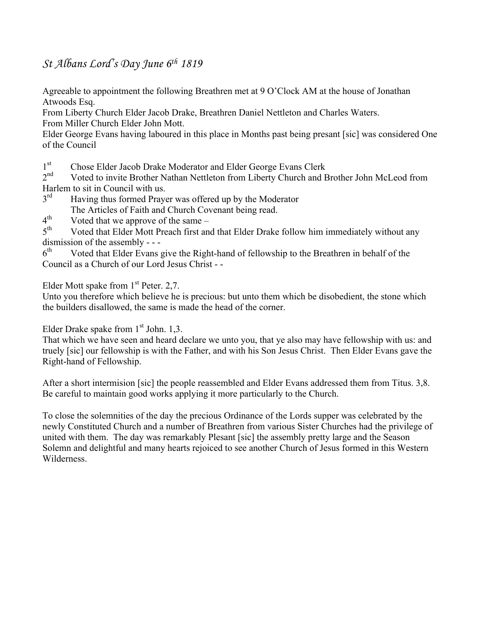## *St Albans Lord's Day June 6th 1819*

Agreeable to appointment the following Breathren met at 9 O'Clock AM at the house of Jonathan Atwoods Esq.

From Liberty Church Elder Jacob Drake, Breathren Daniel Nettleton and Charles Waters. From Miller Church Elder John Mott.

Elder George Evans having laboured in this place in Months past being presant [sic] was considered One of the Council

1<sup>st</sup> Chose Elder Jacob Drake Moderator and Elder George Evans Clerk

2<sup>nd</sup> Voted to invite Brother Nathan Nettleton from Liberty Church and Brother John McLeod from Harlem to sit in Council with us.<br> $3<sup>rd</sup>$  Having thus formed Praye

- Having thus formed Prayer was offered up by the Moderator The Articles of Faith and Church Covenant being read.
- $4<sup>th</sup>$  Voted that we approve of the same –<br> $5<sup>th</sup>$  Voted that Elder Mott Preach first and

Voted that Elder Mott Preach first and that Elder Drake follow him immediately without any dismission of the assembly - - -<br> $6^{\text{th}}$  Voted that Elder Evans

Voted that Elder Evans give the Right-hand of fellowship to the Breathren in behalf of the Council as a Church of our Lord Jesus Christ - -

Elder Mott spake from  $1<sup>st</sup>$  Peter. 2,7.

Unto you therefore which believe he is precious: but unto them which be disobedient, the stone which the builders disallowed, the same is made the head of the corner.

Elder Drake spake from  $1<sup>st</sup>$  John. 1,3.

That which we have seen and heard declare we unto you, that ye also may have fellowship with us: and truely [sic] our fellowship is with the Father, and with his Son Jesus Christ. Then Elder Evans gave the Right-hand of Fellowship.

After a short intermision [sic] the people reassembled and Elder Evans addressed them from Titus. 3,8. Be careful to maintain good works applying it more particularly to the Church.

To close the solemnities of the day the precious Ordinance of the Lords supper was celebrated by the newly Constituted Church and a number of Breathren from various Sister Churches had the privilege of united with them. The day was remarkably Plesant [sic] the assembly pretty large and the Season Solemn and delightful and many hearts rejoiced to see another Church of Jesus formed in this Western Wilderness.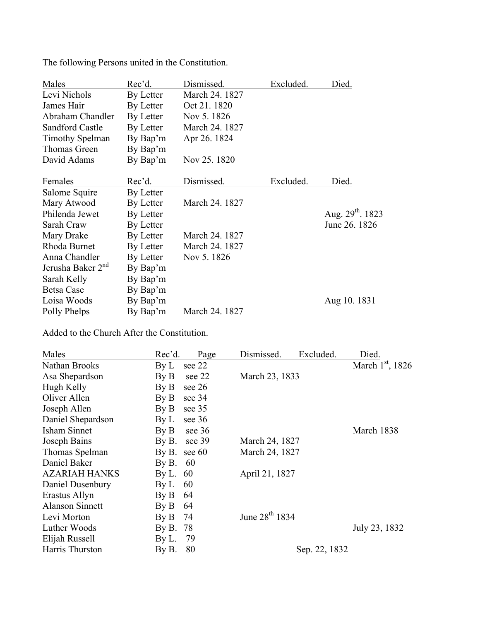| Males                         | Rec'd.    | Dismissed.     | Excluded. | Died.                 |
|-------------------------------|-----------|----------------|-----------|-----------------------|
| Levi Nichols                  | By Letter | March 24, 1827 |           |                       |
| James Hair                    | By Letter | Oct 21.1820    |           |                       |
| Abraham Chandler              | By Letter | Nov 5.1826     |           |                       |
| Sandford Castle               | By Letter | March 24. 1827 |           |                       |
| <b>Timothy Spelman</b>        | By Bap'm  | Apr 26. 1824   |           |                       |
| Thomas Green                  | By Bap'm  |                |           |                       |
| David Adams                   | By Bap'm  | Nov 25. 1820   |           |                       |
| Females                       | Rec'd.    | Dismissed.     | Excluded. | Died.                 |
| Salome Squire                 | By Letter |                |           |                       |
| Mary Atwood                   | By Letter | March 24, 1827 |           |                       |
| Philenda Jewet                | By Letter |                |           | Aug. $29^{th}$ . 1823 |
| Sarah Craw                    | By Letter |                |           | June 26, 1826         |
| Mary Drake                    | By Letter | March 24, 1827 |           |                       |
| Rhoda Burnet                  | By Letter | March 24, 1827 |           |                       |
| Anna Chandler                 | By Letter | Nov 5.1826     |           |                       |
| Jerusha Baker 2 <sup>nd</sup> | By Bap'm  |                |           |                       |
| Sarah Kelly                   | By Bap'm  |                |           |                       |
| <b>Betsa Case</b>             | By Bap'm  |                |           |                       |
| Loisa Woods                   | By Bap'm  |                |           | Aug 10. 1831          |
| Polly Phelps                  | By Bap'm  | March 24. 1827 |           |                       |

The following Persons united in the Constitution.

Added to the Church After the Constitution.

| Males                  | Rec'd.                             | Page   | Dismissed.                 | Excluded.     | Died.              |
|------------------------|------------------------------------|--------|----------------------------|---------------|--------------------|
| Nathan Brooks          | By L                               | see 22 |                            |               | March $1st$ , 1826 |
| Asa Shepardson         | $\mathbf{B} \mathbf{v} \mathbf{B}$ | see 22 | March 23, 1833             |               |                    |
| Hugh Kelly             | By B                               | see 26 |                            |               |                    |
| Oliver Allen           | $\mathbf{B} \mathbf{v} \mathbf{B}$ | see 34 |                            |               |                    |
| Joseph Allen           | $\mathbf{B} \mathbf{v} \mathbf{B}$ | see 35 |                            |               |                    |
| Daniel Shepardson      | $\rm By \, L$                      | see 36 |                            |               |                    |
| Isham Sinnet           | $\rm By B$                         | see 36 |                            |               | March 1838         |
| Joseph Bains           | By B.                              | see 39 | March 24, 1827             |               |                    |
| Thomas Spelman         | By B.                              | see 60 | March 24, 1827             |               |                    |
| Daniel Baker           | By B.                              | 60     |                            |               |                    |
| <b>AZARIAH HANKS</b>   | By L. $60$                         |        | April 21, 1827             |               |                    |
| Daniel Dusenbury       | $\rm By \, L$                      | 60     |                            |               |                    |
| Erastus Allyn          | By B                               | 64     |                            |               |                    |
| <b>Alanson Sinnett</b> | $\rm By B$                         | 64     |                            |               |                    |
| Levi Morton            | By B                               | 74     | June 28 <sup>th</sup> 1834 |               |                    |
| Luther Woods           | By B.                              | 78     |                            |               | July 23, 1832      |
| Elijah Russell         | By L.                              | 79     |                            |               |                    |
| Harris Thurston        | By B.                              | 80     |                            | Sep. 22, 1832 |                    |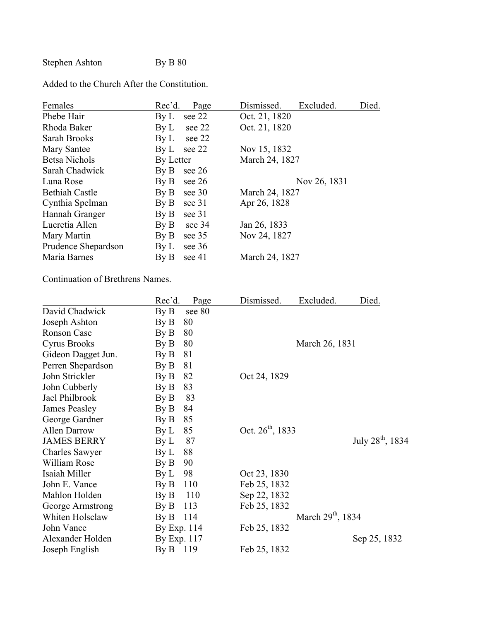Stephen Ashton By B 80

Added to the Church After the Constitution.

| Females               | Rec'd.                             | Page        | Dismissed.     | Excluded.    | Died. |
|-----------------------|------------------------------------|-------------|----------------|--------------|-------|
| Phebe Hair            | $\rm By \, L$                      | see 22      | Oct. 21, 1820  |              |       |
| Rhoda Baker           | $\rm{By}$ $\rm{L}$                 | see 22      | Oct. 21, 1820  |              |       |
| Sarah Brooks          | $\rm By\,L$                        | see 22      |                |              |       |
| Mary Santee           |                                    | By L see 22 | Nov 15, 1832   |              |       |
| <b>Betsa Nichols</b>  | By Letter                          |             | March 24, 1827 |              |       |
| Sarah Chadwick        | $\rm{By}$ $\rm{B}$                 | see 26      |                |              |       |
| Luna Rose             | By B                               | see 26      |                | Nov 26, 1831 |       |
| <b>Bethiah Castle</b> |                                    | By B see 30 | March 24, 1827 |              |       |
| Cynthia Spelman       | By B                               | see 31      | Apr 26, 1828   |              |       |
| Hannah Granger        | $\rm By~B$                         | see 31      |                |              |       |
| Lucretia Allen        | $\rm By~B$                         | see 34      | Jan 26, 1833   |              |       |
| Mary Martin           | By B                               | see 35      | Nov 24, 1827   |              |       |
| Prudence Shepardson   | $\rm By L$                         | see 36      |                |              |       |
| Maria Barnes          | $\mathbf{B} \mathbf{v} \mathbf{B}$ | see 41      | March 24, 1827 |              |       |
|                       |                                    |             |                |              |       |

Continuation of Brethrens Names.

|                      | Rec'd.                             | Page   | Dismissed.            | Excluded.              | Died.                        |
|----------------------|------------------------------------|--------|-----------------------|------------------------|------------------------------|
| David Chadwick       | $\mathbf{By}\,\mathbf{B}$          | see 80 |                       |                        |                              |
| Joseph Ashton        | By B                               | 80     |                       |                        |                              |
| Ronson Case          | $\mathbf{B} \mathbf{y} \mathbf{B}$ | 80     |                       |                        |                              |
| <b>Cyrus Brooks</b>  | By B                               | 80     |                       | March 26, 1831         |                              |
| Gideon Dagget Jun.   | $\rm By B$                         | 81     |                       |                        |                              |
| Perren Shepardson    | By B                               | 81     |                       |                        |                              |
| John Strickler       | By B                               | 82     | Oct 24, 1829          |                        |                              |
| John Cubberly        | $\rm By B$                         | 83     |                       |                        |                              |
| Jael Philbrook       | By B                               | 83     |                       |                        |                              |
| <b>James Peasley</b> | By B                               | 84     |                       |                        |                              |
| George Gardner       | By B                               | 85     |                       |                        |                              |
| <b>Allen Darrow</b>  | By L                               | 85     | Oct. $26^{th}$ , 1833 |                        |                              |
| <b>JAMES BERRY</b>   | By L                               | 87     |                       |                        | July 28 <sup>th</sup> , 1834 |
| Charles Sawyer       | $\rm By\,L$                        | 88     |                       |                        |                              |
| William Rose         | By B                               | 90     |                       |                        |                              |
| Isaiah Miller        | $\rm By\,L$                        | 98     | Oct 23, 1830          |                        |                              |
| John E. Vance        | By B                               | 110    | Feb 25, 1832          |                        |                              |
| Mahlon Holden        | $\mathbf{B} \mathbf{v} \mathbf{B}$ | 110    | Sep 22, 1832          |                        |                              |
| George Armstrong     | $\rm By B$                         | 113    | Feb 25, 1832          |                        |                              |
| Whiten Holsclaw      | By B                               | 114    |                       | March $29^{th}$ , 1834 |                              |
| John Vance           | By Exp. 114                        |        | Feb 25, 1832          |                        |                              |
| Alexander Holden     | By Exp. 117                        |        |                       |                        | Sep 25, 1832                 |
| Joseph English       | By B 119                           |        | Feb 25, 1832          |                        |                              |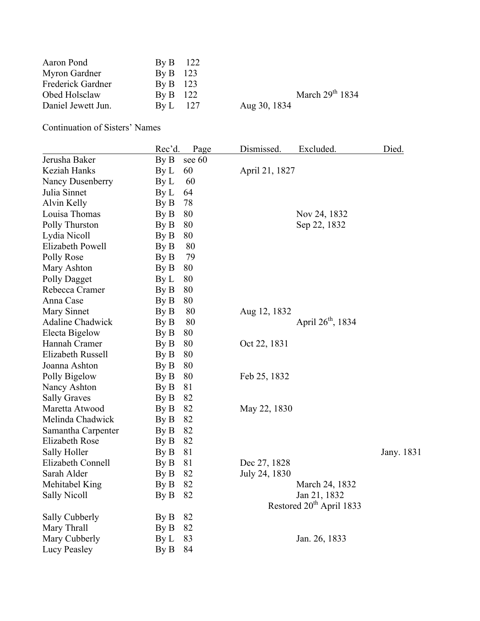| Aaron Pond         | By B 122   |                   |
|--------------------|------------|-------------------|
| Myron Gardner      | By B $123$ |                   |
| Frederick Gardner  | By B $123$ |                   |
| Obed Holsclaw      | By B 122   | March $29th 1834$ |
| Daniel Jewett Jun. | $BvL$ 127  | Aug 30, 1834      |

Continuation of Sisters' Names

|                         | Rec'd. | Page   | Dismissed.     | Excluded.                            | Died.      |
|-------------------------|--------|--------|----------------|--------------------------------------|------------|
| Jerusha Baker           | By B   | see 60 |                |                                      |            |
| Keziah Hanks            | By L   | 60     | April 21, 1827 |                                      |            |
| Nancy Dusenberry        | By L   | 60     |                |                                      |            |
| Julia Sinnet            | By L   | 64     |                |                                      |            |
| Alvin Kelly             | By B   | 78     |                |                                      |            |
| Louisa Thomas           | By B   | 80     |                | Nov 24, 1832                         |            |
| Polly Thurston          | By B   | 80     |                | Sep 22, 1832                         |            |
| Lydia Nicoll            | By B   | 80     |                |                                      |            |
| Elizabeth Powell        | By B   | 80     |                |                                      |            |
| Polly Rose              | By B   | 79     |                |                                      |            |
| Mary Ashton             | By B   | 80     |                |                                      |            |
| Polly Dagget            | By L   | 80     |                |                                      |            |
| Rebecca Cramer          | By B   | 80     |                |                                      |            |
| Anna Case               | By B   | 80     |                |                                      |            |
| Mary Sinnet             | By B   | 80     | Aug 12, 1832   |                                      |            |
| <b>Adaline Chadwick</b> | By B   | 80     |                | April $26^{th}$ , 1834               |            |
| Electa Bigelow          | By B   | 80     |                |                                      |            |
| Hannah Cramer           | By B   | 80     | Oct 22, 1831   |                                      |            |
| Elizabeth Russell       | By B   | 80     |                |                                      |            |
| Joanna Ashton           | By B   | 80     |                |                                      |            |
| Polly Bigelow           | By B   | 80     | Feb 25, 1832   |                                      |            |
| Nancy Ashton            | By B   | 81     |                |                                      |            |
| <b>Sally Graves</b>     | By B   | 82     |                |                                      |            |
| Maretta Atwood          | By B   | 82     | May 22, 1830   |                                      |            |
| Melinda Chadwick        | By B   | 82     |                |                                      |            |
| Samantha Carpenter      | By B   | 82     |                |                                      |            |
| <b>Elizabeth Rose</b>   | By B   | 82     |                |                                      |            |
| Sally Holler            | By B   | 81     |                |                                      | Jany. 1831 |
| Elizabeth Connell       | By B   | 81     | Dec 27, 1828   |                                      |            |
| Sarah Alder             | By B   | 82     | July 24, 1830  |                                      |            |
| Mehitabel King          | By B   | 82     |                | March 24, 1832                       |            |
| <b>Sally Nicoll</b>     | By B   | 82     |                | Jan 21, 1832                         |            |
|                         |        |        |                | Restored 20 <sup>th</sup> April 1833 |            |
| Sally Cubberly          | By B   | 82     |                |                                      |            |
| Mary Thrall             | By B   | 82     |                |                                      |            |
| Mary Cubberly           | By L   | 83     |                | Jan. 26, 1833                        |            |
| <b>Lucy Peasley</b>     | By B   | 84     |                |                                      |            |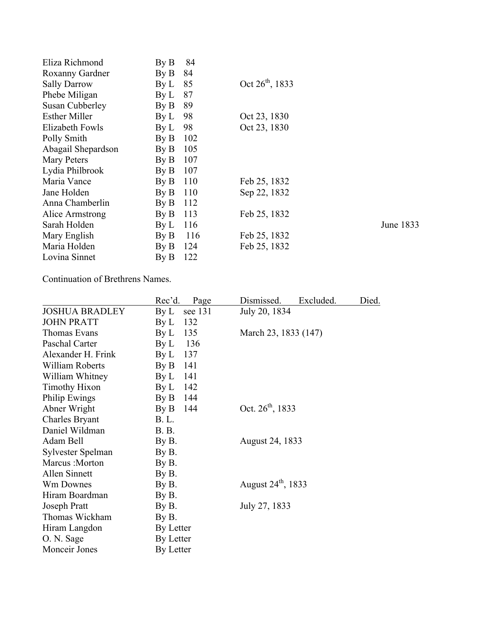| Eliza Richmond       | By B                               | 84  |                      |           |
|----------------------|------------------------------------|-----|----------------------|-----------|
| Roxanny Gardner      | $\mathbf{B} \mathbf{y} \mathbf{B}$ | 84  |                      |           |
| <b>Sally Darrow</b>  | $\rm By\,L$                        | 85  | Oct $26^{th}$ , 1833 |           |
| Phebe Miligan        | $\rm By \, L$                      | 87  |                      |           |
| Susan Cubberley      | $\rm By B$                         | 89  |                      |           |
| <b>Esther Miller</b> | $\rm By \, L$                      | 98  | Oct 23, 1830         |           |
| Elizabeth Fowls      | $\rm By \, L$                      | 98  | Oct 23, 1830         |           |
| Polly Smith          | $\rm By B$                         | 102 |                      |           |
| Abagail Shepardson   | $\rm By B$                         | 105 |                      |           |
| Mary Peters          | $\rm By B$                         | 107 |                      |           |
| Lydia Philbrook      | $\mathbf{By}\,\mathbf{B}$          | 107 |                      |           |
| Maria Vance          | $\rm By B$                         | 110 | Feb 25, 1832         |           |
| Jane Holden          | $\mathbf{B} \mathbf{v} \mathbf{B}$ | 110 | Sep 22, 1832         |           |
| Anna Chamberlin      | $\rm By B$                         | 112 |                      |           |
| Alice Armstrong      | $\rm By B$                         | 113 | Feb 25, 1832         |           |
| Sarah Holden         | $\rm By \, L$                      | 116 |                      | June 1833 |
| Mary English         | $\rm{By}$ $\rm{B}$                 | 116 | Feb 25, 1832         |           |
| Maria Holden         | $\rm By B$                         | 124 | Feb 25, 1832         |           |
| Lovina Sinnet        | $\rm{By}$ $\rm{B}$                 | 122 |                      |           |
|                      |                                    |     |                      |           |

Continuation of Brethrens Names.

|                        | Rec'd.                             | Page    | Dismissed.                     | Excluded. | Died. |
|------------------------|------------------------------------|---------|--------------------------------|-----------|-------|
| <b>JOSHUA BRADLEY</b>  | $\rm By \, L$                      | see 131 | July 20, 1834                  |           |       |
| <b>JOHN PRATT</b>      | $\rm By \, L$                      | 132     |                                |           |       |
| Thomas Evans           | $\rm By \, L$                      | 135     | March 23, 1833 (147)           |           |       |
| Paschal Carter         | $\rm By \, L$                      | 136     |                                |           |       |
| Alexander H. Frink     | $\rm By \, L$                      | 137     |                                |           |       |
| <b>William Roberts</b> | By B                               | 141     |                                |           |       |
| William Whitney        | $\rm By \, L$                      | 141     |                                |           |       |
| <b>Timothy Hixon</b>   | $\rm By \, L$                      | 142     |                                |           |       |
| Philip Ewings          | By B                               | 144     |                                |           |       |
| Abner Wright           | $\mathbf{B} \mathbf{y} \mathbf{B}$ | 144     | Oct. $26^{th}$ , 1833          |           |       |
| <b>Charles Bryant</b>  | <b>B.L.</b>                        |         |                                |           |       |
| Daniel Wildman         | <b>B.</b> B.                       |         |                                |           |       |
| Adam Bell              | By B.                              |         | August 24, 1833                |           |       |
| Sylvester Spelman      | By B.                              |         |                                |           |       |
| Marcus: Morton         | By B.                              |         |                                |           |       |
| Allen Sinnett          | By B.                              |         |                                |           |       |
| Wm Downes              | By B.                              |         | August 24 <sup>th</sup> , 1833 |           |       |
| Hiram Boardman         | By B.                              |         |                                |           |       |
| Joseph Pratt           | By B.                              |         | July 27, 1833                  |           |       |
| Thomas Wickham         | By B.                              |         |                                |           |       |
| Hiram Langdon          | By Letter                          |         |                                |           |       |
| O. N. Sage             | By Letter                          |         |                                |           |       |
| Monceir Jones          | By Letter                          |         |                                |           |       |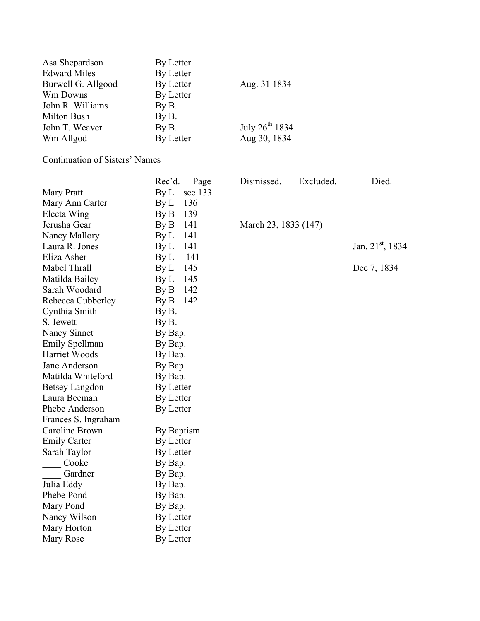| Asa Shepardson      | By Letter |                            |
|---------------------|-----------|----------------------------|
| <b>Edward Miles</b> | By Letter |                            |
| Burwell G. Allgood  | By Letter | Aug. 31 1834               |
| Wm Downs            | By Letter |                            |
| John R. Williams    | By B.     |                            |
| Milton Bush         | By B.     |                            |
| John T. Weaver      | By B.     | July 26 <sup>th</sup> 1834 |
| Wm Allgod           | By Letter | Aug 30, 1834               |

Continuation of Sisters' Names

|                       | Rec'd.<br>Page         | Dismissed.           | Excluded. | Died.                 |
|-----------------------|------------------------|----------------------|-----------|-----------------------|
| Mary Pratt            | $\rm By\,L$<br>see 133 |                      |           |                       |
| Mary Ann Carter       | 136<br>By L            |                      |           |                       |
| Electa Wing           | 139<br>By B            |                      |           |                       |
| Jerusha Gear          | 141<br>By B            | March 23, 1833 (147) |           |                       |
| Nancy Mallory         | 141<br>$\rm By\,L$     |                      |           |                       |
| Laura R. Jones        | 141<br>By L            |                      |           | Jan. $21^{st}$ , 1834 |
| Eliza Asher           | 141<br>By L            |                      |           |                       |
| Mabel Thrall          | 145<br>By L            |                      |           | Dec 7, 1834           |
| Matilda Bailey        | 145<br>By L            |                      |           |                       |
| Sarah Woodard         | 142<br>By B            |                      |           |                       |
| Rebecca Cubberley     | 142<br>By B            |                      |           |                       |
| Cynthia Smith         | By B.                  |                      |           |                       |
| S. Jewett             | By B.                  |                      |           |                       |
| Nancy Sinnet          | By Bap.                |                      |           |                       |
| Emily Spellman        | By Bap.                |                      |           |                       |
| Harriet Woods         | By Bap.                |                      |           |                       |
| Jane Anderson         | By Bap.                |                      |           |                       |
| Matilda Whiteford     | By Bap.                |                      |           |                       |
| <b>Betsey Langdon</b> | By Letter              |                      |           |                       |
| Laura Beeman          | By Letter              |                      |           |                       |
| Phebe Anderson        | By Letter              |                      |           |                       |
| Frances S. Ingraham   |                        |                      |           |                       |
| Caroline Brown        | By Baptism             |                      |           |                       |
| <b>Emily Carter</b>   | By Letter              |                      |           |                       |
| Sarah Taylor          | By Letter              |                      |           |                       |
| Cooke                 | By Bap.                |                      |           |                       |
| Gardner               | By Bap.                |                      |           |                       |
| Julia Eddy            | By Bap.                |                      |           |                       |
| Phebe Pond            | By Bap.                |                      |           |                       |
| Mary Pond             | By Bap.                |                      |           |                       |
| Nancy Wilson          | By Letter              |                      |           |                       |
| Mary Horton           | By Letter              |                      |           |                       |
| Mary Rose             | By Letter              |                      |           |                       |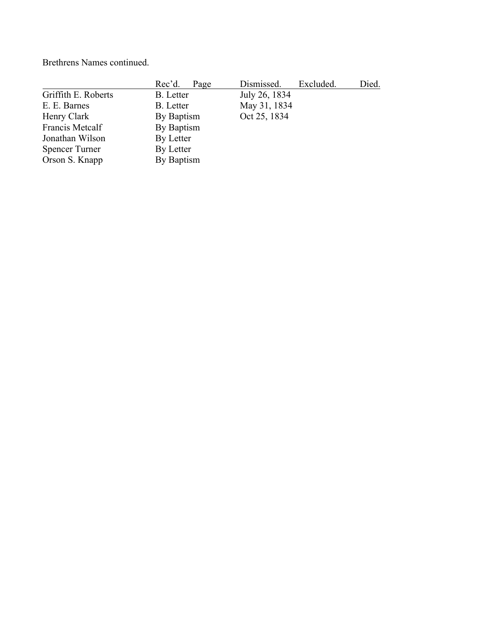Brethrens Names continued.

|                       | Rec'd.<br>Page | Dismissed.<br>Excluded. | Died. |
|-----------------------|----------------|-------------------------|-------|
| Griffith E. Roberts   | B. Letter      | July 26, 1834           |       |
| E. E. Barnes          | B. Letter      | May 31, 1834            |       |
| Henry Clark           | By Baptism     | Oct 25, 1834            |       |
| Francis Metcalf       | By Baptism     |                         |       |
| Jonathan Wilson       | By Letter      |                         |       |
| <b>Spencer Turner</b> | By Letter      |                         |       |
| Orson S. Knapp        | By Baptism     |                         |       |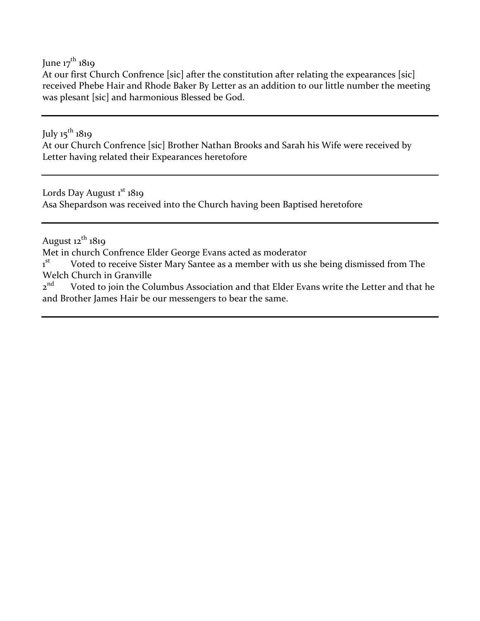June  $17^{th}$  1819

At our first Church Confrence [sic] after the constitution after relating the expearances [sic] received Phebe Hair and Rhode Baker By Letter as an addition to our little number the meeting was plesant [sic] and harmonious Blessed be God.

July  $15^{th}$  1819

At our Church Confrence [sic] Brother Nathan Brooks and Sarah his Wife were received by Letter having related their Expearances heretofore

Lords Day August 1<sup>st</sup> 1819 Asa Shepardson was received into the Church having been Baptised heretofore

August  $12^{th}$  1819

Met in church Confrence Elder George Evans acted as moderator

 $1<sup>st</sup>$ Voted to receive Sister Mary Santee as a member with us she being dismissed from The Welch Church in Granville<br> $z<sup>nd</sup>$  Voted to join the Co

Voted to join the Columbus Association and that Elder Evans write the Letter and that he and Brother James Hair be our messengers to bear the same.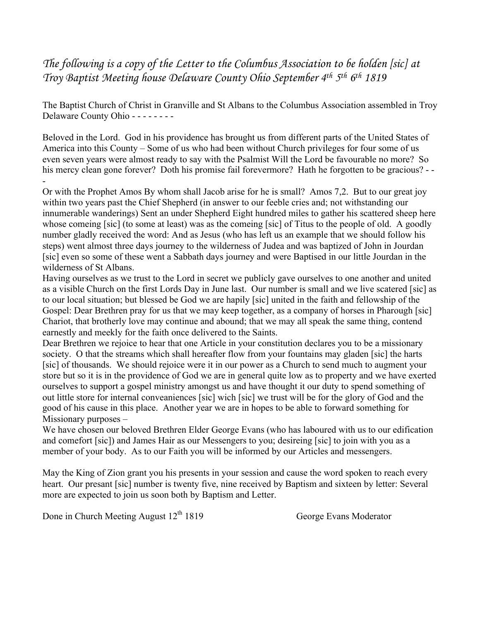*The following is a copy of the Letter to the Columbus Association to be holden [sic] at Troy Baptist Meeting house Delaware County Ohio September 4th 5th 6th 1819*

The Baptist Church of Christ in Granville and St Albans to the Columbus Association assembled in Troy Delaware County Ohio - - - - - - - -

Beloved in the Lord. God in his providence has brought us from different parts of the United States of America into this County – Some of us who had been without Church privileges for four some of us even seven years were almost ready to say with the Psalmist Will the Lord be favourable no more? So his mercy clean gone forever? Doth his promise fail forevermore? Hath he forgotten to be gracious? - --

Or with the Prophet Amos By whom shall Jacob arise for he is small? Amos 7,2. But to our great joy within two years past the Chief Shepherd (in answer to our feeble cries and; not withstanding our innumerable wanderings) Sent an under Shepherd Eight hundred miles to gather his scattered sheep here whose comeing [sic] (to some at least) was as the comeing [sic] of Titus to the people of old. A goodly number gladly received the word: And as Jesus (who has left us an example that we should follow his steps) went almost three days journey to the wilderness of Judea and was baptized of John in Jourdan [sic] even so some of these went a Sabbath days journey and were Baptised in our little Jourdan in the wilderness of St Albans.

Having ourselves as we trust to the Lord in secret we publicly gave ourselves to one another and united as a visible Church on the first Lords Day in June last. Our number is small and we live scatered [sic] as to our local situation; but blessed be God we are hapily [sic] united in the faith and fellowship of the Gospel: Dear Brethren pray for us that we may keep together, as a company of horses in Pharough [sic] Chariot, that brotherly love may continue and abound; that we may all speak the same thing, contend earnestly and meekly for the faith once delivered to the Saints.

Dear Brethren we rejoice to hear that one Article in your constitution declares you to be a missionary society. O that the streams which shall hereafter flow from your fountains may gladen [sic] the harts [sic] of thousands. We should rejoice were it in our power as a Church to send much to augment your store but so it is in the providence of God we are in general quite low as to property and we have exerted ourselves to support a gospel ministry amongst us and have thought it our duty to spend something of out little store for internal conveaniences [sic] wich [sic] we trust will be for the glory of God and the good of his cause in this place. Another year we are in hopes to be able to forward something for Missionary purposes –

We have chosen our beloved Brethren Elder George Evans (who has laboured with us to our edification and comefort [sic]) and James Hair as our Messengers to you; desireing [sic] to join with you as a member of your body. As to our Faith you will be informed by our Articles and messengers.

May the King of Zion grant you his presents in your session and cause the word spoken to reach every heart. Our presant [sic] number is twenty five, nine received by Baptism and sixteen by letter: Several more are expected to join us soon both by Baptism and Letter.

Done in Church Meeting August  $12^{th}$  1819 George Evans Moderator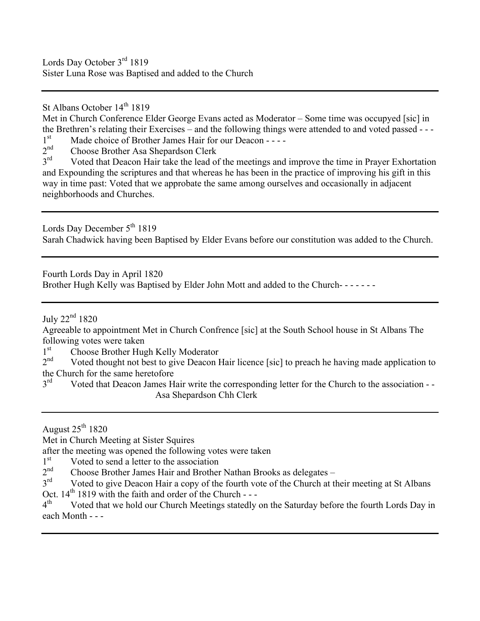Lords Day October 3<sup>rd</sup> 1819 Sister Luna Rose was Baptised and added to the Church

St Albans October 14<sup>th</sup> 1819

Met in Church Conference Elder George Evans acted as Moderator – Some time was occupyed [sic] in the Brethren's relating their Exercises – and the following things were attended to and voted passed - - -  $1<sup>st</sup>$  Made choice of Brother James Hair for our Deacon - - - -

 $1<sup>st</sup>$  Made choice of Brother James Hair for our Deacon - - - -  $2<sup>nd</sup>$  Choose Brother Asa Shenardson Clerk

 $2<sup>nd</sup>$  Choose Brother Asa Shepardson Clerk<br> $3<sup>rd</sup>$  Voted that Deacon Hair take the lead of

Voted that Deacon Hair take the lead of the meetings and improve the time in Prayer Exhortation and Expounding the scriptures and that whereas he has been in the practice of improving his gift in this way in time past: Voted that we approbate the same among ourselves and occasionally in adjacent neighborhoods and Churches.

Lords Day December 5<sup>th</sup> 1819 Sarah Chadwick having been Baptised by Elder Evans before our constitution was added to the Church.

Fourth Lords Day in April 1820

Brother Hugh Kelly was Baptised by Elder John Mott and added to the Church- - - - - - -

July  $22<sup>nd</sup> 1820$ 

Agreeable to appointment Met in Church Confrence [sic] at the South School house in St Albans The following votes were taken

 $1<sup>st</sup>$  Choose Brother Hugh Kelly Moderator<br> $2<sup>nd</sup>$  Voted thought not best to give Deacon I

Voted thought not best to give Deacon Hair licence [sic] to preach he having made application to the Church for the same heretofore  $3<sup>rd</sup>$  Voted that Deacon James H

Voted that Deacon James Hair write the corresponding letter for the Church to the association - -Asa Shepardson Chh Clerk

August  $25<sup>th</sup> 1820$ 

Met in Church Meeting at Sister Squires

after the meeting was opened the following votes were taken

 $1<sup>st</sup>$  Voted to send a letter to the association<br>  $2<sup>nd</sup>$  Choose Brother James Hair and Brother

 $2<sup>nd</sup>$  Choose Brother James Hair and Brother Nathan Brooks as delegates –<br> $3<sup>rd</sup>$  Voted to give Deacon Hair a conv of the fourth vote of the Church at the

Voted to give Deacon Hair a copy of the fourth vote of the Church at their meeting at St Albans Oct.  $14^{th}$  1819 with the faith and order of the Church ---<br> $4^{th}$  Voted that we hold our Church Meetings statedly

Voted that we hold our Church Meetings statedly on the Saturday before the fourth Lords Day in each Month - - -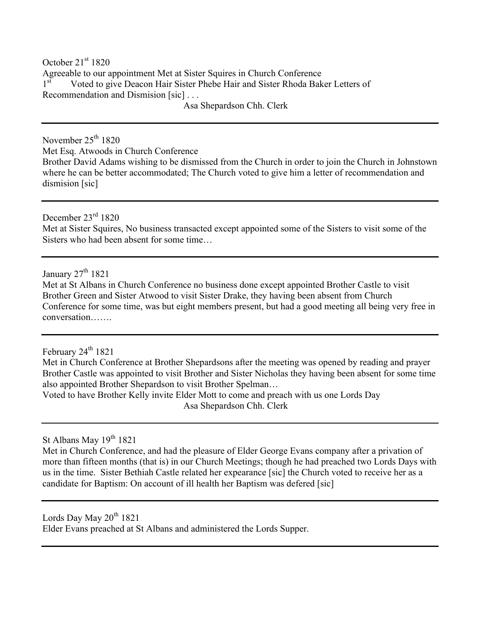October 21<sup>st</sup> 1820 Agreeable to our appointment Met at Sister Squires in Church Conference 1<sup>st</sup> Voted to give Deacon Hair Sister Phebe Hair and Sister Rhoda Baker Letters of Recommendation and Dismision [sic] . . .

Asa Shepardson Chh. Clerk

November  $25<sup>th</sup> 1820$ Met Esq. Atwoods in Church Conference Brother David Adams wishing to be dismissed from the Church in order to join the Church in Johnstown where he can be better accommodated; The Church voted to give him a letter of recommendation and dismision [sic]

December 23rd 1820 Met at Sister Squires, No business transacted except appointed some of the Sisters to visit some of the Sisters who had been absent for some time…

January 27<sup>th</sup> 1821

Met at St Albans in Church Conference no business done except appointed Brother Castle to visit Brother Green and Sister Atwood to visit Sister Drake, they having been absent from Church Conference for some time, was but eight members present, but had a good meeting all being very free in conversation…….

February  $24^{\text{th}}$  1821

Met in Church Conference at Brother Shepardsons after the meeting was opened by reading and prayer Brother Castle was appointed to visit Brother and Sister Nicholas they having been absent for some time also appointed Brother Shepardson to visit Brother Spelman…

Voted to have Brother Kelly invite Elder Mott to come and preach with us one Lords Day Asa Shepardson Chh. Clerk

St Albans May 19<sup>th</sup> 1821

Met in Church Conference, and had the pleasure of Elder George Evans company after a privation of more than fifteen months (that is) in our Church Meetings; though he had preached two Lords Days with us in the time. Sister Bethiah Castle related her expearance [sic] the Church voted to receive her as a candidate for Baptism: On account of ill health her Baptism was defered [sic]

Lords Day May  $20^{th}$  1821 Elder Evans preached at St Albans and administered the Lords Supper.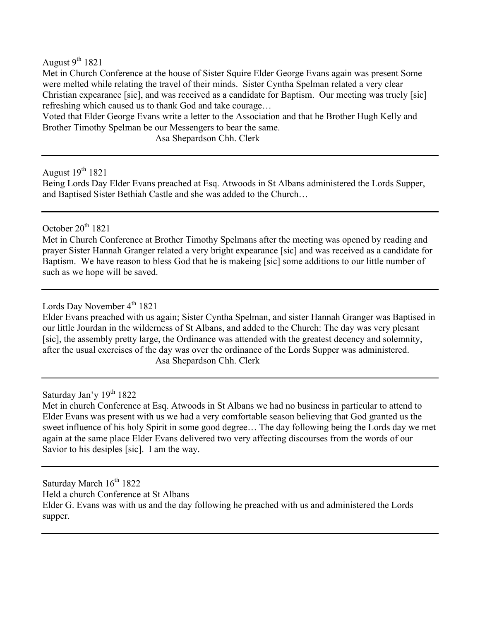August  $9^{th}$  1821

Met in Church Conference at the house of Sister Squire Elder George Evans again was present Some were melted while relating the travel of their minds. Sister Cyntha Spelman related a very clear Christian expearance [sic], and was received as a candidate for Baptism. Our meeting was truely [sic] refreshing which caused us to thank God and take courage…

Voted that Elder George Evans write a letter to the Association and that he Brother Hugh Kelly and Brother Timothy Spelman be our Messengers to bear the same.

Asa Shepardson Chh. Clerk

August  $19^{th}$  1821

Being Lords Day Elder Evans preached at Esq. Atwoods in St Albans administered the Lords Supper, and Baptised Sister Bethiah Castle and she was added to the Church…

#### October  $20^{th}$  1821

Met in Church Conference at Brother Timothy Spelmans after the meeting was opened by reading and prayer Sister Hannah Granger related a very bright expearance [sic] and was received as a candidate for Baptism. We have reason to bless God that he is makeing [sic] some additions to our little number of such as we hope will be saved.

### Lords Day November 4<sup>th</sup> 1821

Elder Evans preached with us again; Sister Cyntha Spelman, and sister Hannah Granger was Baptised in our little Jourdan in the wilderness of St Albans, and added to the Church: The day was very plesant [sic], the assembly pretty large, the Ordinance was attended with the greatest decency and solemnity, after the usual exercises of the day was over the ordinance of the Lords Supper was administered. Asa Shepardson Chh. Clerk

#### Saturday Jan'y  $19<sup>th</sup> 1822$

Met in church Conference at Esq. Atwoods in St Albans we had no business in particular to attend to Elder Evans was present with us we had a very comfortable season believing that God granted us the sweet influence of his holy Spirit in some good degree… The day following being the Lords day we met again at the same place Elder Evans delivered two very affecting discourses from the words of our Savior to his desiples [sic]. I am the way.

Saturday March  $16<sup>th</sup> 1822$ Held a church Conference at St Albans Elder G. Evans was with us and the day following he preached with us and administered the Lords supper.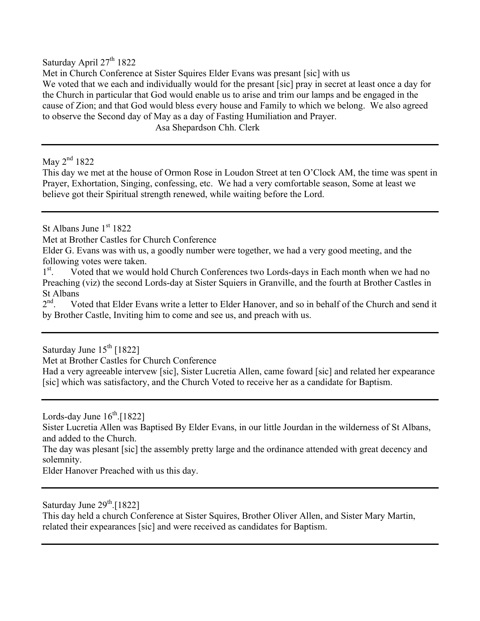Saturday April  $27<sup>th</sup> 1822$ 

Met in Church Conference at Sister Squires Elder Evans was presant [sic] with us We voted that we each and individually would for the presant [sic] pray in secret at least once a day for the Church in particular that God would enable us to arise and trim our lamps and be engaged in the cause of Zion; and that God would bless every house and Family to which we belong. We also agreed to observe the Second day of May as a day of Fasting Humiliation and Prayer.

Asa Shepardson Chh. Clerk

May 2<sup>nd</sup> 1822

This day we met at the house of Ormon Rose in Loudon Street at ten O'Clock AM, the time was spent in Prayer, Exhortation, Singing, confessing, etc. We had a very comfortable season, Some at least we believe got their Spiritual strength renewed, while waiting before the Lord.

St Albans June  $1<sup>st</sup> 1822$ 

Met at Brother Castles for Church Conference

Elder G. Evans was with us, a goodly number were together, we had a very good meeting, and the following votes were taken.

 $1^{\rm st}$ . . Voted that we would hold Church Conferences two Lords-days in Each month when we had no Preaching (viz) the second Lords-day at Sister Squiers in Granville, and the fourth at Brother Castles in St Albans<br> $2^{nd}$  Vc

Voted that Elder Evans write a letter to Elder Hanover, and so in behalf of the Church and send it by Brother Castle, Inviting him to come and see us, and preach with us.

Saturday June  $15^{th}$  [1822]

Met at Brother Castles for Church Conference

Had a very agreeable intervew [sic], Sister Lucretia Allen, came foward [sic] and related her expearance [sic] which was satisfactory, and the Church Voted to receive her as a candidate for Baptism.

Lords-day June  $16^{th}$ . [1822]

Sister Lucretia Allen was Baptised By Elder Evans, in our little Jourdan in the wilderness of St Albans, and added to the Church.

The day was plesant [sic] the assembly pretty large and the ordinance attended with great decency and solemnity.

Elder Hanover Preached with us this day.

Saturday June  $29<sup>th</sup>$ . [1822]

This day held a church Conference at Sister Squires, Brother Oliver Allen, and Sister Mary Martin, related their expearances [sic] and were received as candidates for Baptism.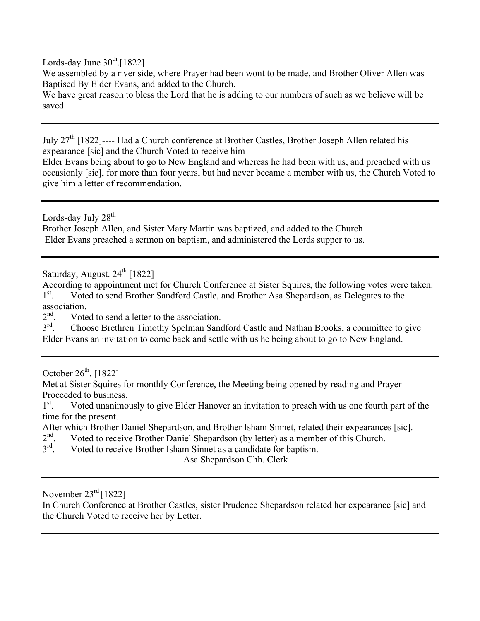Lords-day June  $30^{th}$ .[1822]

We assembled by a river side, where Prayer had been wont to be made, and Brother Oliver Allen was Baptised By Elder Evans, and added to the Church.

We have great reason to bless the Lord that he is adding to our numbers of such as we believe will be saved.

July 27th [1822]---- Had a Church conference at Brother Castles, Brother Joseph Allen related his expearance [sic] and the Church Voted to receive him----

Elder Evans being about to go to New England and whereas he had been with us, and preached with us occasionly [sic], for more than four years, but had never became a member with us, the Church Voted to give him a letter of recommendation.

Lords-day July 28<sup>th</sup> Brother Joseph Allen, and Sister Mary Martin was baptized, and added to the Church Elder Evans preached a sermon on baptism, and administered the Lords supper to us.

Saturday, August.  $24^{\text{th}}$  [1822]

According to appointment met for Church Conference at Sister Squires, the following votes were taken.  $1^{\rm st}$ . . Voted to send Brother Sandford Castle, and Brother Asa Shepardson, as Delegates to the association.<br> $2<sup>nd</sup>$  Vote

 $2<sup>nd</sup>$ . Voted to send a letter to the association.<br> $3<sup>rd</sup>$ . Choose Brethren Timothy Spelman Sand 3rd. Choose Brethren Timothy Spelman Sandford Castle and Nathan Brooks, a committee to give Elder Evans an invitation to come back and settle with us he being about to go to New England.

October  $26^{th}$ . [1822]

Met at Sister Squires for monthly Conference, the Meeting being opened by reading and Prayer Proceeded to business.

 $1<sup>st</sup>$ . . Voted unanimously to give Elder Hanover an invitation to preach with us one fourth part of the time for the present.

After which Brother Daniel Shepardson, and Brother Isham Sinnet, related their expearances [sic].<br>2<sup>nd</sup>. Voted to receive Brother Daniel Shepardson (by letter) as a member of this Church.

 $2<sup>nd</sup>$ . Voted to receive Brother Daniel Shepardson (by letter) as a member of this Church.<br> $3<sup>rd</sup>$ . Voted to receive Brother Isham Sinnet as a candidate for baptism.

Voted to receive Brother Isham Sinnet as a candidate for baptism.

Asa Shepardson Chh. Clerk

November  $23^{\text{rd}}$  [1822]

In Church Conference at Brother Castles, sister Prudence Shepardson related her expearance [sic] and the Church Voted to receive her by Letter.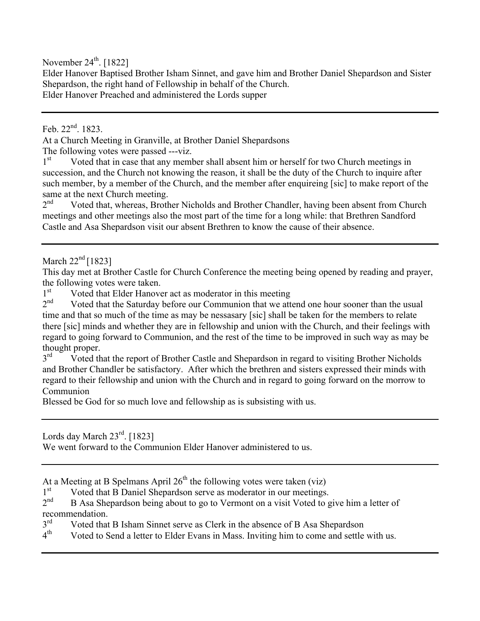November  $24<sup>th</sup>$ . [1822]

Elder Hanover Baptised Brother Isham Sinnet, and gave him and Brother Daniel Shepardson and Sister Shepardson, the right hand of Fellowship in behalf of the Church. Elder Hanover Preached and administered the Lords supper

Feb.  $22^{nd}$ . 1823.

At a Church Meeting in Granville, at Brother Daniel Shepardsons The following votes were passed ---viz.<br> $1<sup>st</sup>$  Voted that in case that any member

Voted that in case that any member shall absent him or herself for two Church meetings in succession, and the Church not knowing the reason, it shall be the duty of the Church to inquire after such member, by a member of the Church, and the member after enquireing [sic] to make report of the same at the next Church meeting.<br> $2<sup>nd</sup>$  Voted that whereas Broth

Voted that, whereas, Brother Nicholds and Brother Chandler, having been absent from Church meetings and other meetings also the most part of the time for a long while: that Brethren Sandford Castle and Asa Shepardson visit our absent Brethren to know the cause of their absence.

March  $22<sup>nd</sup>$  [1823]

This day met at Brother Castle for Church Conference the meeting being opened by reading and prayer, the following votes were taken.

 $1<sup>st</sup>$  Voted that Elder Hanover act as moderator in this meeting<br> $2<sup>nd</sup>$  Voted that the Saturday before our Communion that we att

Voted that the Saturday before our Communion that we attend one hour sooner than the usual time and that so much of the time as may be nessasary [sic] shall be taken for the members to relate there [sic] minds and whether they are in fellowship and union with the Church, and their feelings with regard to going forward to Communion, and the rest of the time to be improved in such way as may be thought proper.<br>3<sup>rd</sup> Voted th

Voted that the report of Brother Castle and Shepardson in regard to visiting Brother Nicholds and Brother Chandler be satisfactory. After which the brethren and sisters expressed their minds with regard to their fellowship and union with the Church and in regard to going forward on the morrow to Communion

Blessed be God for so much love and fellowship as is subsisting with us.

Lords day March 23<sup>rd</sup>. [1823]

We went forward to the Communion Elder Hanover administered to us.

At a Meeting at B Spelmans April  $26<sup>th</sup>$  the following votes were taken (viz)

 $1<sup>st</sup>$  Voted that B Daniel Shepardson serve as moderator in our meetings.<br>  $2<sup>nd</sup>$  B Asa Shepardson being about to go to Vermont on a visit Voted to go

B Asa Shepardson being about to go to Vermont on a visit Voted to give him a letter of recommendation.<br>3<sup>rd</sup> Voted that

 $3<sup>rd</sup>$  Voted that B Isham Sinnet serve as Clerk in the absence of B Asa Shepardson  $4<sup>th</sup>$  Voted to Send a letter to Elder Evans in Mass Inviting him to come and settle

Voted to Send a letter to Elder Evans in Mass. Inviting him to come and settle with us.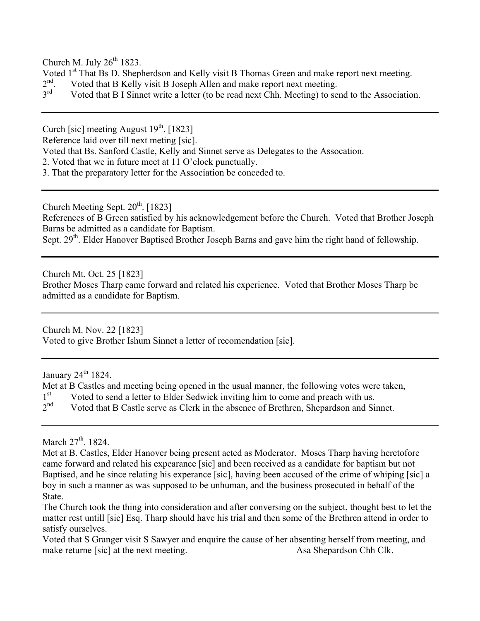Church M. July  $26^{th}$  1823.

- Voted  $1<sup>st</sup>$  That Bs D. Shepherdson and Kelly visit B Thomas Green and make report next meeting.<br> $2<sup>nd</sup>$  Voted that B Kelly visit B Joseph Allen and make report next meeting.
- $2<sup>nd</sup>$ . Voted that B Kelly visit B Joseph Allen and make report next meeting.<br> $3<sup>rd</sup>$  Voted that B I Sinnet write a letter (to be read next Chh Meeting) to set
- Voted that B I Sinnet write a letter (to be read next Chh. Meeting) to send to the Association.

Curch [sic] meeting August  $19^{th}$ . [1823]

Reference laid over till next meting [sic].

Voted that Bs. Sanford Castle, Kelly and Sinnet serve as Delegates to the Assocation.

- 2. Voted that we in future meet at 11 O'clock punctually.
- 3. That the preparatory letter for the Association be conceded to.

Church Meeting Sept.  $20^{th}$ . [1823]

References of B Green satisfied by his acknowledgement before the Church. Voted that Brother Joseph Barns be admitted as a candidate for Baptism.

Sept. 29<sup>th</sup>. Elder Hanover Baptised Brother Joseph Barns and gave him the right hand of fellowship.

Church Mt. Oct. 25 [1823]

Brother Moses Tharp came forward and related his experience. Voted that Brother Moses Tharp be admitted as a candidate for Baptism.

Church M. Nov. 22 [1823] Voted to give Brother Ishum Sinnet a letter of recomendation [sic].

January  $24^{\text{th}}$  1824.

Met at B Castles and meeting being opened in the usual manner, the following votes were taken,  $1<sup>st</sup>$  Voted to send a letter to Elder Sedwick inviting him to come and preach with us.<br>  $2<sup>nd</sup>$  Voted that B Castle serve as Clerk in the absence of Brethren. Shenardson and Si Voted that B Castle serve as Clerk in the absence of Brethren, Shepardson and Sinnet.

March  $27<sup>th</sup>$ , 1824.

Met at B. Castles, Elder Hanover being present acted as Moderator. Moses Tharp having heretofore came forward and related his expearance [sic] and been received as a candidate for baptism but not Baptised, and he since relating his experance [sic], having been accused of the crime of whiping [sic] a boy in such a manner as was supposed to be unhuman, and the business prosecuted in behalf of the State.

Voted that S Granger visit S Sawyer and enquire the cause of her absenting herself from meeting, and make returne [sic] at the next meeting. As Asa Shepardson Chh Clk.

The Church took the thing into consideration and after conversing on the subject, thought best to let the matter rest untill [sic] Esq. Tharp should have his trial and then some of the Brethren attend in order to satisfy ourselves.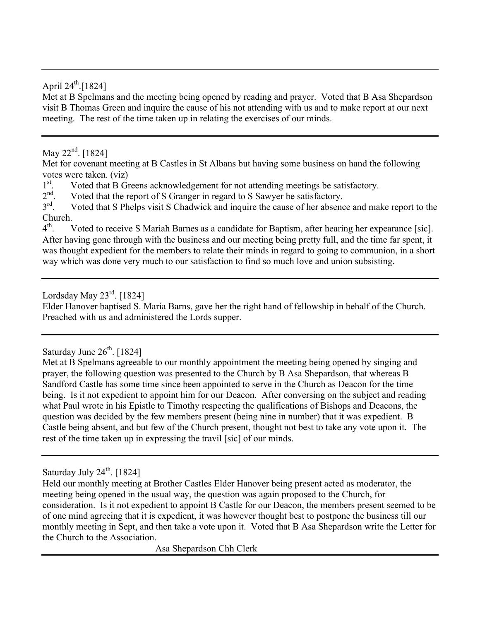#### April  $24^{th}$ .[1824]

Met at B Spelmans and the meeting being opened by reading and prayer. Voted that B Asa Shepardson visit B Thomas Green and inquire the cause of his not attending with us and to make report at our next meeting. The rest of the time taken up in relating the exercises of our minds.

#### May  $22^{nd}$ . [1824]

Met for covenant meeting at B Castles in St Albans but having some business on hand the following votes were taken. (viz)

 $\frac{1}{2}$ <sup>st</sup>. . Voted that B Greens acknowledgement for not attending meetings be satisfactory.

 $2<sup>nd</sup>$ . Voted that the report of S Granger in regard to S Sawyer be satisfactory.<br> $3<sup>rd</sup>$  Voted that S Phelps visit S Chadwick and inquire the cause of her absence

Voted that S Phelps visit S Chadwick and inquire the cause of her absence and make report to the Church.<br> $4^{\text{th}}$ 

Voted to receive S Mariah Barnes as a candidate for Baptism, after hearing her expearance [sic]. After having gone through with the business and our meeting being pretty full, and the time far spent, it was thought expedient for the members to relate their minds in regard to going to communion, in a short way which was done very much to our satisfaction to find so much love and union subsisting.

### Lordsday May  $23^{\text{rd}}$ . [1824]

Elder Hanover baptised S. Maria Barns, gave her the right hand of fellowship in behalf of the Church. Preached with us and administered the Lords supper.

#### Saturday June  $26<sup>th</sup>$ . [1824]

Met at B Spelmans agreeable to our monthly appointment the meeting being opened by singing and prayer, the following question was presented to the Church by B Asa Shepardson, that whereas B Sandford Castle has some time since been appointed to serve in the Church as Deacon for the time being. Is it not expedient to appoint him for our Deacon. After conversing on the subject and reading what Paul wrote in his Epistle to Timothy respecting the qualifications of Bishops and Deacons, the question was decided by the few members present (being nine in number) that it was expedient. B Castle being absent, and but few of the Church present, thought not best to take any vote upon it. The rest of the time taken up in expressing the travil [sic] of our minds.

## Saturday July  $24^{\text{th}}$ . [1824]

Held our monthly meeting at Brother Castles Elder Hanover being present acted as moderator, the meeting being opened in the usual way, the question was again proposed to the Church, for consideration. Is it not expedient to appoint B Castle for our Deacon, the members present seemed to be of one mind agreeing that it is expedient, it was however thought best to postpone the business till our monthly meeting in Sept, and then take a vote upon it. Voted that B Asa Shepardson write the Letter for the Church to the Association.

Asa Shepardson Chh Clerk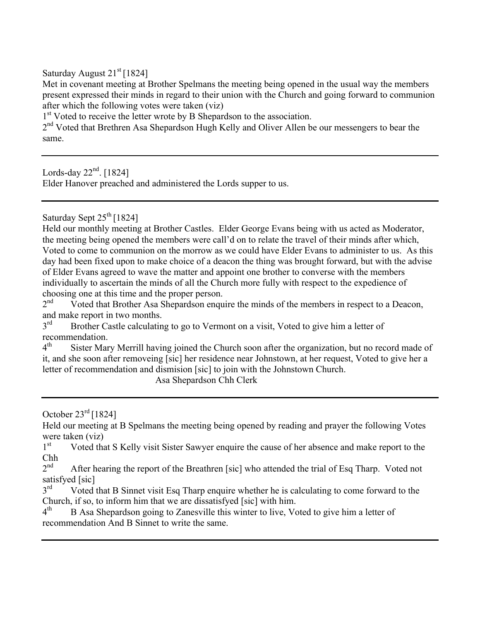Saturday August  $21<sup>st</sup>$  [1824]

Met in covenant meeting at Brother Spelmans the meeting being opened in the usual way the members present expressed their minds in regard to their union with the Church and going forward to communion after which the following votes were taken (viz)

1<sup>st</sup> Voted to receive the letter wrote by B Shepardson to the association.

 $2<sup>nd</sup>$  Voted that Brethren Asa Shepardson Hugh Kelly and Oliver Allen be our messengers to bear the same.

Lords-day  $22<sup>nd</sup>$ . [1824] Elder Hanover preached and administered the Lords supper to us.

Saturday Sept  $25<sup>th</sup>$  [1824]

Held our monthly meeting at Brother Castles. Elder George Evans being with us acted as Moderator, the meeting being opened the members were call'd on to relate the travel of their minds after which, Voted to come to communion on the morrow as we could have Elder Evans to administer to us. As this day had been fixed upon to make choice of a deacon the thing was brought forward, but with the advise of Elder Evans agreed to wave the matter and appoint one brother to converse with the members individually to ascertain the minds of all the Church more fully with respect to the expedience of choosing one at this time and the proper person.<br> $2<sup>nd</sup>$  Voted that Brother Asa Shenardson engu

Voted that Brother Asa Shepardson enquire the minds of the members in respect to a Deacon, and make report in two months.

3<sup>rd</sup> Brother Castle calculating to go to Vermont on a visit, Voted to give him a letter of recommendation.<br>4<sup>th</sup> Sister Mar

Sister Mary Merrill having joined the Church soon after the organization, but no record made of it, and she soon after removeing [sic] her residence near Johnstown, at her request, Voted to give her a letter of recommendation and dismision [sic] to join with the Johnstown Church.

Asa Shepardson Chh Clerk

October  $23^{\text{rd}}$  [1824]

Held our meeting at B Spelmans the meeting being opened by reading and prayer the following Votes were taken (viz)<br> $1<sup>st</sup>$  Voted that

Voted that S Kelly visit Sister Sawyer enquire the cause of her absence and make report to the  $\frac{\text{Chh}}{\gamma^{\text{nd}}}$ 

After hearing the report of the Breathren [sic] who attended the trial of Esq Tharp. Voted not satisfyed [sic]

 $3<sup>rd</sup>$  Voted that B Sinnet visit Esq Tharp enquire whether he is calculating to come forward to the Church, if so, to inform him that we are dissatisfyed [sic] with him.

 $4<sup>th</sup>$  B Asa Shepardson going to Zanesville this winter to live, Voted to give him a letter of recommendation And B Sinnet to write the same.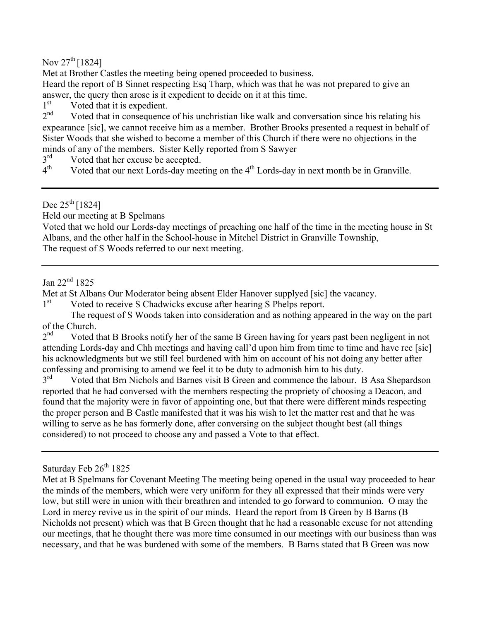Nov  $27^{th}$  [1824]

Met at Brother Castles the meeting being opened proceeded to business.

Heard the report of B Sinnet respecting Esq Tharp, which was that he was not prepared to give an answer, the query then arose is it expedient to decide on it at this time.

 $1<sup>st</sup>$  Voted that it is expedient.<br>  $2<sup>nd</sup>$  Voted that in consequence

Voted that in consequence of his unchristian like walk and conversation since his relating his expearance [sic], we cannot receive him as a member. Brother Brooks presented a request in behalf of Sister Woods that she wished to become a member of this Church if there were no objections in the minds of any of the members. Sister Kelly reported from S Sawyer

 $3<sup>rd</sup>$  Voted that her excuse be accepted.<br>  $4<sup>th</sup>$  Voted that our next Lords-day meet

Voted that our next Lords-day meeting on the  $4<sup>th</sup>$  Lords-day in next month be in Granville.

Dec  $25^{th}$  [1824]

Held our meeting at B Spelmans

Voted that we hold our Lords-day meetings of preaching one half of the time in the meeting house in St Albans, and the other half in the School-house in Mitchel District in Granville Township, The request of S Woods referred to our next meeting.

#### Jan 22nd 1825

Met at St Albans Our Moderator being absent Elder Hanover supplyed [sic] the vacancy.

1<sup>st</sup> Voted to receive S Chadwicks excuse after hearing S Phelps report.

The request of S Woods taken into consideration and as nothing appeared in the way on the part % of the Church.<br> $2<sup>nd</sup>$  Voted t

Voted that B Brooks notify her of the same B Green having for years past been negligent in not attending Lords-day and Chh meetings and having call'd upon him from time to time and have rec [sic] his acknowledgments but we still feel burdened with him on account of his not doing any better after confessing and promising to amend we feel it to be duty to admonish him to his duty.<br>3<sup>rd</sup> Voted that Brn Nichols and Barnes visit B Green and commence the labour

Voted that Brn Nichols and Barnes visit B Green and commence the labour. B Asa Shepardson reported that he had conversed with the members respecting the propriety of choosing a Deacon, and found that the majority were in favor of appointing one, but that there were different minds respecting the proper person and B Castle manifested that it was his wish to let the matter rest and that he was willing to serve as he has formerly done, after conversing on the subject thought best (all things considered) to not proceed to choose any and passed a Vote to that effect.

Saturday Feb 26<sup>th</sup> 1825

Met at B Spelmans for Covenant Meeting The meeting being opened in the usual way proceeded to hear the minds of the members, which were very uniform for they all expressed that their minds were very low, but still were in union with their breathren and intended to go forward to communion. O may the Lord in mercy revive us in the spirit of our minds. Heard the report from B Green by B Barns (B) Nicholds not present) which was that B Green thought that he had a reasonable excuse for not attending our meetings, that he thought there was more time consumed in our meetings with our business than was necessary, and that he was burdened with some of the members. B Barns stated that B Green was now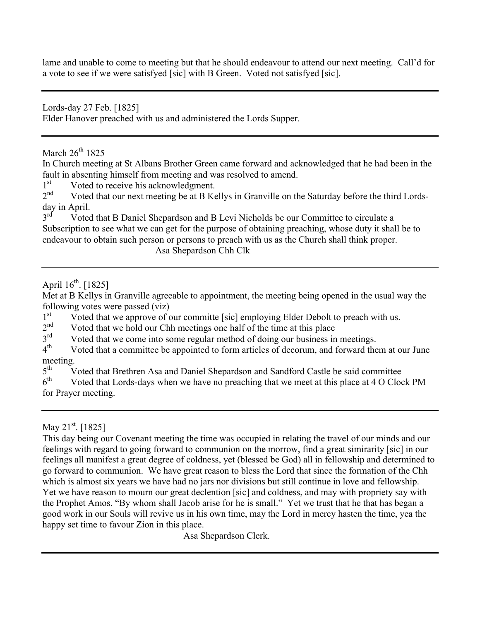lame and unable to come to meeting but that he should endeavour to attend our next meeting. Call'd for a vote to see if we were satisfyed [sic] with B Green. Voted not satisfyed [sic].

Lords-day 27 Feb. [1825]

Elder Hanover preached with us and administered the Lords Supper.

March  $26^{th}$  1825

In Church meeting at St Albans Brother Green came forward and acknowledged that he had been in the fault in absenting himself from meeting and was resolved to amend.

 $1<sup>st</sup>$  Voted to receive his acknowledgment.<br>  $2<sup>nd</sup>$  Voted that our next meeting be at B Ke

Voted that our next meeting be at B Kellys in Granville on the Saturday before the third Lordsday in April.<br> $3^{rd}$  Voted

Voted that B Daniel Shepardson and B Levi Nicholds be our Committee to circulate a Subscription to see what we can get for the purpose of obtaining preaching, whose duty it shall be to endeavour to obtain such person or persons to preach with us as the Church shall think proper. Asa Shepardson Chh Clk

#### April  $16^{th}$ . [1825]

Met at B Kellys in Granville agreeable to appointment, the meeting being opened in the usual way the following votes were passed (viz)

1st Voted that we approve of our committe [sic] employing Elder Debolt to preach with us.<br> $2<sup>nd</sup>$  Voted that we hold our Chh meetings one half of the time at this place

 $2<sup>nd</sup>$  Voted that we hold our Chh meetings one half of the time at this place Voted that we come into some regular method of doing our business in

 $3<sup>rd</sup>$  Voted that we come into some regular method of doing our business in meetings.<br> $4<sup>th</sup>$  Voted that a committee be appointed to form articles of decorum and forward the

Voted that a committee be appointed to form articles of decorum, and forward them at our June meeting.<br> $5^{\text{th}}$  V

 $5<sup>th</sup>$  Voted that Brethren Asa and Daniel Shepardson and Sandford Castle be said committee<br> $6<sup>th</sup>$  Voted that Lords-days when we have no preaching that we meet at this place at 4 O Cloc

Voted that Lords-days when we have no preaching that we meet at this place at 4 O Clock PM for Prayer meeting.

This day being our Covenant meeting the time was occupied in relating the travel of our minds and our feelings with regard to going forward to communion on the morrow, find a great simirarity [sic] in our feelings all manifest a great degree of coldness, yet (blessed be God) all in fellowship and determined to go forward to communion. We have great reason to bless the Lord that since the formation of the Chh which is almost six years we have had no jars nor divisions but still continue in love and fellowship. Yet we have reason to mourn our great declention [sic] and coldness, and may with propriety say with the Prophet Amos. "By whom shall Jacob arise for he is small." Yet we trust that he that has began a good work in our Souls will revive us in his own time, may the Lord in mercy hasten the time, yea the happy set time to favour Zion in this place.

Asa Shepardson Clerk.

May 21<sup>st</sup>. [1825]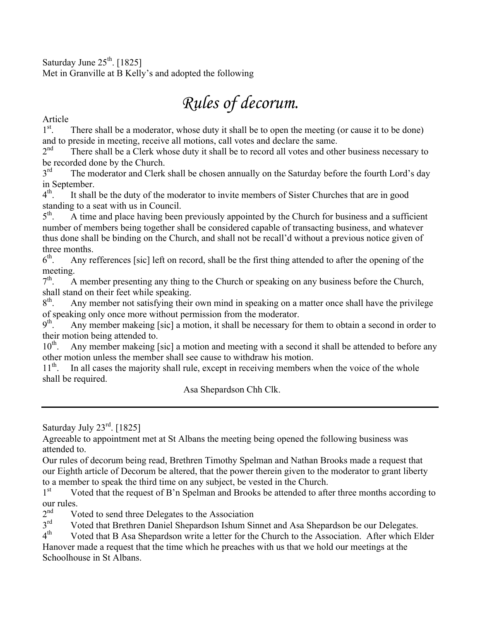Saturday June  $25<sup>th</sup>$ . [1825] Met in Granville at B Kelly's and adopted the following

# *Rules of decorum.*

Article

 $1<sup>st</sup>$ . . There shall be a moderator, whose duty it shall be to open the meeting (or cause it to be done) and to preside in meeting, receive all motions, call votes and declare the same.<br> $2<sup>nd</sup>$  There shall be a Clerk whose duty it shall be to record all votes and other

There shall be a Clerk whose duty it shall be to record all votes and other business necessary to be recorded done by the Church.

 $3<sup>rd</sup>$  The moderator and Clerk shall be chosen annually on the Saturday before the fourth Lord's day in September.<br> $4<sup>th</sup>$ . It shall

It shall be the duty of the moderator to invite members of Sister Churches that are in good standing to a seat with us in Council.<br> $5<sup>th</sup>$ . A time and place having been

A time and place having been previously appointed by the Church for business and a sufficient number of members being together shall be considered capable of transacting business, and whatever thus done shall be binding on the Church, and shall not be recall'd without a previous notice given of three months.<br> $6<sup>th</sup>$ . Any re

Any refferences [sic] left on record, shall be the first thing attended to after the opening of the meeting.<br> $7^{\text{th}}$  A

A member presenting any thing to the Church or speaking on any business before the Church, shall stand on their feet while speaking.<br> $8<sup>th</sup>$ . Any member not satisfying their

Any member not satisfying their own mind in speaking on a matter once shall have the privilege of speaking only once more without permission from the moderator.<br> $9<sup>th</sup>$  Any member makeing [sic] a motion, it shall be necessary for

Any member makeing [sic] a motion, it shall be necessary for them to obtain a second in order to their motion being attended to.

 $10<sup>th</sup>$ . Any member makeing [sic] a motion and meeting with a second it shall be attended to before any other motion unless the member shall see cause to withdraw his motion.  $11<sup>th</sup>$ . In all cases the majority shall rule, except in receiving members v

In all cases the majority shall rule, except in receiving members when the voice of the whole shall be required.

Asa Shepardson Chh Clk.

Saturday July 23<sup>rd</sup>. [1825]

Agreeable to appointment met at St Albans the meeting being opened the following business was attended to.

Our rules of decorum being read, Brethren Timothy Spelman and Nathan Brooks made a request that our Eighth article of Decorum be altered, that the power therein given to the moderator to grant liberty to a member to speak the third time on any subject, be vested in the Church.

1<sup>st</sup> Voted that the request of B'n Spelman and Brooks be attended to after three months according to our rules.<br> $2<sup>nd</sup>$  V

 $2<sup>nd</sup>$  Voted to send three Delegates to the Association  $3<sup>rd</sup>$  Voted that Brethren Daniel Shenardson Jshum Si

 $3<sup>rd</sup>$  Voted that Brethren Daniel Shepardson Ishum Sinnet and Asa Shepardson be our Delegates.<br> $4<sup>th</sup>$  Voted that B Asa Shepardson write a letter for the Church to the Association After which E

Voted that B Asa Shepardson write a letter for the Church to the Association. After which Elder Hanover made a request that the time which he preaches with us that we hold our meetings at the Schoolhouse in St Albans.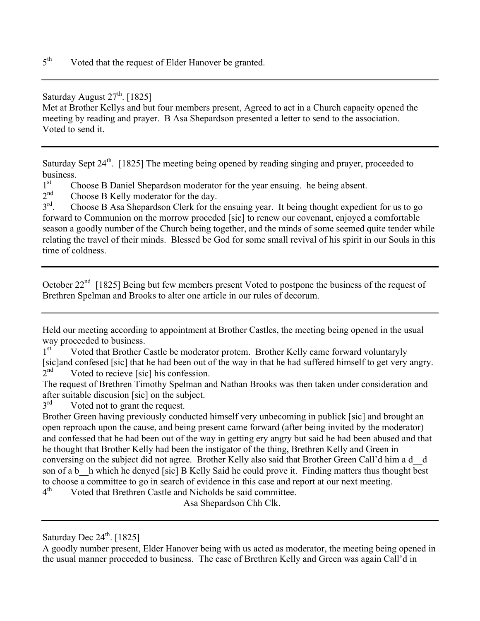Saturday August  $27<sup>th</sup>$ . [1825]

Met at Brother Kellys and but four members present, Agreed to act in a Church capacity opened the meeting by reading and prayer. B Asa Shepardson presented a letter to send to the association. Voted to send it.

Saturday Sept 24<sup>th</sup>. [1825] The meeting being opened by reading singing and prayer, proceeded to business.

 $1<sup>st</sup>$  Choose B Daniel Shepardson moderator for the year ensuing. he being absent.<br>  $2<sup>nd</sup>$  Choose B Kelly moderator for the day

 $2<sup>nd</sup>$  Choose B Kelly moderator for the day.<br> $3<sup>rd</sup>$  Choose B Asa Shenardson Clerk for the

Choose B Asa Shepardson Clerk for the ensuing year. It being thought expedient for us to go forward to Communion on the morrow proceded [sic] to renew our covenant, enjoyed a comfortable season a goodly number of the Church being together, and the minds of some seemed quite tender while relating the travel of their minds. Blessed be God for some small revival of his spirit in our Souls in this time of coldness.

October 22<sup>nd</sup> [1825] Being but few members present Voted to postpone the business of the request of Brethren Spelman and Brooks to alter one article in our rules of decorum.

Held our meeting according to appointment at Brother Castles, the meeting being opened in the usual way proceeded to business.<br> $1<sup>st</sup>$  Voted that Brother G

Voted that Brother Castle be moderator protem. Brother Kelly came forward voluntaryly [sic]and confesed [sic] that he had been out of the way in that he had suffered himself to get very angry. 2<sup>nd</sup> Voted to recieve [sic] his confession.

The request of Brethren Timothy Spelman and Nathan Brooks was then taken under consideration and after suitable discusion [sic] on the subject.<br> $3<sup>rd</sup>$  Voted not to grant the request

Voted not to grant the request.

Brother Green having previously conducted himself very unbecoming in publick [sic] and brought an open reproach upon the cause, and being present came forward (after being invited by the moderator) and confessed that he had been out of the way in getting ery angry but said he had been abused and that he thought that Brother Kelly had been the instigator of the thing, Brethren Kelly and Green in conversing on the subject did not agree. Brother Kelly also said that Brother Green Call'd him a d\_\_d son of a b h which he denyed [sic] B Kelly Said he could prove it. Finding matters thus thought best to choose a committee to go in search of evidence in this case and report at our next meeting.

 $4<sup>th</sup>$  Voted that Brethren Castle and Nicholds be said committee.

Asa Shepardson Chh Clk.

Saturday Dec  $24<sup>th</sup>$ . [1825]

A goodly number present, Elder Hanover being with us acted as moderator, the meeting being opened in the usual manner proceeded to business. The case of Brethren Kelly and Green was again Call'd in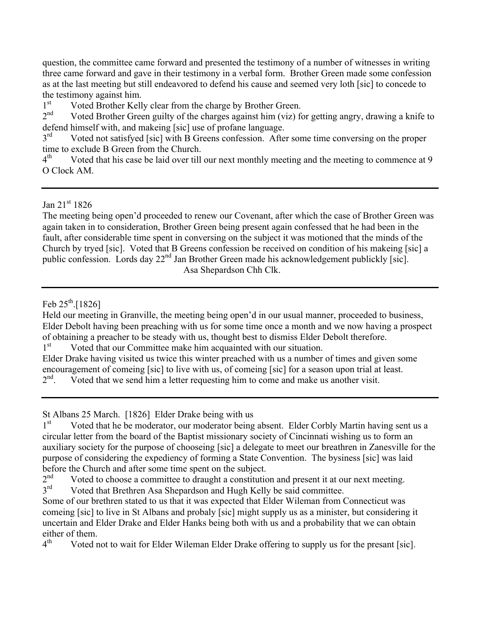question, the committee came forward and presented the testimony of a number of witnesses in writing three came forward and gave in their testimony in a verbal form. Brother Green made some confession as at the last meeting but still endeavored to defend his cause and seemed very loth [sic] to concede to the testimony against him.

 $1<sup>st</sup>$  Voted Brother Kelly clear from the charge by Brother Green.<br>  $2<sup>nd</sup>$  Voted Brother Green quilty of the charges against him (viz) for

Voted Brother Green guilty of the charges against him (viz) for getting angry, drawing a knife to defend himself with, and makeing [sic] use of profane language.

 $3<sup>rd</sup>$  Voted not satisfyed [sic] with B Greens confession. After some time conversing on the proper time to exclude B Green from the Church.

 $4<sup>th</sup>$  Voted that his case be laid over till our next monthly meeting and the meeting to commence at 9 O Clock AM.

Jan 21st 1826

The meeting being open'd proceeded to renew our Covenant, after which the case of Brother Green was again taken in to consideration, Brother Green being present again confessed that he had been in the fault, after considerable time spent in conversing on the subject it was motioned that the minds of the Church by tryed [sic]. Voted that B Greens confession be received on condition of his makeing [sic] a public confession. Lords day 22<sup>nd</sup> Jan Brother Green made his acknowledgement publickly [sic]. Asa Shepardson Chh Clk.

Feb  $25^{th}$ .[1826]

Held our meeting in Granville, the meeting being open'd in our usual manner, proceeded to business, Elder Debolt having been preaching with us for some time once a month and we now having a prospect of obtaining a preacher to be steady with us, thought best to dismiss Elder Debolt therefore. 1<sup>st</sup> Voted that our Committee make him acquainted with our situation.

Elder Drake having visited us twice this winter preached with us a number of times and given some encouragement of comeing [sic] to live with us, of comeing [sic] for a season upon trial at least.<br> $2<sup>nd</sup>$ . Voted that we send him a letter requesting him to come and make us another visit. Voted that we send him a letter requesting him to come and make us another visit.

St Albans 25 March. [1826] Elder Drake being with us

1<sup>st</sup> Voted that he be moderator, our moderator being absent. Elder Corbly Martin having sent us a circular letter from the board of the Baptist missionary society of Cincinnati wishing us to form an auxiliary society for the purpose of chooseing [sic] a delegate to meet our breathren in Zanesville for the purpose of considering the expediency of forming a State Convention. The bysiness [sic] was laid before the Church and after some time spent on the subject.<br> $2<sup>nd</sup>$  Voted to choose a committee to draught a constitution

 $2<sup>nd</sup>$  Voted to choose a committee to draught a constitution and present it at our next meeting.<br> $3<sup>rd</sup>$  Voted that Brethren Asa Shenardson and Hugh Kelly be said committee

Voted that Brethren Asa Shepardson and Hugh Kelly be said committee.

Some of our brethren stated to us that it was expected that Elder Wileman from Connecticut was comeing [sic] to live in St Albans and probaly [sic] might supply us as a minister, but considering it uncertain and Elder Drake and Elder Hanks being both with us and a probability that we can obtain either of them.<br> $4^{\text{th}}$  Voted r

Voted not to wait for Elder Wileman Elder Drake offering to supply us for the presant [sic].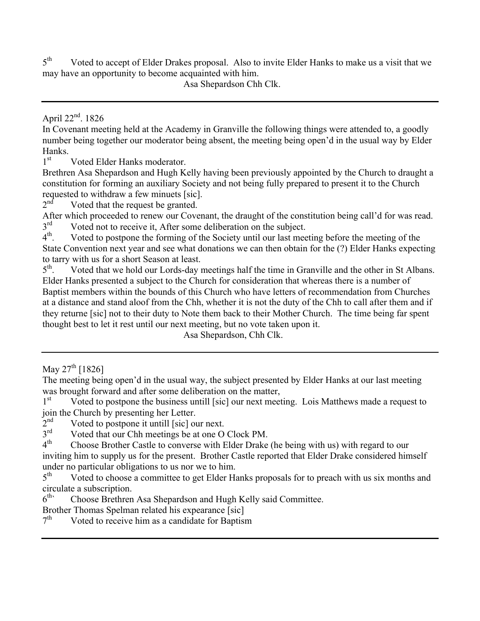$5<sup>th</sup>$  Voted to accept of Elder Drakes proposal. Also to invite Elder Hanks to make us a visit that we may have an opportunity to become acquainted with him.

Asa Shepardson Chh Clk.

April 22<sup>nd</sup>. 1826

In Covenant meeting held at the Academy in Granville the following things were attended to, a goodly number being together our moderator being absent, the meeting being open'd in the usual way by Elder Hanks.<br> $1<sup>st</sup>$ 

Voted Elder Hanks moderator.

Brethren Asa Shepardson and Hugh Kelly having been previously appointed by the Church to draught a constitution for forming an auxiliary Society and not being fully prepared to present it to the Church requested to withdraw a few minuets [sic].<br> $2<sup>nd</sup>$  Voted that the request be granted

Voted that the request be granted.

After which proceeded to renew our Covenant, the draught of the constitution being call'd for was read.<br> $3<sup>rd</sup>$  Voted not to receive it. After some deliberation on the subject

 $3<sup>rd</sup>$  Voted not to receive it, After some deliberation on the subject.<br> $4<sup>th</sup>$  Voted to postpone the forming of the Society until our last mee Voted to postpone the forming of the Society until our last meeting before the meeting of the State Convention next year and see what donations we can then obtain for the (?) Elder Hanks expecting to tarry with us for a short Season at least.<br> $5<sup>th</sup>$ . Voted that we hold our Lords-day i

Voted that we hold our Lords-day meetings half the time in Granville and the other in St Albans. Elder Hanks presented a subject to the Church for consideration that whereas there is a number of Baptist members within the bounds of this Church who have letters of recommendation from Churches at a distance and stand aloof from the Chh, whether it is not the duty of the Chh to call after them and if they returne [sic] not to their duty to Note them back to their Mother Church. The time being far spent thought best to let it rest until our next meeting, but no vote taken upon it.

Asa Shepardson, Chh Clk.

The meeting being open'd in the usual way, the subject presented by Elder Hanks at our last meeting was brought forward and after some deliberation on the matter,<br>1<sup>st</sup> Voted to postpone the business untill [sic] our next meet

Voted to postpone the business untill [sic] our next meeting. Lois Matthews made a request to join the Church by presenting her Letter.<br> $2<sup>nd</sup>$  Voted to postpone it untill [sic] or

 $2<sup>nd</sup>$  Voted to postpone it untill [sic] our next.<br> $3<sup>rd</sup>$  Voted that our Chh meetings be at one O

 $3<sup>rd</sup>$  Voted that our Chh meetings be at one O Clock PM.<br> $4<sup>th</sup>$  Choose Brother Castle to converse with Elder Drake

4th Choose Brother Castle to converse with Elder Drake (he being with us) with regard to our inviting him to supply us for the present. Brother Castle reported that Elder Drake considered himself under no particular obligations to us nor we to him.

 $5<sup>th</sup>$  Voted to choose a committee to get Elder Hanks proposals for to preach with us six months and circulate a subscription.

6<sup>th</sup> Choose Brethren Asa Shepardson and Hugh Kelly said Committee.

Brother Thomas Spelman related his expearance [sic]

 $7<sup>th</sup>$  Voted to receive him as a candidate for Baptism

May  $27^{th}$  [1826]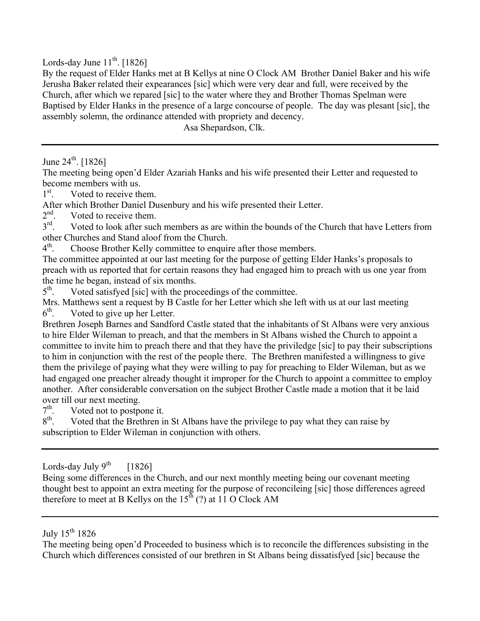Lords-day June  $11^{th}$ . [1826]

By the request of Elder Hanks met at B Kellys at nine O Clock AM Brother Daniel Baker and his wife Jerusha Baker related their expearances [sic] which were very dear and full, were received by the Church, after which we repared [sic] to the water where they and Brother Thomas Spelman were Baptised by Elder Hanks in the presence of a large concourse of people. The day was plesant [sic], the assembly solemn, the ordinance attended with propriety and decency.

Asa Shepardson, Clk.

June  $24^{th}$ . [1826]

The meeting being open'd Elder Azariah Hanks and his wife presented their Letter and requested to become members with us.

 $1^{\rm st}$ . . Voted to receive them.

After which Brother Daniel Dusenbury and his wife presented their Letter.<br> $2<sup>nd</sup>$  Voted to receive them

 $2<sup>nd</sup>$ . Voted to receive them.<br> $3<sup>rd</sup>$  Voted to look after such

Voted to look after such members as are within the bounds of the Church that have Letters from other Churches and Stand aloof from the Church.<br>4<sup>th</sup>. Choose Brother Kelly committee to enquire

Choose Brother Kelly committee to enquire after those members.

The committee appointed at our last meeting for the purpose of getting Elder Hanks's proposals to preach with us reported that for certain reasons they had engaged him to preach with us one year from the time he began, instead of six months.

 $5<sup>th</sup>$ . Voted satisfyed [sic] with the proceedings of the committee.

Mrs. Matthews sent a request by B Castle for her Letter which she left with us at our last meeting  $6<sup>th</sup>$ . Voted to give up her Letter.

Brethren Joseph Barnes and Sandford Castle stated that the inhabitants of St Albans were very anxious to hire Elder Wileman to preach, and that the members in St Albans wished the Church to appoint a committee to invite him to preach there and that they have the priviledge [sic] to pay their subscriptions to him in conjunction with the rest of the people there. The Brethren manifested a willingness to give them the privilege of paying what they were willing to pay for preaching to Elder Wileman, but as we had engaged one preacher already thought it improper for the Church to appoint a committee to employ another. After considerable conversation on the subject Brother Castle made a motion that it be laid over till our next meeting.<br> $7<sup>th</sup>$ . Voted not to postpo

 $7<sup>th</sup>$ . Voted not to postpone it.<br> $8<sup>th</sup>$ . Voted that the Brethren is

Voted that the Brethren in St Albans have the privilege to pay what they can raise by subscription to Elder Wileman in conjunction with others.

#### Lords-day July  $9^{th}$  [1826]

Being some differences in the Church, and our next monthly meeting being our covenant meeting thought best to appoint an extra meeting for the purpose of reconcileing [sic] those differences agreed therefore to meet at B Kellys on the  $15<sup>th</sup>$  (?) at 11 O Clock AM

July  $15^{th}$  1826

The meeting being open'd Proceeded to business which is to reconcile the differences subsisting in the Church which differences consisted of our brethren in St Albans being dissatisfyed [sic] because the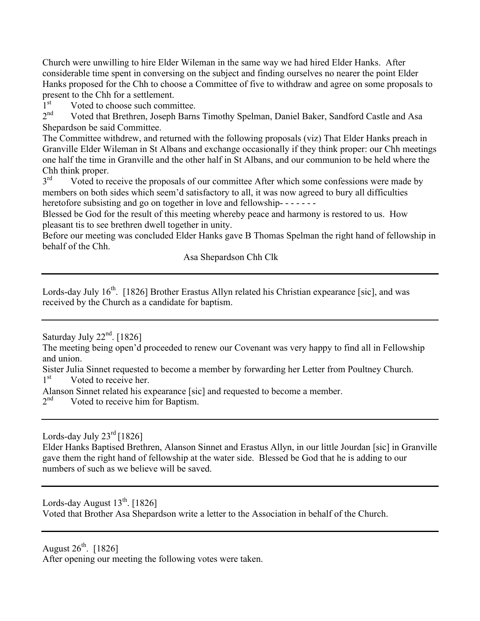Church were unwilling to hire Elder Wileman in the same way we had hired Elder Hanks. After considerable time spent in conversing on the subject and finding ourselves no nearer the point Elder Hanks proposed for the Chh to choose a Committee of five to withdraw and agree on some proposals to present to the Chh for a settlement.<br>1<sup>st</sup> Voted to choose such comm

 $1<sup>st</sup>$  Voted to choose such committee.<br>  $2<sup>nd</sup>$  Voted that Brethren Joseph Barns

Voted that Brethren, Joseph Barns Timothy Spelman, Daniel Baker, Sandford Castle and Asa Shepardson be said Committee.

The Committee withdrew, and returned with the following proposals (viz) That Elder Hanks preach in Granville Elder Wileman in St Albans and exchange occasionally if they think proper: our Chh meetings one half the time in Granville and the other half in St Albans, and our communion to be held where the Chh think proper.<br> $3<sup>rd</sup>$  Voted to re

Voted to receive the proposals of our committee After which some confessions were made by members on both sides which seem'd satisfactory to all, it was now agreed to bury all difficulties heretofore subsisting and go on together in love and fellowship-------

Blessed be God for the result of this meeting whereby peace and harmony is restored to us. How pleasant tis to see brethren dwell together in unity.

Before our meeting was concluded Elder Hanks gave B Thomas Spelman the right hand of fellowship in behalf of the Chh.

Asa Shepardson Chh Clk

Lords-day July  $16<sup>th</sup>$ . [1826] Brother Erastus Allyn related his Christian expearance [sic], and was received by the Church as a candidate for baptism.

Saturday July  $22<sup>nd</sup>$ . [1826]

The meeting being open'd proceeded to renew our Covenant was very happy to find all in Fellowship and union.

Sister Julia Sinnet requested to become a member by forwarding her Letter from Poultney Church.<br>1<sup>st</sup> Voted to receive her.

Voted to receive her.

Alanson Sinnet related his expearance [sic] and requested to become a member.<br> $2<sup>nd</sup>$  Voted to receive him for Bantism

Voted to receive him for Baptism.

Lords-day July  $23^{\text{rd}}$  [1826]

Elder Hanks Baptised Brethren, Alanson Sinnet and Erastus Allyn, in our little Jourdan [sic] in Granville gave them the right hand of fellowship at the water side. Blessed be God that he is adding to our numbers of such as we believe will be saved.

Lords-day August  $13^{th}$ . [1826] Voted that Brother Asa Shepardson write a letter to the Association in behalf of the Church.

August  $26^{th}$ . [1826]

After opening our meeting the following votes were taken.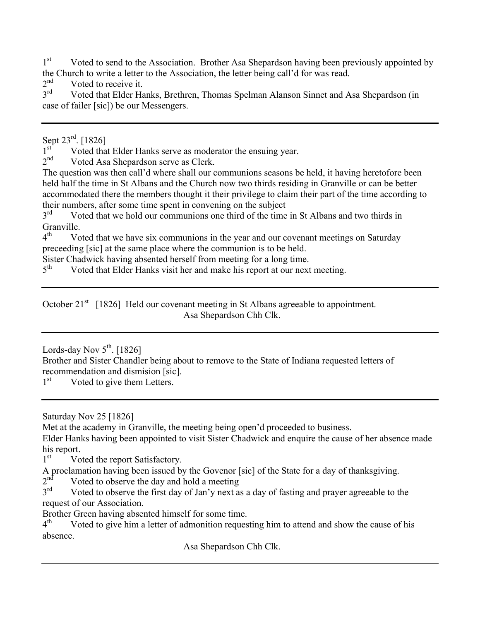$1<sup>st</sup>$  Voted to send to the Association. Brother Asa Shepardson having been previously appointed by the Church to write a letter to the Association, the letter being call'd for was read.<br> $2<sup>nd</sup>$  Voted to receive it

 $2<sup>nd</sup>$  Voted to receive it.<br> $3<sup>rd</sup>$  Voted that Elder H<sub>2</sub>

Voted that Elder Hanks, Brethren, Thomas Spelman Alanson Sinnet and Asa Shepardson (in case of failer [sic]) be our Messengers.

Sept 23<sup>rd</sup>. [1826]

 $1<sup>st</sup>$  Voted that Elder Hanks serve as moderator the ensuing year.<br>  $2<sup>nd</sup>$  Voted Asa Shenardson serve as Clerk

Voted Asa Shepardson serve as Clerk.

The question was then call'd where shall our communions seasons be held, it having heretofore been held half the time in St Albans and the Church now two thirds residing in Granville or can be better accommodated there the members thought it their privilege to claim their part of the time according to their numbers, after some time spent in convening on the subject  $3<sup>rd</sup>$  Voted that we hold our communions one third of the time

Voted that we hold our communions one third of the time in St Albans and two thirds in Granville.

 $4<sup>th</sup>$  Voted that we have six communions in the year and our covenant meetings on Saturday preceeding [sic] at the same place where the communion is to be held.

Sister Chadwick having absented herself from meeting for a long time.<br> $5<sup>th</sup>$  Voted that Elder Hanks visit her and make his report at our next

Voted that Elder Hanks visit her and make his report at our next meeting.

October  $21<sup>st</sup>$  [1826] Held our covenant meeting in St Albans agreeable to appointment. Asa Shepardson Chh Clk.

Lords-day Nov  $5^{\text{th}}$ . [1826]

Brother and Sister Chandler being about to remove to the State of Indiana requested letters of recommendation and dismision [sic].

 $1<sup>st</sup>$  Voted to give them Letters.

Saturday Nov 25 [1826]

Met at the academy in Granville, the meeting being open'd proceeded to business.

Elder Hanks having been appointed to visit Sister Chadwick and enquire the cause of her absence made his report.

1<sup>st</sup> Voted the report Satisfactory.

A proclamation having been issued by the Govenor [sic] of the State for a day of thanksgiving.<br> $2<sup>nd</sup>$  Voted to observe the day and hold a meeting

 $2<sup>nd</sup>$  Voted to observe the day and hold a meeting<br> $3<sup>rd</sup>$  Voted to observe the first day of Ian's next as

Voted to observe the first day of Jan'y next as a day of fasting and prayer agreeable to the request of our Association.

Brother Green having absented himself for some time.<br> $4<sup>th</sup>$  Voted to give him a letter of admonition requestion

Voted to give him a letter of admonition requesting him to attend and show the cause of his absence.

Asa Shepardson Chh Clk.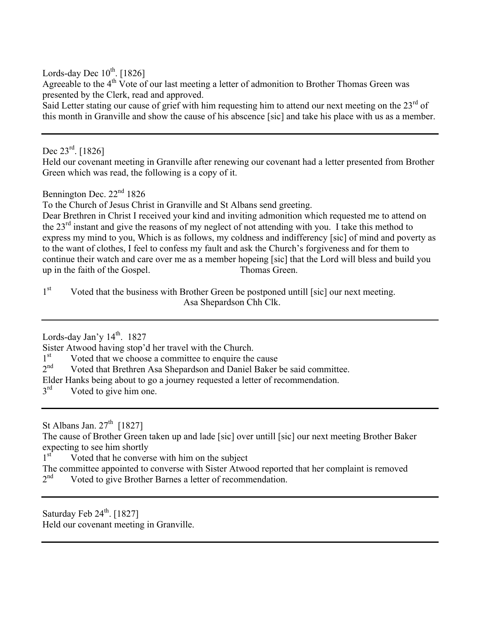Lords-day Dec  $10^{th}$ . [1826]

Agreeable to the  $4<sup>th</sup>$  Vote of our last meeting a letter of admonition to Brother Thomas Green was presented by the Clerk, read and approved.

Said Letter stating our cause of grief with him requesting him to attend our next meeting on the  $23<sup>rd</sup>$  of this month in Granville and show the cause of his abscence [sic] and take his place with us as a member.

Dec 23<sup>rd</sup>. [1826]

Held our covenant meeting in Granville after renewing our covenant had a letter presented from Brother Green which was read, the following is a copy of it.

Bennington Dec. 22<sup>nd</sup> 1826

To the Church of Jesus Christ in Granville and St Albans send greeting.

Dear Brethren in Christ I received your kind and inviting admonition which requested me to attend on the 23<sup>rd</sup> instant and give the reasons of my neglect of not attending with you. I take this method to express my mind to you, Which is as follows, my coldness and indifferency [sic] of mind and poverty as to the want of clothes, I feel to confess my fault and ask the Church's forgiveness and for them to continue their watch and care over me as a member hopeing [sic] that the Lord will bless and build you up in the faith of the Gospel. Thomas Green.

 $1<sup>st</sup>$  Voted that the business with Brother Green be postponed untill [sic] our next meeting. Asa Shepardson Chh Clk.

Lords-day Jan'y 14<sup>th</sup>. 1827

Sister Atwood having stop'd her travel with the Church.

 $1<sup>st</sup>$  Voted that we choose a committee to enquire the cause<br>  $2<sup>nd</sup>$  Voted that Brethren Asa Shenardson and Daniel Baker

Voted that Brethren Asa Shepardson and Daniel Baker be said committee.

Elder Hanks being about to go a journey requested a letter of recommendation.

 $3<sup>rd</sup>$  Voted to give him one.

St Albans Jan.  $27<sup>th</sup>$  [1827]

The cause of Brother Green taken up and lade [sic] over untill [sic] our next meeting Brother Baker expecting to see him shortly

1<sup>st</sup> Voted that he converse with him on the subject

The committee appointed to converse with Sister Atwood reported that her complaint is removed  $2<sup>nd</sup>$  Voted to give Brother Barnes a letter of recommendation. Voted to give Brother Barnes a letter of recommendation.

Saturday Feb  $24<sup>th</sup>$ . [1827] Held our covenant meeting in Granville.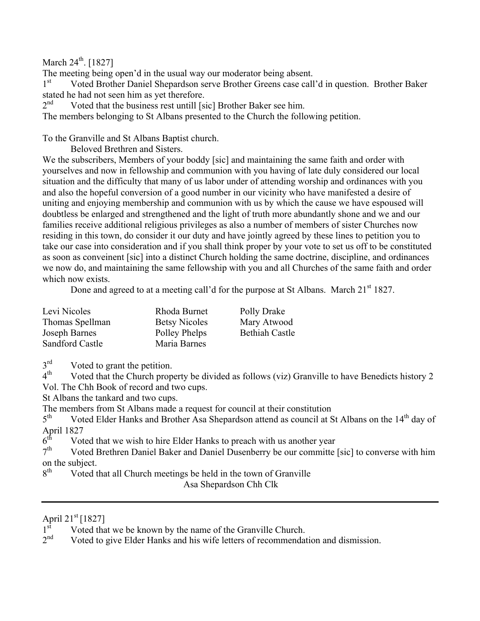March  $24^{\text{th}}$ . [1827]

The meeting being open'd in the usual way our moderator being absent.

1<sup>st</sup> Voted Brother Daniel Shepardson serve Brother Greens case call'd in question. Brother Baker stated he had not seen him as yet therefore.<br> $2<sup>nd</sup>$  Voted that the business rest untill  $\lceil s \rceil$ 

Voted that the business rest untill [sic] Brother Baker see him.

The members belonging to St Albans presented to the Church the following petition.

To the Granville and St Albans Baptist church.

Beloved Brethren and Sisters.

We the subscribers, Members of your boddy [sic] and maintaining the same faith and order with yourselves and now in fellowship and communion with you having of late duly considered our local situation and the difficulty that many of us labor under of attending worship and ordinances with you and also the hopeful conversion of a good number in our vicinity who have manifested a desire of uniting and enjoying membership and communion with us by which the cause we have espoused will doubtless be enlarged and strengthened and the light of truth more abundantly shone and we and our families receive additional religious privileges as also a number of members of sister Churches now residing in this town, do consider it our duty and have jointly agreed by these lines to petition you to take our case into consideration and if you shall think proper by your vote to set us off to be constituted as soon as conveinent [sic] into a distinct Church holding the same doctrine, discipline, and ordinances we now do, and maintaining the same fellowship with you and all Churches of the same faith and order which now exists.

Done and agreed to at a meeting call'd for the purpose at St Albans. March 21<sup>st</sup> 1827.

| Levi Nicoles           | Rhoda Burnet         | Polly Drake           |
|------------------------|----------------------|-----------------------|
| Thomas Spellman        | <b>Betsy Nicoles</b> | Mary Atwood           |
| Joseph Barnes          | Polley Phelps        | <b>Bethiah Castle</b> |
| <b>Sandford Castle</b> | Maria Barnes         |                       |

 $3<sup>rd</sup>$  Voted to grant the petition.<br> $4<sup>th</sup>$  Voted that the Church prop

Voted that the Church property be divided as follows (viz) Granville to have Benedicts history 2 Vol. The Chh Book of record and two cups.

St Albans the tankard and two cups.

The members from St Albans made a request for council at their constitution  $5<sup>th</sup>$  Voted Elder Hanks and Brother Asa Shenardson attend as council at S

Voted Elder Hanks and Brother Asa Shepardson attend as council at St Albans on the 14<sup>th</sup> day of April 1827<br> $6^{\text{th}}$  Vot

 $6<sup>th</sup>$  Voted that we wish to hire Elder Hanks to preach with us another year  $7<sup>th</sup>$  Voted Brethren Daniel Baker and Daniel Dusenberry be our committe

Voted Brethren Daniel Baker and Daniel Dusenberry be our committe [sic] to converse with him on the subject.<br> $8^{th}$  Voted t

Voted that all Church meetings be held in the town of Granville

Asa Shepardson Chh Clk

#### April  $21^{st}$  [1827]

 $1<sup>st</sup>$  Voted that we be known by the name of the Granville Church.<br>  $2<sup>nd</sup>$  Voted to give Elder Hanks and his wife letters of recommendation

Voted to give Elder Hanks and his wife letters of recommendation and dismission.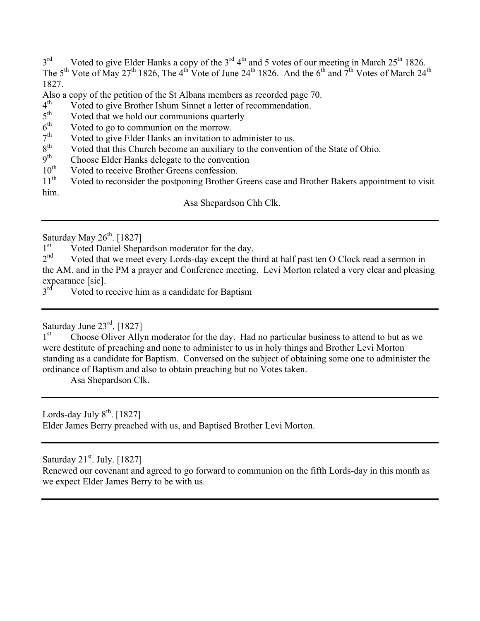$3<sup>rd</sup>$  Voted to give Elder Hanks a copy of the  $3<sup>rd</sup> 4<sup>th</sup>$  and 5 votes of our meeting in March 25<sup>th</sup> 1826. The 5<sup>th</sup> Vote of May 27<sup>th</sup> 1826, The 4<sup>th</sup> Vote of June 24<sup>th</sup> 1826. And the 6<sup>th</sup> and 7<sup>th</sup> Votes of March 24<sup>th</sup> 1827.

Also a copy of the petition of the St Albans members as recorded page 70.<br> $4<sup>th</sup>$  Voted to give Brother Ishum Sinnet a letter of recommendation

 $4<sup>th</sup>$  Voted to give Brother Ishum Sinnet a letter of recommendation.<br> $5<sup>th</sup>$  Voted that we hold our communions quarterly

- $5<sup>th</sup>$  Voted that we hold our communions quarterly  $6<sup>th</sup>$  Voted to go to communion on the morrow
- $6<sup>th</sup>$  Voted to go to communion on the morrow.<br> $7<sup>th</sup>$  Voted to give Elder Hanks an invitation to
- $7<sup>th</sup>$  Voted to give Elder Hanks an invitation to administer to us.<br>8<sup>th</sup> Voted that this Church become an auxiliary to the convention
- $8<sup>th</sup>$  Voted that this Church become an auxiliary to the convention of the State of Ohio.<br> $9<sup>th</sup>$  Choose Elder Hanks delegate to the convention
- $9<sup>th</sup>$  Choose Elder Hanks delegate to the convention  $10<sup>th</sup>$  Voted to receive Brother Greens confession
- $10^{th}$  Voted to receive Brother Greens confession.<br> $11^{th}$  Voted to reconsider the postponing Brother (

Voted to reconsider the postponing Brother Greens case and Brother Bakers appointment to visit him.

Asa Shepardson Chh Clk.

Saturday May  $26^{th}$ . [1827]<br>1<sup>st</sup> Voted Daniel Shepa

 $1<sup>st</sup>$  Voted Daniel Shepardson moderator for the day.<br> $2<sup>nd</sup>$  Voted that we meet every Lords-day except the th

Voted that we meet every Lords-day except the third at half past ten O Clock read a sermon in the AM. and in the PM a prayer and Conference meeting. Levi Morton related a very clear and pleasing expearance [sic].<br> $3<sup>rd</sup>$  Voted to 1

Voted to receive him as a candidate for Baptism

Saturday June  $23^{\text{rd}}$ . [1827]

1<sup>st</sup> Choose Oliver Allyn moderator for the day. Had no particular business to attend to but as we were destitute of preaching and none to administer to us in holy things and Brother Levi Morton standing as a candidate for Baptism. Conversed on the subject of obtaining some one to administer the ordinance of Baptism and also to obtain preaching but no Votes taken.

Asa Shepardson Clk.

Lords-day July  $8<sup>th</sup>$ . [1827] Elder James Berry preached with us, and Baptised Brother Levi Morton.

Saturday  $21^{st}$ . July. [1827]

Renewed our covenant and agreed to go forward to communion on the fifth Lords-day in this month as we expect Elder James Berry to be with us.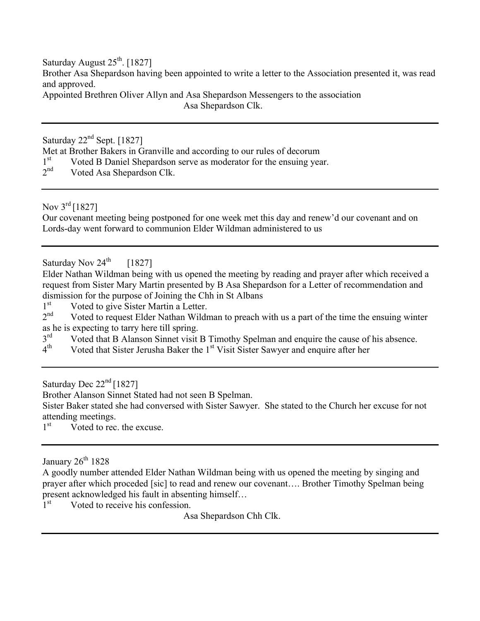Saturday August  $25<sup>th</sup>$ . [1827] Brother Asa Shepardson having been appointed to write a letter to the Association presented it, was read and approved.

Appointed Brethren Oliver Allyn and Asa Shepardson Messengers to the association Asa Shepardson Clk.

Saturday  $22<sup>nd</sup>$  Sept. [1827]

Met at Brother Bakers in Granville and according to our rules of decorum

- $1<sup>st</sup>$  Voted B Daniel Shepardson serve as moderator for the ensuing year.<br>  $2<sup>nd</sup>$  Voted Asa Shepardson Clk
- Voted Asa Shepardson Clk.

Nov 3<sup>rd</sup> [1827]

Our covenant meeting being postponed for one week met this day and renew'd our covenant and on Lords-day went forward to communion Elder Wildman administered to us

Saturday Nov  $24^{\text{th}}$  [1827]

Elder Nathan Wildman being with us opened the meeting by reading and prayer after which received a request from Sister Mary Martin presented by B Asa Shepardson for a Letter of recommendation and dismission for the purpose of Joining the Chh in St Albans<br> $1<sup>st</sup>$  Voted to give Sister Martin a Letter

 $1<sup>st</sup>$  Voted to give Sister Martin a Letter.<br>  $2<sup>nd</sup>$  Voted to request Elder Nathan Wildr

Voted to request Elder Nathan Wildman to preach with us a part of the time the ensuing winter as he is expecting to tarry here till spring.<br> $3<sup>rd</sup>$  Voted that B Alanson Sinnet visit

 $3<sup>rd</sup>$  Voted that B Alanson Sinnet visit B Timothy Spelman and enquire the cause of his absence.<br> $4<sup>th</sup>$  Voted that Sister Jerusha Baker the 1<sup>st</sup> Visit Sister Sawver and enquire after her

Voted that Sister Jerusha Baker the 1<sup>st</sup> Visit Sister Sawyer and enquire after her

Saturday Dec  $22<sup>nd</sup>$  [1827]

Brother Alanson Sinnet Stated had not seen B Spelman.

Sister Baker stated she had conversed with Sister Sawyer. She stated to the Church her excuse for not attending meetings.

 $1<sup>st</sup>$  Voted to rec. the excuse.

January  $26^{\text{th}}$  1828

A goodly number attended Elder Nathan Wildman being with us opened the meeting by singing and prayer after which proceded [sic] to read and renew our covenant…. Brother Timothy Spelman being present acknowledged his fault in absenting himself…

1<sup>st</sup> Voted to receive his confession.

Asa Shepardson Chh Clk.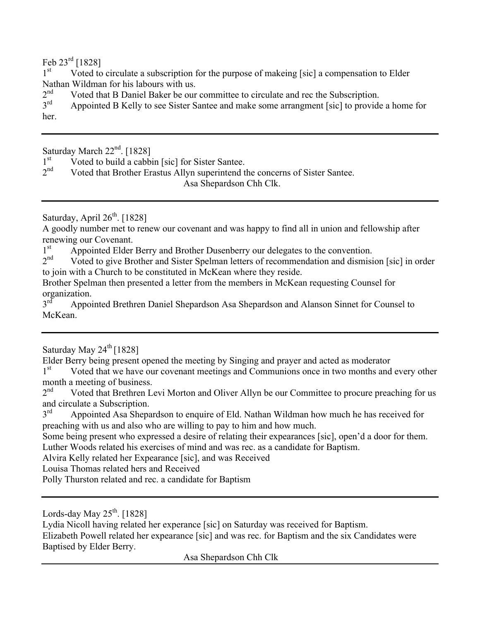Feb 23rd [1828]

1<sup>st</sup> Voted to circulate a subscription for the purpose of makeing [sic] a compensation to Elder Nathan Wildman for his labours with us.

 $2<sup>nd</sup>$  Voted that B Daniel Baker be our committee to circulate and rec the Subscription.<br> $3<sup>rd</sup>$  Annointed B Kelly to see Sister Santee and make some arrangment [sic] to provide

Appointed B Kelly to see Sister Santee and make some arrangment [sic] to provide a home for her.

Saturday March  $22<sup>nd</sup>$ . [1828]<br>1<sup>st</sup> Voted to build a cabb

 $1<sup>st</sup>$  Voted to build a cabbin [sic] for Sister Santee.<br>  $2<sup>nd</sup>$  Voted that Brother Erastus Allyn superintend t

Voted that Brother Erastus Allyn superintend the concerns of Sister Santee. Asa Shepardson Chh Clk.

Saturday, April  $26<sup>th</sup>$ . [1828]

A goodly number met to renew our covenant and was happy to find all in union and fellowship after renewing our Covenant.

 $1<sup>st</sup>$  Appointed Elder Berry and Brother Dusenberry our delegates to the convention.<br>  $2<sup>nd</sup>$  Voted to give Brother and Sister Spelman letters of recommendation and dismisi

Voted to give Brother and Sister Spelman letters of recommendation and dismision [sic] in order to join with a Church to be constituted in McKean where they reside.

Brother Spelman then presented a letter from the members in McKean requesting Counsel for organization.<br>3<sup>rd</sup> Annoi

Appointed Brethren Daniel Shepardson Asa Shepardson and Alanson Sinnet for Counsel to McKean.

#### Saturday May  $24^{\text{th}}$  [1828]

Elder Berry being present opened the meeting by Singing and prayer and acted as moderator

1<sup>st</sup> Voted that we have our covenant meetings and Communions once in two months and every other month a meeting of business.

 $2<sup>nd</sup>$  Voted that Brethren Levi Morton and Oliver Allyn be our Committee to procure preaching for us and circulate a Subscription.<br>3<sup>rd</sup> Annointed Asa Shena

Appointed Asa Shepardson to enquire of Eld. Nathan Wildman how much he has received for preaching with us and also who are willing to pay to him and how much.

Some being present who expressed a desire of relating their expearances [sic], open'd a door for them. Luther Woods related his exercises of mind and was rec. as a candidate for Baptism.

Alvira Kelly related her Expearance [sic], and was Received

Louisa Thomas related hers and Received

Polly Thurston related and rec. a candidate for Baptism

Lords-day May  $25<sup>th</sup>$ . [1828]

Lydia Nicoll having related her experance [sic] on Saturday was received for Baptism.

Elizabeth Powell related her expearance [sic] and was rec. for Baptism and the six Candidates were Baptised by Elder Berry.

Asa Shepardson Chh Clk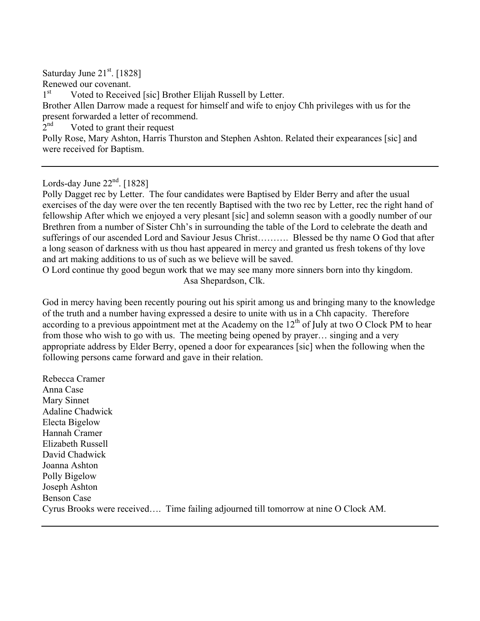Saturday June 21<sup>st</sup>. [1828] Renewed our covenant. 1<sup>st</sup> Voted to Received [sic] Brother Elijah Russell by Letter. Brother Allen Darrow made a request for himself and wife to enjoy Chh privileges with us for the present forwarded a letter of recommend.  $2<sup>nd</sup>$  Voted to grant their request Polly Rose, Mary Ashton, Harris Thurston and Stephen Ashton. Related their expearances [sic] and were received for Baptism.

Lords-day June  $22<sup>nd</sup>$ . [1828]

Polly Dagget rec by Letter. The four candidates were Baptised by Elder Berry and after the usual exercises of the day were over the ten recently Baptised with the two rec by Letter, rec the right hand of fellowship After which we enjoyed a very plesant [sic] and solemn season with a goodly number of our Brethren from a number of Sister Chh's in surrounding the table of the Lord to celebrate the death and sufferings of our ascended Lord and Saviour Jesus Christ………. Blessed be thy name O God that after a long season of darkness with us thou hast appeared in mercy and granted us fresh tokens of thy love and art making additions to us of such as we believe will be saved.

O Lord continue thy good begun work that we may see many more sinners born into thy kingdom. Asa Shepardson, Clk.

God in mercy having been recently pouring out his spirit among us and bringing many to the knowledge of the truth and a number having expressed a desire to unite with us in a Chh capacity. Therefore according to a previous appointment met at the Academy on the  $12<sup>th</sup>$  of July at two O Clock PM to hear from those who wish to go with us. The meeting being opened by prayer… singing and a very appropriate address by Elder Berry, opened a door for expearances [sic] when the following when the following persons came forward and gave in their relation.

Rebecca Cramer Anna Case Mary Sinnet Adaline Chadwick Electa Bigelow Hannah Cramer Elizabeth Russell David Chadwick Joanna Ashton Polly Bigelow Joseph Ashton Benson Case Cyrus Brooks were received…. Time failing adjourned till tomorrow at nine O Clock AM.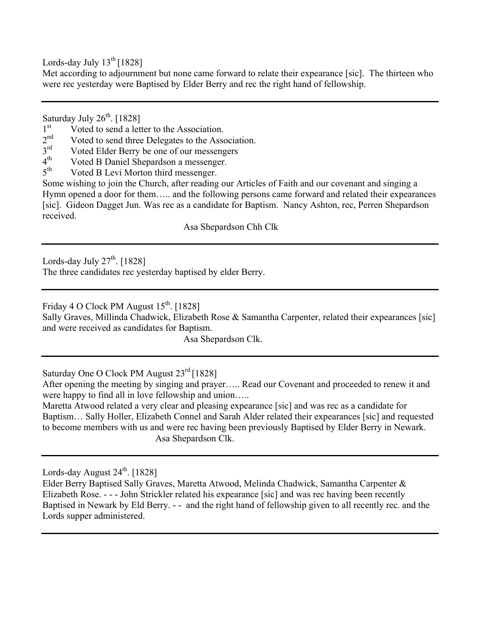Lords-day July  $13^{th}$  [1828]

Met according to adjournment but none came forward to relate their expearance [sic]. The thirteen who were rec yesterday were Baptised by Elder Berry and rec the right hand of fellowship.

Saturday July  $26<sup>th</sup>$ . [1828]

- $1<sup>st</sup>$  Voted to send a letter to the Association.<br>  $2<sup>nd</sup>$  Voted to send three Delegates to the Association.
- $2<sup>nd</sup>$  Voted to send three Delegates to the Association.<br> $3<sup>rd</sup>$  Voted Elder Berry be one of our messengers
- $3<sup>rd</sup>$  Voted Elder Berry be one of our messengers<br>  $4<sup>th</sup>$  Voted B Daniel Shenardson a messenger
- $4<sup>th</sup>$  Voted B Daniel Shepardson a messenger.<br> $5<sup>th</sup>$  Voted B Levi Morton third messenger
- Voted B Levi Morton third messenger.

Some wishing to join the Church, after reading our Articles of Faith and our covenant and singing a Hymn opened a door for them….. and the following persons came forward and related their expearances [sic]. Gideon Dagget Jun. Was rec as a candidate for Baptism. Nancy Ashton, rec, Perren Shepardson received.

Asa Shepardson Chh Clk

Lords-day July  $27<sup>th</sup>$ . [1828]

The three candidates rec yesterday baptised by elder Berry.

Friday 4 O Clock PM August  $15<sup>th</sup>$ . [1828]

Sally Graves, Millinda Chadwick, Elizabeth Rose & Samantha Carpenter, related their expearances [sic] and were received as candidates for Baptism.

Asa Shepardson Clk.

Saturday One O Clock PM August 23<sup>rd</sup> [1828]

After opening the meeting by singing and prayer….. Read our Covenant and proceeded to renew it and were happy to find all in love fellowship and union…..

Maretta Atwood related a very clear and pleasing expearance [sic] and was rec as a candidate for Baptism… Sally Holler, Elizabeth Connel and Sarah Alder related their expearances [sic] and requested to become members with us and were rec having been previously Baptised by Elder Berry in Newark. Asa Shepardson Clk.

Lords-day August  $24^{\text{th}}$ . [1828]

Elder Berry Baptised Sally Graves, Maretta Atwood, Melinda Chadwick, Samantha Carpenter & Elizabeth Rose. - - - John Strickler related his expearance [sic] and was rec having been recently Baptised in Newark by Eld Berry. - - and the right hand of fellowship given to all recently rec. and the Lords supper administered.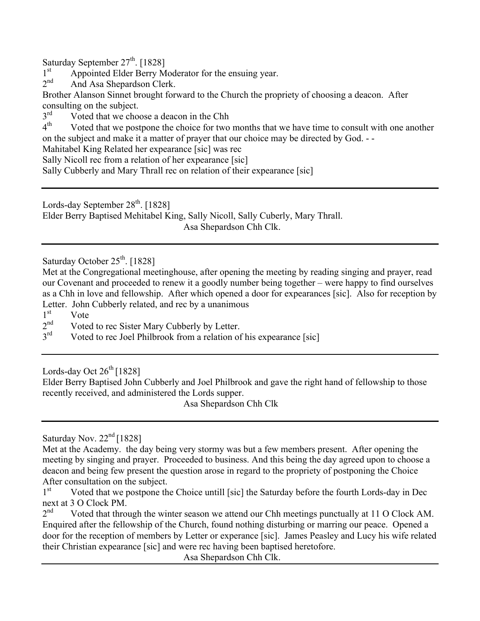Saturday September  $27^{th}$ . [1828]<br>1<sup>st</sup> Appointed Elder Berry M

 $1<sup>st</sup>$  Appointed Elder Berry Moderator for the ensuing year.<br>  $2<sup>nd</sup>$  And Asa Shenardson Clerk

And Asa Shepardson Clerk.

Brother Alanson Sinnet brought forward to the Church the propriety of choosing a deacon. After consulting on the subject.<br> $3<sup>rd</sup>$  Voted that we cho

 $3<sup>rd</sup>$  Voted that we choose a deacon in the Chh<br> $4<sup>th</sup>$  Voted that we postpone the choice for two

Voted that we postpone the choice for two months that we have time to consult with one another on the subject and make it a matter of prayer that our choice may be directed by God. - -

Mahitabel King Related her expearance [sic] was rec

Sally Nicoll rec from a relation of her expearance [sic]

Sally Cubberly and Mary Thrall rec on relation of their expearance [sic]

Lords-day September  $28<sup>th</sup>$ . [1828]

Elder Berry Baptised Mehitabel King, Sally Nicoll, Sally Cuberly, Mary Thrall.

Asa Shepardson Chh Clk.

Saturday October 25<sup>th</sup>. [1828]

Met at the Congregational meetinghouse, after opening the meeting by reading singing and prayer, read our Covenant and proceeded to renew it a goodly number being together – were happy to find ourselves as a Chh in love and fellowship. After which opened a door for expearances [sic]. Also for reception by Letter. John Cubberly related, and rec by a unanimous  $1<sup>st</sup>$  Vote

 $\frac{1}{2}$ <sup>st</sup> Vote

 $2<sup>nd</sup>$  Voted to rec Sister Mary Cubberly by Letter.<br> $3<sup>rd</sup>$  Voted to rec Joel Philbrook from a relation of

Voted to rec Joel Philbrook from a relation of his expearance [sic]

Lords-day Oct  $26^{th}$  [1828]

Elder Berry Baptised John Cubberly and Joel Philbrook and gave the right hand of fellowship to those recently received, and administered the Lords supper.

Asa Shepardson Chh Clk

Saturday Nov. 22<sup>nd</sup> [1828]

Met at the Academy. the day being very stormy was but a few members present. After opening the meeting by singing and prayer. Proceeded to business. And this being the day agreed upon to choose a deacon and being few present the question arose in regard to the propriety of postponing the Choice After consultation on the subject.

1<sup>st</sup> Voted that we postpone the Choice untill [sic] the Saturday before the fourth Lords-day in Dec next at 3 O Clock PM.

 $2<sup>nd</sup>$  Voted that through the winter season we attend our Chh meetings punctually at 11 O Clock AM. Enquired after the fellowship of the Church, found nothing disturbing or marring our peace. Opened a door for the reception of members by Letter or experance [sic]. James Peasley and Lucy his wife related their Christian expearance [sic] and were rec having been baptised heretofore.

Asa Shepardson Chh Clk.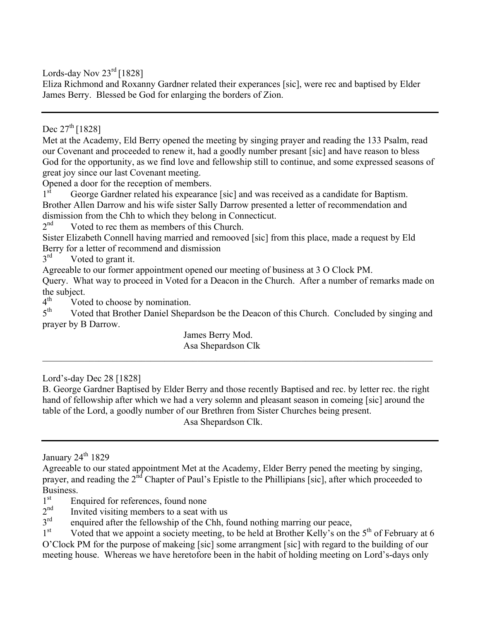Lords-day Nov  $23^{\text{rd}}$  [1828]

Eliza Richmond and Roxanny Gardner related their experances [sic], were rec and baptised by Elder James Berry. Blessed be God for enlarging the borders of Zion.

Dec  $27^{th}$  [1828]

Met at the Academy, Eld Berry opened the meeting by singing prayer and reading the 133 Psalm, read our Covenant and proceeded to renew it, had a goodly number presant [sic] and have reason to bless God for the opportunity, as we find love and fellowship still to continue, and some expressed seasons of great joy since our last Covenant meeting.

Opened a door for the reception of members.

1<sup>st</sup> George Gardner related his expearance [sic] and was received as a candidate for Baptism. Brother Allen Darrow and his wife sister Sally Darrow presented a letter of recommendation and dismission from the Chh to which they belong in Connecticut.<br> $2<sup>nd</sup>$  Voted to rec them as members of this Church

Voted to rec them as members of this Church.

Sister Elizabeth Connell having married and remooved [sic] from this place, made a request by Eld Berry for a letter of recommend and dismission

 $3<sup>rd</sup>$  Voted to grant it.

Agreeable to our former appointment opened our meeting of business at 3 O Clock PM.

Query. What way to proceed in Voted for a Deacon in the Church. After a number of remarks made on the subject.<br> $4^{th}$  Vote

 $4<sup>th</sup>$  Voted to choose by nomination.<br> $5<sup>th</sup>$  Voted that Brother Daniel Shena

Voted that Brother Daniel Shepardson be the Deacon of this Church. Concluded by singing and prayer by B Darrow.

 $\_$  , and the contribution of the contribution of the contribution of the contribution of  $\mathcal{L}_\text{max}$ 

James Berry Mod. Asa Shepardson Clk

Lord's-day Dec 28 [1828]

B. George Gardner Baptised by Elder Berry and those recently Baptised and rec. by letter rec. the right hand of fellowship after which we had a very solemn and pleasant season in comeing [sic] around the table of the Lord, a goodly number of our Brethren from Sister Churches being present.

Asa Shepardson Clk.

January  $24^{\text{th}}$  1829

- $1<sup>st</sup>$  Enquired for references, found none<br>  $2<sup>nd</sup>$  Invited visiting members to a seat with
- $2<sup>nd</sup>$  Invited visiting members to a seat with us<br> $3<sup>rd</sup>$  enquired after the fellowship of the Chh fa
- $3<sup>rd</sup>$  enquired after the fellowship of the Chh, found nothing marring our peace,<br> $1<sup>st</sup>$  Voted that we annoint a society meeting to be held at Brother Kelly's on th

Voted that we appoint a society meeting, to be held at Brother Kelly's on the  $5<sup>th</sup>$  of February at 6 O'Clock PM for the purpose of makeing [sic] some arrangment [sic] with regard to the building of our meeting house. Whereas we have heretofore been in the habit of holding meeting on Lord's-days only

Agreeable to our stated appointment Met at the Academy, Elder Berry pened the meeting by singing, prayer, and reading the 2<sup>nd</sup> Chapter of Paul's Epistle to the Phillipians [sic], after which proceeded to Business.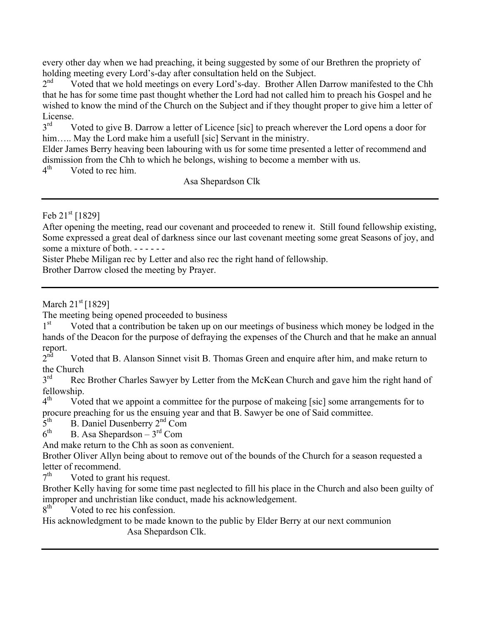every other day when we had preaching, it being suggested by some of our Brethren the propriety of holding meeting every Lord's-day after consultation held on the Subject.<br>
2<sup>nd</sup> Voted that we hold meetings on every Lord's-day. Brother Allen

Voted that we hold meetings on every Lord's-day. Brother Allen Darrow manifested to the Chh that he has for some time past thought whether the Lord had not called him to preach his Gospel and he wished to know the mind of the Church on the Subject and if they thought proper to give him a letter of License.

Voted to give B. Darrow a letter of Licence [sic] to preach wherever the Lord opens a door for him..... May the Lord make him a usefull [sic] Servant in the ministry.

Elder James Berry heaving been labouring with us for some time presented a letter of recommend and dismission from the Chh to which he belongs, wishing to become a member with us.<br> $4<sup>th</sup>$  Voted to rec him

Voted to rec him.

Asa Shepardson Clk

Feb  $21^{st}$  [1829]

After opening the meeting, read our covenant and proceeded to renew it. Still found fellowship existing, Some expressed a great deal of darkness since our last covenant meeting some great Seasons of joy, and some a mixture of both. - - - - - -

Sister Phebe Miligan rec by Letter and also rec the right hand of fellowship.

Brother Darrow closed the meeting by Prayer.

March  $21^{st}$  [1829]

The meeting being opened proceeded to business

 $1<sup>st</sup>$  Voted that a contribution be taken up on our meetings of business which money be lodged in the hands of the Deacon for the purpose of defraying the expenses of the Church and that he make an annual report.<br> $2<sup>nd</sup>$ 

Voted that B. Alanson Sinnet visit B. Thomas Green and enquire after him, and make return to the Church<br> $3<sup>rd</sup>$  Rec

Rec Brother Charles Sawyer by Letter from the McKean Church and gave him the right hand of fellowship.<br> $4^{th}$  Vot

Voted that we appoint a committee for the purpose of makeing [sic] some arrangements for to procure preaching for us the ensuing year and that B. Sawyer be one of Said committee.<br> $5<sup>th</sup>$  B. Daniel Dusenberry  $2<sup>nd</sup>$  Com

 $5<sup>th</sup>$  B. Daniel Dusenberry  $2<sup>nd</sup>$  Com<br>6<sup>th</sup> B. Asa Shenardson – 3<sup>rd</sup> Com

B. Asa Shepardson –  $3<sup>rd</sup>$  Com

And make return to the Chh as soon as convenient.

Brother Oliver Allyn being about to remove out of the bounds of the Church for a season requested a letter of recommend.

 $7<sup>th</sup>$  Voted to grant his request.

Brother Kelly having for some time past neglected to fill his place in the Church and also been guilty of improper and unchristian like conduct, made his acknowledgement.<br> $8<sup>th</sup>$  Voted to rec his confession

Voted to rec his confession.

His acknowledgment to be made known to the public by Elder Berry at our next communion Asa Shepardson Clk.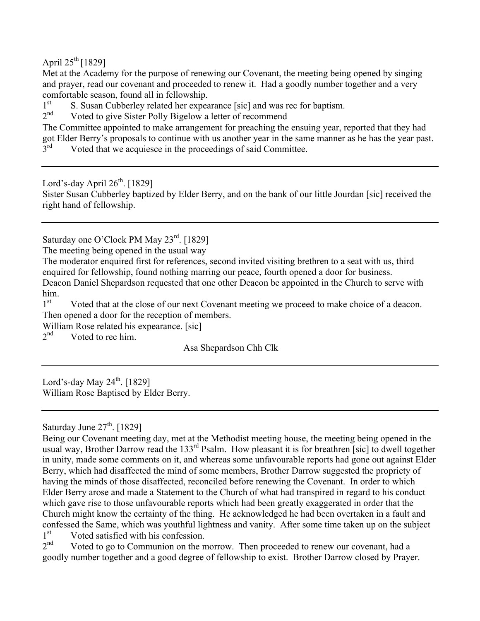April  $25^{th}$  [1829]

Met at the Academy for the purpose of renewing our Covenant, the meeting being opened by singing and prayer, read our covenant and proceeded to renew it. Had a goodly number together and a very comfortable season, found all in fellowship.

 $1<sup>st</sup>$  S. Susan Cubberley related her expearance [sic] and was rec for baptism.<br> $2<sup>nd</sup>$  Voted to give Sister Polly Bigelow a letter of recommend

Voted to give Sister Polly Bigelow a letter of recommend

The Committee appointed to make arrangement for preaching the ensuing year, reported that they had got Elder Berry's proposals to continue with us another year in the same manner as he has the year past.<br>3<sup>rd</sup> Voted that we acquiesce in the proceedings of said Committee Voted that we acquiesce in the proceedings of said Committee.

Lord's-day April  $26<sup>th</sup>$ . [1829]

Sister Susan Cubberley baptized by Elder Berry, and on the bank of our little Jourdan [sic] received the right hand of fellowship.

Saturday one O'Clock PM May 23<sup>rd</sup>. [1829]

The meeting being opened in the usual way

The moderator enquired first for references, second invited visiting brethren to a seat with us, third enquired for fellowship, found nothing marring our peace, fourth opened a door for business. Deacon Daniel Shepardson requested that one other Deacon be appointed in the Church to serve with  $\lim_{1^{st}}$ .

Voted that at the close of our next Covenant meeting we proceed to make choice of a deacon. Then opened a door for the reception of members.

William Rose related his expearance. [sic]  $2<sup>nd</sup>$  Voted to rec him

Voted to rec him.

Asa Shepardson Chh Clk

Lord's-day May  $24^{\text{th}}$ . [1829] William Rose Baptised by Elder Berry.

Saturday June  $27<sup>th</sup>$ . [1829]

Being our Covenant meeting day, met at the Methodist meeting house, the meeting being opened in the usual way, Brother Darrow read the 133<sup>rd</sup> Psalm. How pleasant it is for breathren [sic] to dwell together in unity, made some comments on it, and whereas some unfavourable reports had gone out against Elder Berry, which had disaffected the mind of some members, Brother Darrow suggested the propriety of having the minds of those disaffected, reconciled before renewing the Covenant. In order to which Elder Berry arose and made a Statement to the Church of what had transpired in regard to his conduct which gave rise to those unfavourable reports which had been greatly exaggerated in order that the Church might know the certainty of the thing. He acknowledged he had been overtaken in a fault and confessed the Same, which was youthful lightness and vanity. After some time taken up on the subject

 $1<sup>st</sup>$  Voted satisfied with his confession.<br>  $2<sup>nd</sup>$  Voted to go to Communion on the n Voted to go to Communion on the morrow. Then proceeded to renew our covenant, had a goodly number together and a good degree of fellowship to exist. Brother Darrow closed by Prayer.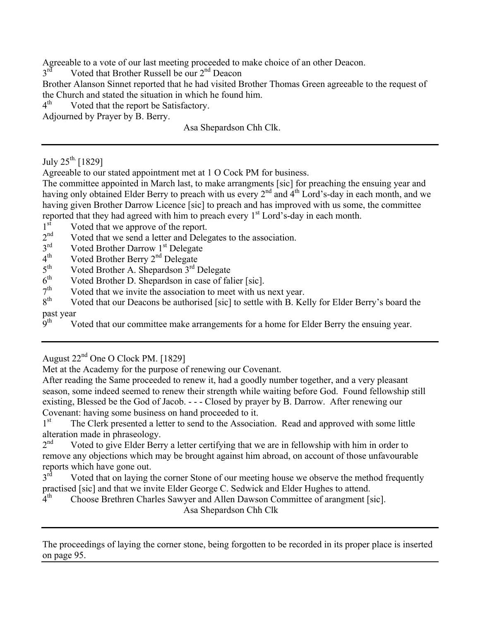Agreeable to a vote of our last meeting proceeded to make choice of an other Deacon.<br> $3<sup>rd</sup>$  Voted that Brother Russell be our  $2<sup>nd</sup>$  Deacon

Voted that Brother Russell be our  $2<sup>nd</sup>$  Deacon

Brother Alanson Sinnet reported that he had visited Brother Thomas Green agreeable to the request of the Church and stated the situation in which he found him.

 $4<sup>th</sup>$  Voted that the report be Satisfactory.

Adjourned by Prayer by B. Berry.

Asa Shepardson Chh Clk.

July  $25^{th}$  [1829]

Agreeable to our stated appointment met at 1 O Cock PM for business.

The committee appointed in March last, to make arrangments [sic] for preaching the ensuing year and having only obtained Elder Berry to preach with us every  $2^{nd}$  and  $4^{th}$  Lord's-day in each month, and we having given Brother Darrow Licence [sic] to preach and has improved with us some, the committee reported that they had agreed with him to preach every  $1<sup>st</sup>$  Lord's-day in each month.

 $1<sup>st</sup>$  Voted that we approve of the report.<br>  $2<sup>nd</sup>$  Voted that we send a letter and Deleg

 $2<sup>nd</sup>$  Voted that we send a letter and Delegates to the association.<br> $3<sup>rd</sup>$  Voted Brother Darrow 1<sup>st</sup> Delegate

 $3<sup>rd</sup>$  Voted Brother Darrow  $1<sup>st</sup>$  Delegate<br>
4<sup>th</sup> Voted Brother Berry 2<sup>nd</sup> Delegate

- $4<sup>th</sup>$  Voted Brother Berry  $2<sup>nd</sup>$  Delegate<br> $5<sup>th</sup>$  Voted Brother A. Shenardson  $3<sup>rd</sup>$  D
- $5<sup>th</sup>$  Voted Brother A. Shepardson  $3<sup>rd</sup>$  Delegate  $6<sup>th</sup>$  Voted Brother D. Shepardson in case of  $f_{0}$ 1
- $6<sup>th</sup>$  Voted Brother D. Shepardson in case of falier [sic].<br> $7<sup>th</sup>$  Voted that we invite the association to meet with us
- $7<sup>th</sup>$  Voted that we invite the association to meet with us next year.<br> $8<sup>th</sup>$  Voted that our Deacons be authorised [sic] to settle with B. Ke

Voted that our Deacons be authorised [sic] to settle with B. Kelly for Elder Berry's board the past year<br>9<sup>th</sup> V

Voted that our committee make arrangements for a home for Elder Berry the ensuing year.

Met at the Academy for the purpose of renewing our Covenant.

After reading the Same proceeded to renew it, had a goodly number together, and a very pleasant season, some indeed seemed to renew their strength while waiting before God. Found fellowship still existing, Blessed be the God of Jacob. - - - Closed by prayer by B. Darrow. After renewing our Covenant: having some business on hand proceeded to it.<br>1<sup>st</sup> The Clerk presented a letter to send to the Associa

The Clerk presented a letter to send to the Association. Read and approved with some little alteration made in phraseology.<br> $2<sup>nd</sup>$  Voted to give Elder Berr

Voted to give Elder Berry a letter certifying that we are in fellowship with him in order to remove any objections which may be brought against him abroad, on account of those unfavourable reports which have gone out.<br>3<sup>rd</sup> Voted that on laving the

Voted that on laying the corner Stone of our meeting house we observe the method frequently practised [sic] and that we invite Elder George C. Sedwick and Elder Hughes to attend.<br>4<sup>th</sup> Choose Brethren Charles Sawver and Allen Dawson Committee of arangment Is

Choose Brethren Charles Sawyer and Allen Dawson Committee of arangment [sic]. Asa Shepardson Chh Clk

The proceedings of laying the corner stone, being forgotten to be recorded in its proper place is inserted on page 95.

August 22nd One O Clock PM. [1829]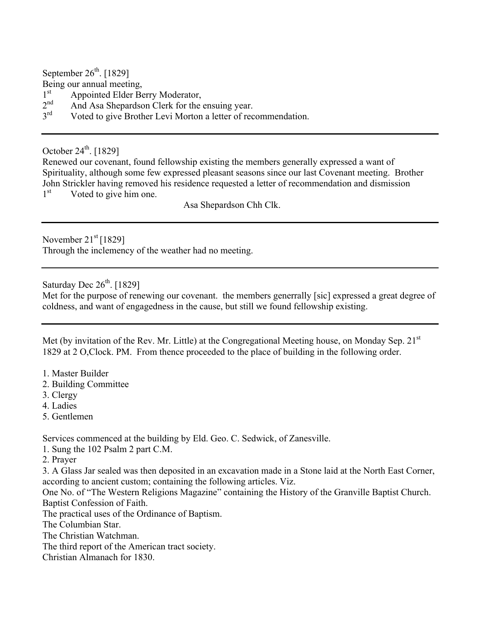September  $26<sup>th</sup>$ . [1829]

Being our annual meeting,

- $1<sup>st</sup>$  Appointed Elder Berry Moderator,<br>  $2<sup>nd</sup>$  And Asa Shenardson Clerk for the
- $2<sup>nd</sup>$  And Asa Shepardson Clerk for the ensuing year.<br> $3<sup>rd</sup>$  Voted to give Brother Levi Morton a letter of rec
- Voted to give Brother Levi Morton a letter of recommendation.

October  $24^{\text{th}}$ . [1829]

Renewed our covenant, found fellowship existing the members generally expressed a want of Spirituality, although some few expressed pleasant seasons since our last Covenant meeting. Brother John Strickler having removed his residence requested a letter of recommendation and dismission  $1<sup>st</sup>$  Voted to give him one.

Asa Shepardson Chh Clk.

November  $21<sup>st</sup>$  [1829]

Through the inclemency of the weather had no meeting.

Saturday Dec  $26<sup>th</sup>$ . [1829]

Met for the purpose of renewing our covenant. the members generrally [sic] expressed a great degree of coldness, and want of engagedness in the cause, but still we found fellowship existing.

Met (by invitation of the Rev. Mr. Little) at the Congregational Meeting house, on Monday Sep.  $21<sup>st</sup>$ 1829 at 2 O,Clock. PM. From thence proceeded to the place of building in the following order.

- 1. Master Builder
- 2. Building Committee
- 3. Clergy
- 4. Ladies
- 5. Gentlemen

Services commenced at the building by Eld. Geo. C. Sedwick, of Zanesville.

1. Sung the 102 Psalm 2 part C.M.

2. Prayer

3. A Glass Jar sealed was then deposited in an excavation made in a Stone laid at the North East Corner, according to ancient custom; containing the following articles. Viz.

One No. of "The Western Religions Magazine" containing the History of the Granville Baptist Church. Baptist Confession of Faith.

The practical uses of the Ordinance of Baptism.

The Columbian Star.

The Christian Watchman.

- The third report of the American tract society.
- Christian Almanach for 1830.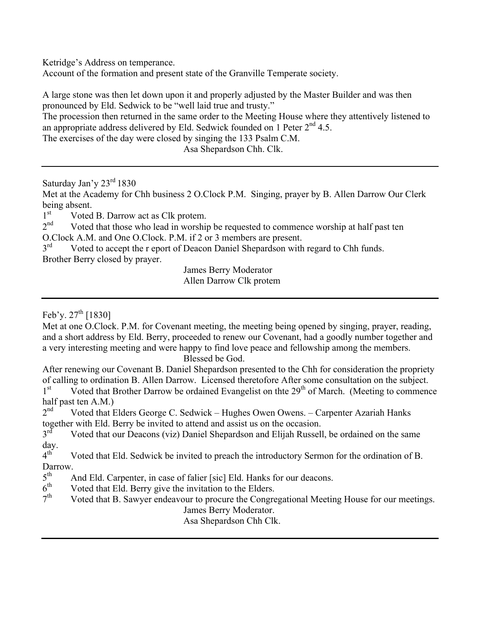Ketridge's Address on temperance.

Account of the formation and present state of the Granville Temperate society.

A large stone was then let down upon it and properly adjusted by the Master Builder and was then pronounced by Eld. Sedwick to be "well laid true and trusty."

The procession then returned in the same order to the Meeting House where they attentively listened to an appropriate address delivered by Eld. Sedwick founded on 1 Peter  $2<sup>nd</sup> 4.5$ .

The exercises of the day were closed by singing the 133 Psalm C.M.

Asa Shepardson Chh. Clk.

Saturday Jan'y 23rd 1830

Met at the Academy for Chh business 2 O.Clock P.M. Singing, prayer by B. Allen Darrow Our Clerk being absent.<br>1<sup>st</sup> Voted

 $1<sup>st</sup>$  Voted B. Darrow act as Clk protem.<br>  $2<sup>nd</sup>$  Voted that those who lead in worship

Voted that those who lead in worship be requested to commence worship at half past ten O.Clock A.M. and One O.Clock. P.M. if 2 or 3 members are present.<br>3<sup>rd</sup> Voted to accent the r enort of Deacon Daniel Shenardson with

Voted to accept the r eport of Deacon Daniel Shepardson with regard to Chh funds. Brother Berry closed by prayer.

James Berry Moderator Allen Darrow Clk protem

Feb'y.  $27^{th}$  [1830]

Met at one O.Clock. P.M. for Covenant meeting, the meeting being opened by singing, prayer, reading, and a short address by Eld. Berry, proceeded to renew our Covenant, had a goodly number together and a very interesting meeting and were happy to find love peace and fellowship among the members. Blessed be God.

After renewing our Covenant B. Daniel Shepardson presented to the Chh for consideration the propriety of calling to ordination B. Allen Darrow. Licensed theretofore After some consultation on the subject.

 $1<sup>st</sup>$  Voted that Brother Darrow be ordained Evangelist on thte  $29<sup>th</sup>$  of March. (Meeting to commence half past ten A.M.)<br> $2<sup>nd</sup>$  Voted that F

Voted that Elders George C. Sedwick – Hughes Owen Owens. – Carpenter Azariah Hanks together with Eld. Berry be invited to attend and assist us on the occasion.<br>3<sup>rd</sup> Voted that our Deacons (viz) Daniel Shenardson and Elijah Russell

Voted that our Deacons (viz) Daniel Shepardson and Elijah Russell, be ordained on the same  $\frac{day}{4^{\text{th}}}$ .

Voted that Eld. Sedwick be invited to preach the introductory Sermon for the ordination of B. Darrow.

 $5<sup>th</sup>$  And Eld. Carpenter, in case of falier [sic] Eld. Hanks for our deacons.<br> $6<sup>th</sup>$  Voted that Eld. Berry give the invitation to the Elders

- $6<sup>th</sup>$  Voted that Eld. Berry give the invitation to the Elders.<br> $7<sup>th</sup>$  Voted that B. Sawyer endeavour to procure the Congre
- Voted that B. Sawyer endeavour to procure the Congregational Meeting House for our meetings. James Berry Moderator.

Asa Shepardson Chh Clk.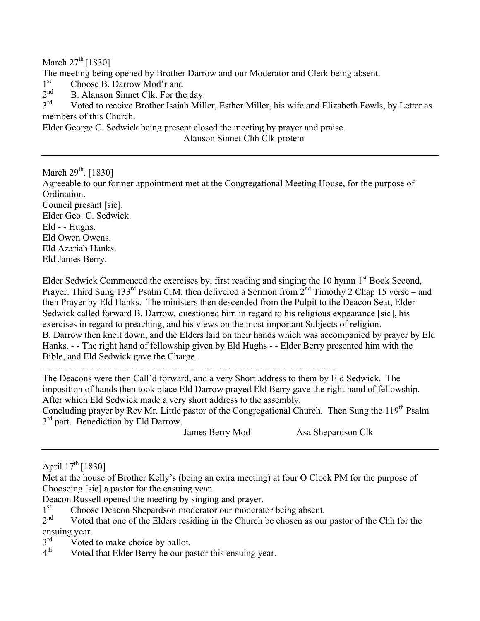March  $27<sup>th</sup>$  [1830]

The meeting being opened by Brother Darrow and our Moderator and Clerk being absent.

 $1<sup>st</sup>$  Choose B. Darrow Mod'r and<br> $2<sup>nd</sup>$  B. Alanson Sinnet Clk. For the

 $2<sup>nd</sup>$  B. Alanson Sinnet Clk. For the day.<br> $3<sup>rd</sup>$  Voted to receive Brother Isaiah Mill

Voted to receive Brother Isaiah Miller, Esther Miller, his wife and Elizabeth Fowls, by Letter as members of this Church.

Elder George C. Sedwick being present closed the meeting by prayer and praise. Alanson Sinnet Chh Clk protem

March 29<sup>th</sup>. [1830]

Agreeable to our former appointment met at the Congregational Meeting House, for the purpose of Ordination. Council presant [sic]. Elder Geo. C. Sedwick.

Eld - - Hughs.

Eld Owen Owens.

Eld Azariah Hanks.

Eld James Berry.

Elder Sedwick Commenced the exercises by, first reading and singing the 10 hymn 1<sup>st</sup> Book Second, Prayer. Third Sung 133<sup>rd</sup> Psalm C.M. then delivered a Sermon from  $2<sup>nd</sup>$  Timothy 2 Chap 15 verse – and then Prayer by Eld Hanks. The ministers then descended from the Pulpit to the Deacon Seat, Elder Sedwick called forward B. Darrow, questioned him in regard to his religious expearance [sic], his exercises in regard to preaching, and his views on the most important Subjects of religion. B. Darrow then knelt down, and the Elders laid on their hands which was accompanied by prayer by Eld Hanks. - - The right hand of fellowship given by Eld Hughs - - Elder Berry presented him with the Bible, and Eld Sedwick gave the Charge.

- - - - - - - - - - - - - - - - - - - - - - - - - - - - - - - - - - - - - - - - - - - - - - - - - - - - - -

The Deacons were then Call'd forward, and a very Short address to them by Eld Sedwick. The imposition of hands then took place Eld Darrow prayed Eld Berry gave the right hand of fellowship. After which Eld Sedwick made a very short address to the assembly.

Concluding prayer by Rev Mr. Little pastor of the Congregational Church. Then Sung the 119<sup>th</sup> Psalm  $3<sup>rd</sup>$  part. Benediction by Eld Darrow.

James Berry Mod Asa Shepardson Clk

April  $17^{th}$  [1830]

Met at the house of Brother Kelly's (being an extra meeting) at four O Clock PM for the purpose of Chooseing [sic] a pastor for the ensuing year.

Deacon Russell opened the meeting by singing and prayer.<br>1<sup>st</sup> Choose Deacon Shenardson moderator our moderat

 $1<sup>st</sup>$  Choose Deacon Shepardson moderator our moderator being absent.<br> $2<sup>nd</sup>$  Voted that one of the Elders residing in the Church be chosen as our

Voted that one of the Elders residing in the Church be chosen as our pastor of the Chh for the ensuing year.<br>3<sup>rd</sup> Voted

 $3<sup>rd</sup>$  Voted to make choice by ballot.<br> $4<sup>th</sup>$  Voted that Elder Berry be our pa

Voted that Elder Berry be our pastor this ensuing year.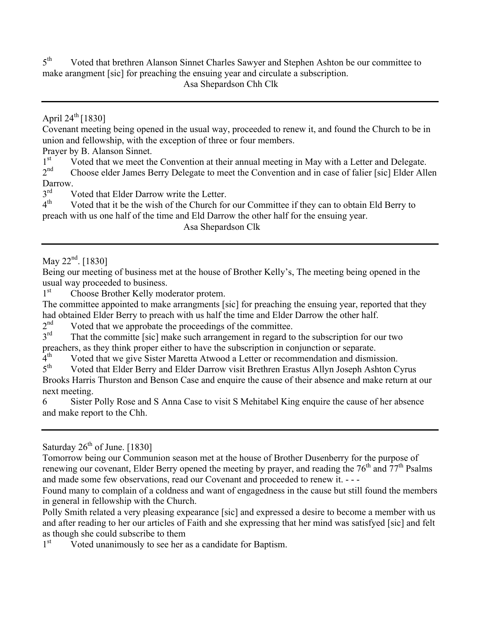$5<sup>th</sup>$  Voted that brethren Alanson Sinnet Charles Sawyer and Stephen Ashton be our committee to make arangment [sic] for preaching the ensuing year and circulate a subscription. Asa Shepardson Chh Clk

### April  $24^{th}$  [1830]

Covenant meeting being opened in the usual way, proceeded to renew it, and found the Church to be in union and fellowship, with the exception of three or four members.

Prayer by B. Alanson Sinnet.<br>1<sup>st</sup> Voted that we meet the

 $1<sup>st</sup>$  Voted that we meet the Convention at their annual meeting in May with a Letter and Delegate.<br> $2<sup>nd</sup>$  Choose elder James Berry Delegate to meet the Convention and in case of falier [sic] Elder All

Choose elder James Berry Delegate to meet the Convention and in case of falier [sic] Elder Allen Darrow.

 $3<sup>rd</sup>$  Voted that Elder Darrow write the Letter.<br>  $4<sup>th</sup>$  Voted that it be the wish of the Church for

Voted that it be the wish of the Church for our Committee if they can to obtain Eld Berry to preach with us one half of the time and Eld Darrow the other half for the ensuing year.

Asa Shepardson Clk

May  $22^{nd}$ . [1830]

Being our meeting of business met at the house of Brother Kelly's, The meeting being opened in the usual way proceeded to business.

1<sup>st</sup> Choose Brother Kelly moderator protem.

The committee appointed to make arrangments [sic] for preaching the ensuing year, reported that they had obtained Elder Berry to preach with us half the time and Elder Darrow the other half.<br> $2<sup>nd</sup>$  Voted that we annophate the proceedings of the committee

 $2<sup>nd</sup>$  Voted that we approbate the proceedings of the committee.<br> $3<sup>rd</sup>$  That the committe [sic] make such arrangement in regard to

That the committe [sic] make such arrangement in regard to the subscription for our two preachers, as they think proper either to have the subscription in conjunction or separate.

 $4<sup>th</sup>$  Voted that we give Sister Maretta Atwood a Letter or recommendation and dismission.<br> $5<sup>th</sup>$  Voted that Elder Berry and Elder Darrow visit Brethren Erastus Allyn Joseph Ashton C

Voted that Elder Berry and Elder Darrow visit Brethren Erastus Allyn Joseph Ashton Cyrus Brooks Harris Thurston and Benson Case and enquire the cause of their absence and make return at our next meeting.

6 Sister Polly Rose and S Anna Case to visit S Mehitabel King enquire the cause of her absence and make report to the Chh.

### Saturday  $26<sup>th</sup>$  of June. [1830]

Tomorrow being our Communion season met at the house of Brother Dusenberry for the purpose of renewing our covenant, Elder Berry opened the meeting by prayer, and reading the  $76<sup>th</sup>$  and  $77<sup>th</sup>$  Psalms and made some few observations, read our Covenant and proceeded to renew it. - - -

Found many to complain of a coldness and want of engagedness in the cause but still found the members in general in fellowship with the Church.

Polly Smith related a very pleasing expearance [sic] and expressed a desire to become a member with us and after reading to her our articles of Faith and she expressing that her mind was satisfyed [sic] and felt as though she could subscribe to them

1<sup>st</sup> Voted unanimously to see her as a candidate for Baptism.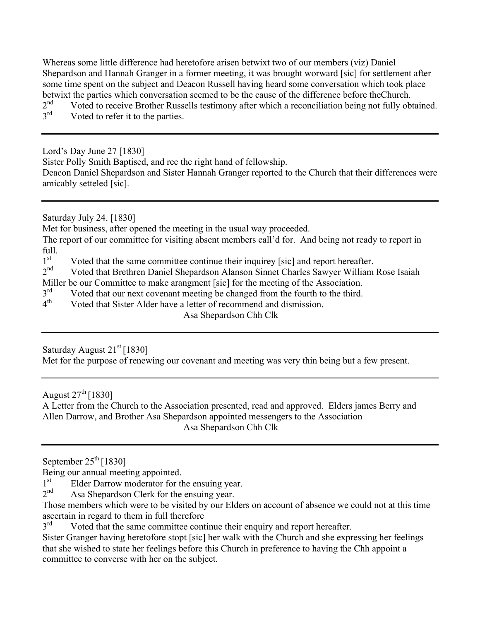Whereas some little difference had heretofore arisen betwixt two of our members (viz) Daniel Shepardson and Hannah Granger in a former meeting, it was brought worward [sic] for settlement after some time spent on the subject and Deacon Russell having heard some conversation which took place betwixt the parties which conversation seemed to be the cause of the difference before theChurch.<br>2<sup>nd</sup> Voted to receive Brother Russells testimony after which a reconciliation being not fully obt

- $2<sup>nd</sup>$  Voted to receive Brother Russells testimony after which a reconciliation being not fully obtained.<br> $3<sup>rd</sup>$  Voted to refer it to the parties
- Voted to refer it to the parties.

Lord's Day June 27 [1830] Sister Polly Smith Baptised, and rec the right hand of fellowship. Deacon Daniel Shepardson and Sister Hannah Granger reported to the Church that their differences were amicably setteled [sic].

Saturday July 24. [1830]

Met for business, after opened the meeting in the usual way proceeded.

The report of our committee for visiting absent members call'd for. And being not ready to report in full.<br> $1^{\text{st}}$ 

 $1<sup>st</sup>$  Voted that the same committee continue their inquirey [sic] and report hereafter.<br>  $2<sup>nd</sup>$  Voted that Brethren Daniel Shenardson Alanson Sinnet Charles Sawyer William

Voted that Brethren Daniel Shepardson Alanson Sinnet Charles Sawyer William Rose Isaiah

Miller be our Committee to make arangment [sic] for the meeting of the Association.

 $3<sup>rd</sup>$  Voted that our next covenant meeting be changed from the fourth to the third.<br> $4<sup>th</sup>$  Voted that Sister Alder have a letter of recommend and dismission

Voted that Sister Alder have a letter of recommend and dismission.

Asa Shepardson Chh Clk

Saturday August  $21<sup>st</sup>$  [1830]

Met for the purpose of renewing our covenant and meeting was very thin being but a few present.

August  $27^{th}$  [1830]

A Letter from the Church to the Association presented, read and approved. Elders james Berry and Allen Darrow, and Brother Asa Shepardson appointed messengers to the Association Asa Shepardson Chh Clk

September  $25<sup>th</sup>$  [1830]

Being our annual meeting appointed.

 $1<sup>st</sup>$  Elder Darrow moderator for the ensuing year.<br> $2<sup>nd</sup>$  Asa Shenardson Clerk for the ensuing year.

Asa Shepardson Clerk for the ensuing year.

Those members which were to be visited by our Elders on account of absence we could not at this time ascertain in regard to them in full therefore  $3<sup>rd</sup>$  Voted that the same committee cont

Voted that the same committee continue their enquiry and report hereafter.

Sister Granger having heretofore stopt [sic] her walk with the Church and she expressing her feelings that she wished to state her feelings before this Church in preference to having the Chh appoint a committee to converse with her on the subject.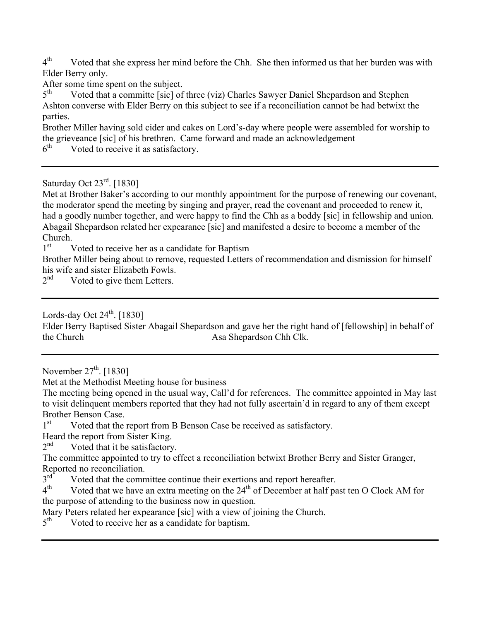$4<sup>th</sup>$  Voted that she express her mind before the Chh. She then informed us that her burden was with Elder Berry only.

After some time spent on the subject.

5<sup>th</sup> Voted that a committe [sic] of three (viz) Charles Sawyer Daniel Shepardson and Stephen Ashton converse with Elder Berry on this subject to see if a reconciliation cannot be had betwixt the parties.

Brother Miller having sold cider and cakes on Lord's-day where people were assembled for worship to the grieveance [sic] of his brethren. Came forward and made an acknowledgement  $6<sup>th</sup>$  Voted to receive it as satisfactory

Voted to receive it as satisfactory.

Saturday Oct  $23^{\text{rd}}$ . [1830]

Met at Brother Baker's according to our monthly appointment for the purpose of renewing our covenant, the moderator spend the meeting by singing and prayer, read the covenant and proceeded to renew it, had a goodly number together, and were happy to find the Chh as a boddy [sic] in fellowship and union. Abagail Shepardson related her expearance [sic] and manifested a desire to become a member of the Church.<br> $1<sup>st</sup>$ 

Voted to receive her as a candidate for Baptism

Brother Miller being about to remove, requested Letters of recommendation and dismission for himself his wife and sister Elizabeth Fowls.<br> $2<sup>nd</sup>$  Voted to give them Letters

Voted to give them Letters.

Lords-day Oct  $24^{\text{th}}$ . [1830]

Elder Berry Baptised Sister Abagail Shepardson and gave her the right hand of [fellowship] in behalf of the Church Asa Shepardson Chh Clk.

November  $27^{\text{th}}$ . [1830]

Met at the Methodist Meeting house for business

The meeting being opened in the usual way, Call'd for references. The committee appointed in May last to visit delinquent members reported that they had not fully ascertain'd in regard to any of them except Brother Benson Case.<br>1<sup>st</sup> Voted that the

Voted that the report from B Benson Case be received as satisfactory.

Heard the report from Sister King.<br> $2<sup>nd</sup>$  Voted that it be satisfactory

Voted that it be satisfactory.

The committee appointed to try to effect a reconciliation betwixt Brother Berry and Sister Granger, Reported no reconciliation.<br> $3<sup>rd</sup>$  Voted that the comm

 $3<sup>rd</sup>$  Voted that the committee continue their exertions and report hereafter.<br>  $4<sup>th</sup>$  Voted that we have an extra meeting on the 24<sup>th</sup> of December at half pa

Voted that we have an extra meeting on the  $24<sup>th</sup>$  of December at half past ten O Clock AM for the purpose of attending to the business now in question.

Mary Peters related her expearance [sic] with a view of joining the Church.<br> $5<sup>th</sup>$  Voted to receive her as a candidate for bantism

Voted to receive her as a candidate for baptism.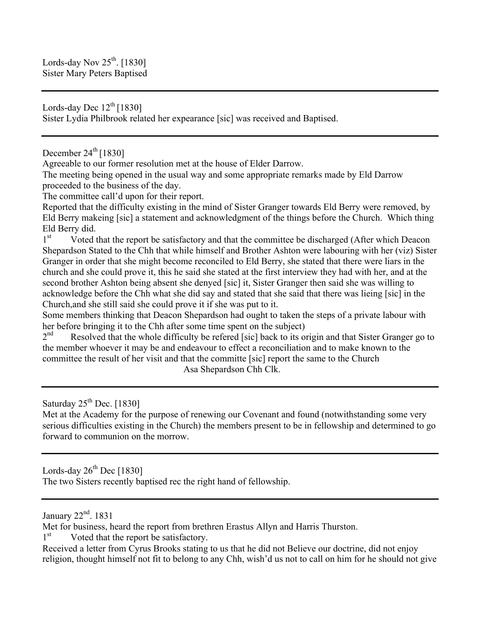Lords-day Nov  $25^{th}$ . [1830] Sister Mary Peters Baptised

Lords-day Dec  $12^{th}$  [1830] Sister Lydia Philbrook related her expearance [sic] was received and Baptised.

December  $24<sup>th</sup>$  [1830]

Agreeable to our former resolution met at the house of Elder Darrow.

The meeting being opened in the usual way and some appropriate remarks made by Eld Darrow proceeded to the business of the day.

The committee call'd upon for their report.

Reported that the difficulty existing in the mind of Sister Granger towards Eld Berry were removed, by Eld Berry makeing [sic] a statement and acknowledgment of the things before the Church. Which thing Eld Berry did.

1<sup>st</sup> Voted that the report be satisfactory and that the committee be discharged (After which Deacon Shepardson Stated to the Chh that while himself and Brother Ashton were labouring with her (viz) Sister Granger in order that she might become reconciled to Eld Berry, she stated that there were liars in the church and she could prove it, this he said she stated at the first interview they had with her, and at the second brother Ashton being absent she denyed [sic] it, Sister Granger then said she was willing to acknowledge before the Chh what she did say and stated that she said that there was lieing [sic] in the Church,and she still said she could prove it if she was put to it.

Some members thinking that Deacon Shepardson had ought to taken the steps of a private labour with her before bringing it to the Chh after some time spent on the subject)

 $2<sup>nd</sup>$  Resolved that the whole difficulty be refered [sic] back to its origin and that Sister Granger go to the member whoever it may be and endeavour to effect a reconciliation and to make known to the committee the result of her visit and that the committe [sic] report the same to the Church Asa Shepardson Chh Clk.

Saturday  $25<sup>th</sup>$  Dec. [1830]

Met at the Academy for the purpose of renewing our Covenant and found (notwithstanding some very serious difficulties existing in the Church) the members present to be in fellowship and determined to go forward to communion on the morrow.

Lords-day  $26^{th}$  Dec [1830] The two Sisters recently baptised rec the right hand of fellowship.

January  $22<sup>nd</sup>$ . 1831

Met for business, heard the report from brethren Erastus Allyn and Harris Thurston.

1<sup>st</sup> Voted that the report be satisfactory.

Received a letter from Cyrus Brooks stating to us that he did not Believe our doctrine, did not enjoy religion, thought himself not fit to belong to any Chh, wish'd us not to call on him for he should not give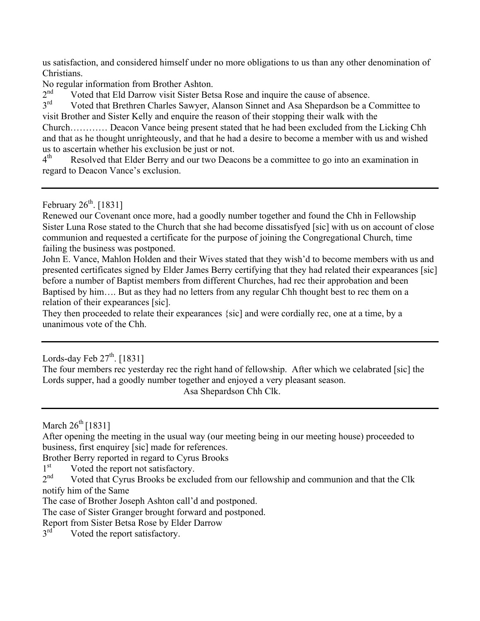us satisfaction, and considered himself under no more obligations to us than any other denomination of Christians.

No regular information from Brother Ashton.

 $2<sup>nd</sup>$  Voted that Eld Darrow visit Sister Betsa Rose and inquire the cause of absence.<br> $3<sup>rd</sup>$  Voted that Brethren Charles Sawver, Alanson Sinnet and Asa Shenardson be a C

Voted that Brethren Charles Sawyer, Alanson Sinnet and Asa Shepardson be a Committee to visit Brother and Sister Kelly and enquire the reason of their stopping their walk with the Church………… Deacon Vance being present stated that he had been excluded from the Licking Chh and that as he thought unrighteously, and that he had a desire to become a member with us and wished us to ascertain whether his exclusion be just or not.

 $4<sup>th</sup>$  Resolved that Elder Berry and our two Deacons be a committee to go into an examination in regard to Deacon Vance's exclusion.

February  $26<sup>th</sup>$ . [1831]

Renewed our Covenant once more, had a goodly number together and found the Chh in Fellowship Sister Luna Rose stated to the Church that she had become dissatisfyed [sic] with us on account of close communion and requested a certificate for the purpose of joining the Congregational Church, time failing the business was postponed.

John E. Vance, Mahlon Holden and their Wives stated that they wish'd to become members with us and presented certificates signed by Elder James Berry certifying that they had related their expearances [sic] before a number of Baptist members from different Churches, had rec their approbation and been Baptised by him…. But as they had no letters from any regular Chh thought best to rec them on a relation of their expearances [sic].

They then proceeded to relate their expearances {sic] and were cordially rec, one at a time, by a unanimous vote of the Chh.

Lords-day Feb  $27<sup>th</sup>$ . [1831]

The four members rec yesterday rec the right hand of fellowship. After which we celabrated [sic] the Lords supper, had a goodly number together and enjoyed a very pleasant season. Asa Shepardson Chh Clk.

March  $26^{th}$  [1831]

After opening the meeting in the usual way (our meeting being in our meeting house) proceeded to business, first enquirey [sic] made for references.

Brother Berry reported in regard to Cyrus Brooks

 $1<sup>st</sup>$  Voted the report not satisfactory.<br>  $2<sup>nd</sup>$  Voted that Cyrus Brooks be exclu

Voted that Cyrus Brooks be excluded from our fellowship and communion and that the Clk notify him of the Same

The case of Brother Joseph Ashton call'd and postponed.

The case of Sister Granger brought forward and postponed.

Report from Sister Betsa Rose by Elder Darrow<br> $3<sup>rd</sup>$  Voted the report satisfactory

Voted the report satisfactory.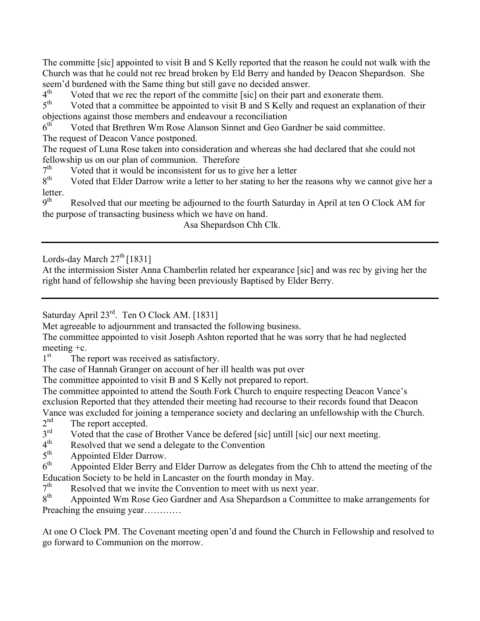The committe [sic] appointed to visit B and S Kelly reported that the reason he could not walk with the Church was that he could not rec bread broken by Eld Berry and handed by Deacon Shepardson. She seem'd burdened with the Same thing but still gave no decided answer.

 $4<sup>th</sup>$  Voted that we rec the report of the committe [sic] on their part and exonerate them.<br> $5<sup>th</sup>$  Voted that a committee be appointed to visit B and S Kelly and request an explanati

Voted that a committee be appointed to visit B and S Kelly and request an explanation of their objections against those members and endeavour a reconciliation

 $6<sup>th</sup>$  Voted that Brethren Wm Rose Alanson Sinnet and Geo Gardner be said committee. The request of Deacon Vance postponed.

The request of Luna Rose taken into consideration and whereas she had declared that she could not fellowship us on our plan of communion. Therefore  $7<sup>th</sup>$  Voted that it would be inconsistent for us to g

 $7<sup>th</sup>$  Voted that it would be inconsistent for us to give her a letter  $8<sup>th</sup>$  Voted that Elder Darrow write a letter to her stating to her the

Voted that Elder Darrow write a letter to her stating to her the reasons why we cannot give her a letter.<br> $9^{\text{th}}$ 

Resolved that our meeting be adjourned to the fourth Saturday in April at ten O Clock AM for the purpose of transacting business which we have on hand.

Asa Shepardson Chh Clk.

Lords-day March  $27<sup>th</sup>$  [1831]

At the intermission Sister Anna Chamberlin related her expearance [sic] and was rec by giving her the right hand of fellowship she having been previously Baptised by Elder Berry.

Saturday April 23<sup>rd</sup>. Ten O Clock AM. [1831]

Met agreeable to adjournment and transacted the following business.

The committee appointed to visit Joseph Ashton reported that he was sorry that he had neglected meeting +c.

1<sup>st</sup> The report was received as satisfactory.

The case of Hannah Granger on account of her ill health was put over

The committee appointed to visit B and S Kelly not prepared to report.

The committee appointed to attend the South Fork Church to enquire respecting Deacon Vance's exclusion Reported that they attended their meeting had recourse to their records found that Deacon

Vance was excluded for joining a temperance society and declaring an unfellowship with the Church.<br> $2<sup>nd</sup>$  The report accepted  $2<sup>nd</sup>$  The report accepted.<br> $3<sup>rd</sup>$  Voted that the case o

 $3<sup>rd</sup>$  Voted that the case of Brother Vance be defered [sic] untill [sic] our next meeting.<br> $4<sup>th</sup>$  Resolved that we send a delegate to the Convention

 $4<sup>th</sup>$  Resolved that we send a delegate to the Convention<br> $5<sup>th</sup>$  Appointed Elder Darrow

 $5<sup>th</sup>$  Appointed Elder Darrow.<br> $6<sup>th</sup>$  Appointed Elder Berry an

Appointed Elder Berry and Elder Darrow as delegates from the Chh to attend the meeting of the Education Society to be held in Lancaster on the fourth monday in May.<br> $7<sup>th</sup>$  Resolved that we invite the Convention to meet with us next vear

 $7<sup>th</sup>$  Resolved that we invite the Convention to meet with us next year.<br> $8<sup>th</sup>$  Annointed Wm Rose Geo Gardner and Asa Shenardson a Commit

Appointed Wm Rose Geo Gardner and Asa Shepardson a Committee to make arrangements for Preaching the ensuing year…………

At one O Clock PM. The Covenant meeting open'd and found the Church in Fellowship and resolved to go forward to Communion on the morrow.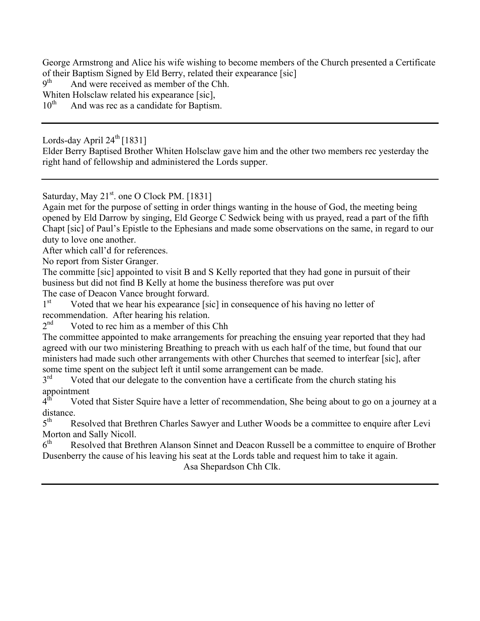George Armstrong and Alice his wife wishing to become members of the Church presented a Certificate of their Baptism Signed by Eld Berry, related their expearance [sic]  $q<sup>th</sup>$  And were received as member of the Chh

And were received as member of the Chh.

Whiten Holsclaw related his expearance [sic],

10<sup>th</sup> And was rec as a candidate for Baptism.

Lords-day April  $24^{\text{th}}$  [1831]

Elder Berry Baptised Brother Whiten Holsclaw gave him and the other two members rec yesterday the right hand of fellowship and administered the Lords supper.

Saturday, May  $21<sup>st</sup>$  one O Clock PM. [1831]

Again met for the purpose of setting in order things wanting in the house of God, the meeting being opened by Eld Darrow by singing, Eld George C Sedwick being with us prayed, read a part of the fifth Chapt [sic] of Paul's Epistle to the Ephesians and made some observations on the same, in regard to our duty to love one another.

After which call'd for references.

No report from Sister Granger.

The committe [sic] appointed to visit B and S Kelly reported that they had gone in pursuit of their business but did not find B Kelly at home the business therefore was put over

The case of Deacon Vance brought forward.

 $1<sup>st</sup>$  Voted that we hear his expearance [sic] in consequence of his having no letter of recommendation. After hearing his relation.<br> $2<sup>nd</sup>$  Voted to rec him as a member of this

Voted to rec him as a member of this Chh

The committee appointed to make arrangements for preaching the ensuing year reported that they had agreed with our two ministering Breathing to preach with us each half of the time, but found that our ministers had made such other arrangements with other Churches that seemed to interfear [sic], after some time spent on the subject left it until some arrangement can be made.<br> $3<sup>rd</sup>$  Voted that our delegate to the convention have a certificate from the

Voted that our delegate to the convention have a certificate from the church stating his appointment<br> $4^{\text{th}}$  Voted

Voted that Sister Squire have a letter of recommendation, She being about to go on a journey at a distance.<br> $5^{\text{th}}$  R

Resolved that Brethren Charles Sawyer and Luther Woods be a committee to enquire after Levi Morton and Sally Nicoll.

 $6<sup>th</sup>$  Resolved that Brethren Alanson Sinnet and Deacon Russell be a committee to enquire of Brother Dusenberry the cause of his leaving his seat at the Lords table and request him to take it again.

Asa Shepardson Chh Clk.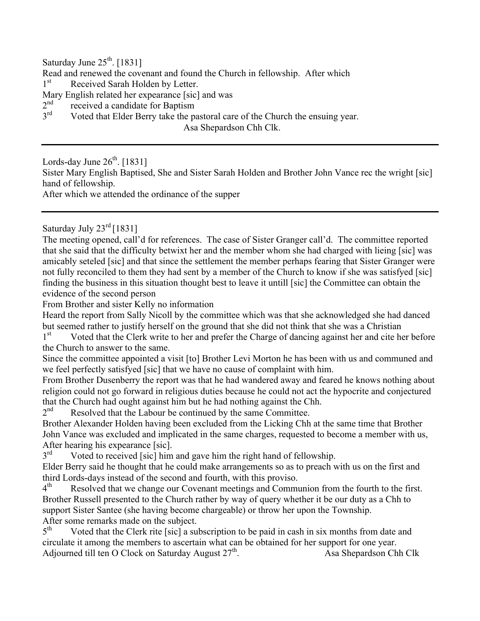Saturday June  $25<sup>th</sup>$ . [1831]

Read and renewed the covenant and found the Church in fellowship. After which

1<sup>st</sup> Received Sarah Holden by Letter.

Mary English related her expearance [sic] and was<br> $2<sup>nd</sup>$  received a candidate for Bantism

- $2<sup>nd</sup>$  received a candidate for Baptism<br> $3<sup>rd</sup>$  Voted that Elder Berry take the na
- Voted that Elder Berry take the pastoral care of the Church the ensuing year.

Asa Shepardson Chh Clk.

Lords-day June  $26<sup>th</sup>$ . [1831] Sister Mary English Baptised, She and Sister Sarah Holden and Brother John Vance rec the wright [sic] hand of fellowship.

After which we attended the ordinance of the supper

Saturday July  $23^{\text{rd}}$  [1831]

The meeting opened, call'd for references. The case of Sister Granger call'd. The committee reported that she said that the difficulty betwixt her and the member whom she had charged with lieing [sic] was amicably seteled [sic] and that since the settlement the member perhaps fearing that Sister Granger were not fully reconciled to them they had sent by a member of the Church to know if she was satisfyed [sic] finding the business in this situation thought best to leave it untill [sic] the Committee can obtain the evidence of the second person

From Brother and sister Kelly no information

Heard the report from Sally Nicoll by the committee which was that she acknowledged she had danced but seemed rather to justify herself on the ground that she did not think that she was a Christian

1<sup>st</sup> Voted that the Clerk write to her and prefer the Charge of dancing against her and cite her before the Church to answer to the same.

Since the committee appointed a visit [to] Brother Levi Morton he has been with us and communed and we feel perfectly satisfyed [sic] that we have no cause of complaint with him.

From Brother Dusenberry the report was that he had wandered away and feared he knows nothing about religion could not go forward in religious duties because he could not act the hypocrite and conjectured that the Church had ought against him but he had nothing against the Chh.

 $2<sup>nd</sup>$  Resolved that the Labour be continued by the same Committee.

Brother Alexander Holden having been excluded from the Licking Chh at the same time that Brother John Vance was excluded and implicated in the same charges, requested to become a member with us, After hearing his expearance [sic].<br> $3<sup>rd</sup>$  Voted to received [sic] him

Voted to received [sic] him and gave him the right hand of fellowship.

Elder Berry said he thought that he could make arrangements so as to preach with us on the first and third Lords-days instead of the second and fourth, with this proviso.<br>4<sup>th</sup> Resolved that we change our Covenant meetings and Commun

Resolved that we change our Covenant meetings and Communion from the fourth to the first. Brother Russell presented to the Church rather by way of query whether it be our duty as a Chh to support Sister Santee (she having become chargeable) or throw her upon the Township. After some remarks made on the subject.<br> $5<sup>th</sup>$  Voted that the Clerk rite [sic] a su

Voted that the Clerk rite [sic] a subscription to be paid in cash in six months from date and circulate it among the members to ascertain what can be obtained for her support for one year. Adjourned till ten O Clock on Saturday August  $27<sup>th</sup>$ . Asa Shepardson Chh Clk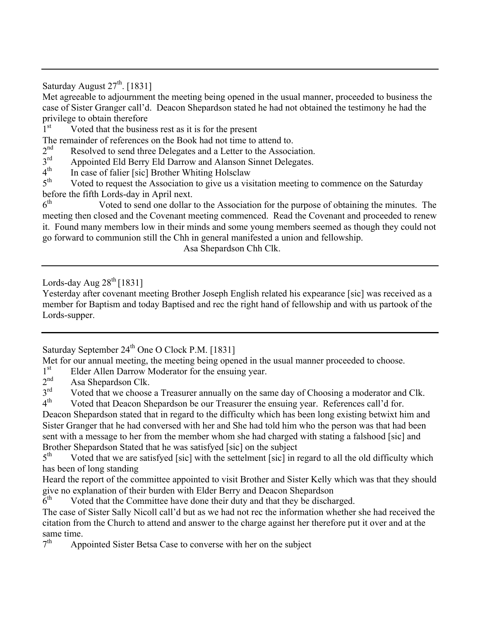Saturday August  $27<sup>th</sup>$ . [1831]

Met agreeable to adjournment the meeting being opened in the usual manner, proceeded to business the case of Sister Granger call'd. Deacon Shepardson stated he had not obtained the testimony he had the privilege to obtain therefore

1<sup>st</sup> Voted that the business rest as it is for the present

The remainder of references on the Book had not time to attend to.

 $2<sup>nd</sup>$  Resolved to send three Delegates and a Letter to the Association.<br> $3<sup>rd</sup>$  Appointed Eld Berry Eld Darrow and Alanson Sinnet Delegates

 $3<sup>rd</sup>$  Appointed Eld Berry Eld Darrow and Alanson Sinnet Delegates.<br> $4<sup>th</sup>$  In case of falier [sic] Brother Whiting Holsclaw

 $4<sup>th</sup>$  In case of falier [sic] Brother Whiting Holsclaw  $5<sup>th</sup>$  Voted to request the Association to give us a vis

Voted to request the Association to give us a visitation meeting to commence on the Saturday before the fifth Lords-day in April next.<br> $6<sup>th</sup>$  Voted to send one dollar

Voted to send one dollar to the Association for the purpose of obtaining the minutes. The meeting then closed and the Covenant meeting commenced. Read the Covenant and proceeded to renew it. Found many members low in their minds and some young members seemed as though they could not go forward to communion still the Chh in general manifested a union and fellowship.

Asa Shepardson Chh Clk.

Lords-day Aug  $28<sup>th</sup>$  [1831]

Yesterday after covenant meeting Brother Joseph English related his expearance [sic] was received as a member for Baptism and today Baptised and rec the right hand of fellowship and with us partook of the Lords-supper.

Saturday September 24<sup>th</sup> One O Clock P.M. [1831]

Met for our annual meeting, the meeting being opened in the usual manner proceeded to choose.<br>1<sup>st</sup> Elder Allen Darrow Moderator for the ensuing year

 $1<sup>st</sup>$  Elder Allen Darrow Moderator for the ensuing year.<br>  $2<sup>nd</sup>$  Asa Shenardson Clk

 $2<sup>nd</sup>$  Asa Shepardson Clk.<br> $3<sup>rd</sup>$  Voted that we choose

 $3<sup>rd</sup>$  Voted that we choose a Treasurer annually on the same day of Choosing a moderator and Clk.<br> $4<sup>th</sup>$  Voted that Deacon Shenardson be our Treasurer the ensuing year. References call'd for

Voted that Deacon Shepardson be our Treasurer the ensuing year. References call'd for. Deacon Shepardson stated that in regard to the difficulty which has been long existing betwixt him and Sister Granger that he had conversed with her and She had told him who the person was that had been sent with a message to her from the member whom she had charged with stating a falshood [sic] and Brother Shepardson Stated that he was satisfyed [sic] on the subject  $5<sup>th</sup>$  Voted that we are satisfyed [sic] with the settelment [sic] in r

Voted that we are satisfyed [sic] with the settelment [sic] in regard to all the old difficulty which has been of long standing

Heard the report of the committee appointed to visit Brother and Sister Kelly which was that they should give no explanation of their burden with Elder Berry and Deacon Shepardson  $6<sup>th</sup>$  Voted that the Committee have done their duty and that they be discha

Voted that the Committee have done their duty and that they be discharged.

The case of Sister Sally Nicoll call'd but as we had not rec the information whether she had received the citation from the Church to attend and answer to the charge against her therefore put it over and at the same time.<br> $7<sup>th</sup>$  Apr

Appointed Sister Betsa Case to converse with her on the subject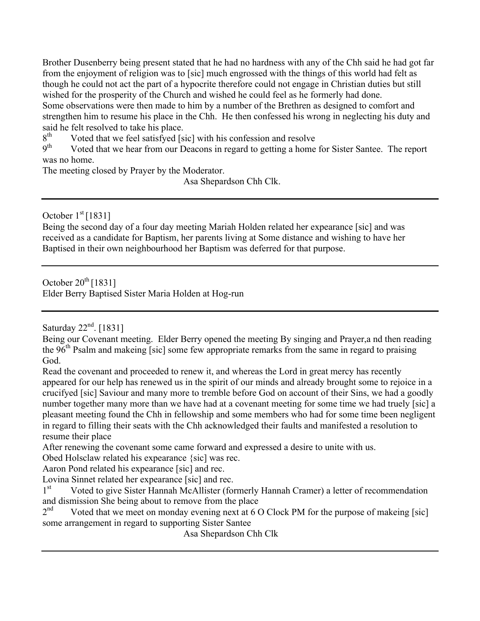Brother Dusenberry being present stated that he had no hardness with any of the Chh said he had got far from the enjoyment of religion was to [sic] much engrossed with the things of this world had felt as though he could not act the part of a hypocrite therefore could not engage in Christian duties but still wished for the prosperity of the Church and wished he could feel as he formerly had done. Some observations were then made to him by a number of the Brethren as designed to comfort and strengthen him to resume his place in the Chh. He then confessed his wrong in neglecting his duty and said he felt resolved to take his place.<br> $8<sup>th</sup>$  Voted that we feel satisfyed [s]

 $8<sup>th</sup>$  Voted that we feel satisfyed [sic] with his confession and resolve  $9<sup>th</sup>$  Voted that we hear from our Deacons in regard to getting a home

Voted that we hear from our Deacons in regard to getting a home for Sister Santee. The report was no home.

The meeting closed by Prayer by the Moderator.

Asa Shepardson Chh Clk.

October  $1<sup>st</sup>$  [1831]

Being the second day of a four day meeting Mariah Holden related her expearance [sic] and was received as a candidate for Baptism, her parents living at Some distance and wishing to have her Baptised in their own neighbourhood her Baptism was deferred for that purpose.

October  $20^{th}$  [1831] Elder Berry Baptised Sister Maria Holden at Hog-run

Saturday  $22<sup>nd</sup>$ . [1831]

Being our Covenant meeting. Elder Berry opened the meeting By singing and Prayer,a nd then reading the 96<sup>th</sup> Psalm and makeing [sic] some few appropriate remarks from the same in regard to praising God.

Read the covenant and proceeded to renew it, and whereas the Lord in great mercy has recently appeared for our help has renewed us in the spirit of our minds and already brought some to rejoice in a crucifyed [sic] Saviour and many more to tremble before God on account of their Sins, we had a goodly number together many more than we have had at a covenant meeting for some time we had truely [sic] a pleasant meeting found the Chh in fellowship and some members who had for some time been negligent in regard to filling their seats with the Chh acknowledged their faults and manifested a resolution to resume their place

After renewing the covenant some came forward and expressed a desire to unite with us.

Obed Holsclaw related his expearance {sic] was rec.

Aaron Pond related his expearance [sic] and rec.

Lovina Sinnet related her expearance [sic] and rec.

1<sup>st</sup> Voted to give Sister Hannah McAllister (formerly Hannah Cramer) a letter of recommendation and dismission She being about to remove from the place

 $2<sup>nd</sup>$  Voted that we meet on monday evening next at 6 O Clock PM for the purpose of makeing [sic] some arrangement in regard to supporting Sister Santee

Asa Shepardson Chh Clk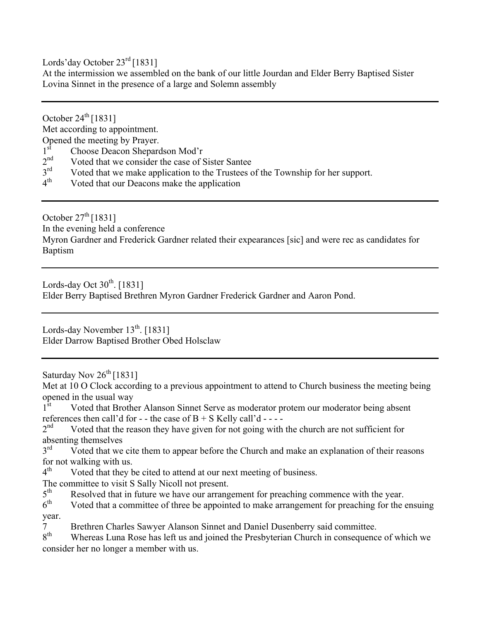Lords'day October 23<sup>rd</sup> [1831]

At the intermission we assembled on the bank of our little Jourdan and Elder Berry Baptised Sister Lovina Sinnet in the presence of a large and Solemn assembly

October  $24^{\text{th}}$  [1831]

Met according to appointment.

Opened the meeting by Prayer.

- $1<sup>st</sup>$  Choose Deacon Shepardson Mod'r<br> $2<sup>nd</sup>$  Voted that we consider the case of S
- $2<sup>nd</sup>$  Voted that we consider the case of Sister Santee<br> $3<sup>rd</sup>$  Voted that we make application to the Trustees of
- $3<sup>rd</sup>$  Voted that we make application to the Trustees of the Township for her support.<br>  $4<sup>th</sup>$  Voted that our Deacons make the application
- Voted that our Deacons make the application

October  $27<sup>th</sup>$  [1831] In the evening held a conference Myron Gardner and Frederick Gardner related their expearances [sic] and were rec as candidates for Baptism

Lords-day Oct  $30^{th}$ . [1831] Elder Berry Baptised Brethren Myron Gardner Frederick Gardner and Aaron Pond.

Lords-day November  $13^{th}$ . [1831] Elder Darrow Baptised Brother Obed Holsclaw

Saturday Nov 26<sup>th</sup> [1831]

Met at 10 O Clock according to a previous appointment to attend to Church business the meeting being opened in the usual way<br>1<sup>st</sup> Voted that Brothe

- Voted that Brother Alanson Sinnet Serve as moderator protem our moderator being absent references then call'd for - - the case of  $B + S$  Kelly call'd - - - -  $2<sup>nd</sup>$  Voted that the reason they have given for not going with
- Voted that the reason they have given for not going with the church are not sufficient for absenting themselves
- $3<sup>rd</sup>$  Voted that we cite them to appear before the Church and make an explanation of their reasons for not walking with us.<br> $4<sup>th</sup>$  Voted that they h
- Voted that they be cited to attend at our next meeting of business.
- The committee to visit S Sally Nicoll not present.<br> $5<sup>th</sup>$  Resolved that in future we have our arrang
- $5<sup>th</sup>$  Resolved that in future we have our arrangement for preaching commence with the year.<br> $6<sup>th</sup>$  Voted that a committee of three be appointed to make arrangement for preaching for the
- Voted that a committee of three be appointed to make arrangement for preaching for the ensuing year.
- 7 Brethren Charles Sawyer Alanson Sinnet and Daniel Dusenberry said committee.<br>8<sup>th</sup> Whereas Luna Rose has left us and joined the Presbyterian Church in consequence
- Whereas Luna Rose has left us and joined the Presbyterian Church in consequence of which we consider her no longer a member with us.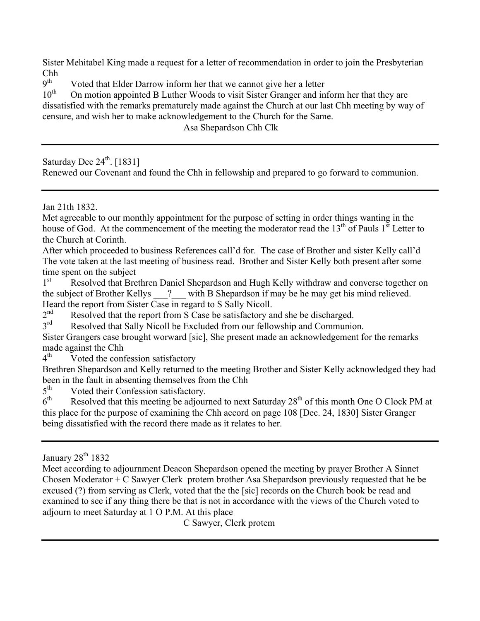Sister Mehitabel King made a request for a letter of recommendation in order to join the Presbyterian  $\frac{\text{Chh}}{\text{q}^{\text{th}}}$ 

 $9<sup>th</sup>$  Voted that Elder Darrow inform her that we cannot give her a letter  $10<sup>th</sup>$  On motion appointed B Luther Woods to visit Sister Granger and in

On motion appointed B Luther Woods to visit Sister Granger and inform her that they are dissatisfied with the remarks prematurely made against the Church at our last Chh meeting by way of censure, and wish her to make acknowledgement to the Church for the Same.

Asa Shepardson Chh Clk

Saturday Dec  $24<sup>th</sup>$ . [1831]

Renewed our Covenant and found the Chh in fellowship and prepared to go forward to communion.

Jan 21th 1832.

Met agreeable to our monthly appointment for the purpose of setting in order things wanting in the house of God. At the commencement of the meeting the moderator read the  $13<sup>th</sup>$  of Pauls  $1<sup>st</sup>$  Letter to the Church at Corinth.

After which proceeded to business References call'd for. The case of Brother and sister Kelly call'd The vote taken at the last meeting of business read. Brother and Sister Kelly both present after some time spent on the subject

1<sup>st</sup> Resolved that Brethren Daniel Shepardson and Hugh Kelly withdraw and converse together on the subject of Brother Kellys ? with B Shepardson if may be he may get his mind relieved. Heard the report from Sister Case in regard to S Sally Nicoll.<br> $2<sup>nd</sup>$  Resolved that the report from S Case be satisfactory at

 $2<sup>nd</sup>$  Resolved that the report from S Case be satisfactory and she be discharged.<br> $3<sup>rd</sup>$  Resolved that Sally Nicoll be Excluded from our fellowship and Communic

Resolved that Sally Nicoll be Excluded from our fellowship and Communion.

Sister Grangers case brought worward [sic], She present made an acknowledgement for the remarks made against the Chh

 $4<sup>th</sup>$  Voted the confession satisfactory

Brethren Shepardson and Kelly returned to the meeting Brother and Sister Kelly acknowledged they had been in the fault in absenting themselves from the Chh

 $5<sup>th</sup>$  Voted their Confession satisfactory.<br> $6<sup>th</sup>$  Resolved that this meeting be adjoint

Resolved that this meeting be adjourned to next Saturday 28<sup>th</sup> of this month One O Clock PM at this place for the purpose of examining the Chh accord on page 108 [Dec. 24, 1830] Sister Granger being dissatisfied with the record there made as it relates to her.

Meet according to adjournment Deacon Shepardson opened the meeting by prayer Brother A Sinnet Chosen Moderator  $+ C$  Sawyer Clerk protem brother Asa Shepardson previously requested that he be excused (?) from serving as Clerk, voted that the the [sic] records on the Church book be read and examined to see if any thing there be that is not in accordance with the views of the Church voted to adjourn to meet Saturday at 1 O P.M. At this place

C Sawyer, Clerk protem

January 28<sup>th</sup> 1832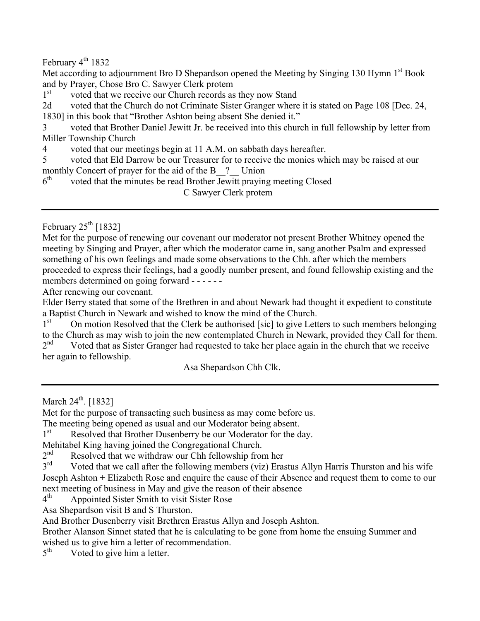February  $4^{th}$  1832

Met according to adjournment Bro D Shepardson opened the Meeting by Singing 130 Hymn 1st Book and by Prayer, Chose Bro C. Sawyer Clerk protem

1<sup>st</sup> voted that we receive our Church records as they now Stand

2d voted that the Church do not Criminate Sister Granger where it is stated on Page 108 [Dec. 24, 1830] in this book that "Brother Ashton being absent She denied it."

3 voted that Brother Daniel Jewitt Jr. be received into this church in full fellowship by letter from Miller Township Church

4 voted that our meetings begin at 11 A.M. on sabbath days hereafter.

5 voted that Eld Darrow be our Treasurer for to receive the monies which may be raised at our monthly Concert of prayer for the aid of the  $B_{2}$ ? Union  $6<sup>th</sup>$  voted that the minutes be read Brother Jewitt praying

voted that the minutes be read Brother Jewitt praying meeting Closed –

C Sawyer Clerk protem

February  $25^{\text{th}}$  [1832]

Met for the purpose of renewing our covenant our moderator not present Brother Whitney opened the meeting by Singing and Prayer, after which the moderator came in, sang another Psalm and expressed something of his own feelings and made some observations to the Chh. after which the members proceeded to express their feelings, had a goodly number present, and found fellowship existing and the members determined on going forward - - - - - -

After renewing our covenant.

Elder Berry stated that some of the Brethren in and about Newark had thought it expedient to constitute a Baptist Church in Newark and wished to know the mind of the Church.<br>1<sup>st</sup> On motion Resolved that the Clerk be authorised [sic] to give Lett

On motion Resolved that the Clerk be authorised [sic] to give Letters to such members belonging to the Church as may wish to join the new contemplated Church in Newark, provided they Call for them.  $2<sup>nd</sup>$  Voted that as Sister Granger had requested to take her place again in the church that we receive her again to fellowship.

Asa Shepardson Chh Clk.

March  $24^{th}$ . [1832]

Met for the purpose of transacting such business as may come before us.

The meeting being opened as usual and our Moderator being absent.

1<sup>st</sup> Resolved that Brother Dusenberry be our Moderator for the day.

Mehitabel King having joined the Congregational Church.<br>2<sup>nd</sup> Resolved that we withdraw our Chh fellowshin from

 $2<sup>nd</sup>$  Resolved that we withdraw our Chh fellowship from her  $3<sup>rd</sup>$  Voted that we call after the following members (viz) Eras

Voted that we call after the following members (viz) Erastus Allyn Harris Thurston and his wife Joseph Ashton + Elizabeth Rose and enquire the cause of their Absence and request them to come to our next meeting of business in May and give the reason of their absence

4th Appointed Sister Smith to visit Sister Rose

Asa Shepardson visit B and S Thurston.

And Brother Dusenberry visit Brethren Erastus Allyn and Joseph Ashton.

Brother Alanson Sinnet stated that he is calculating to be gone from home the ensuing Summer and wished us to give him a letter of recommendation.<br> $5<sup>th</sup>$  Voted to give him a letter

Voted to give him a letter.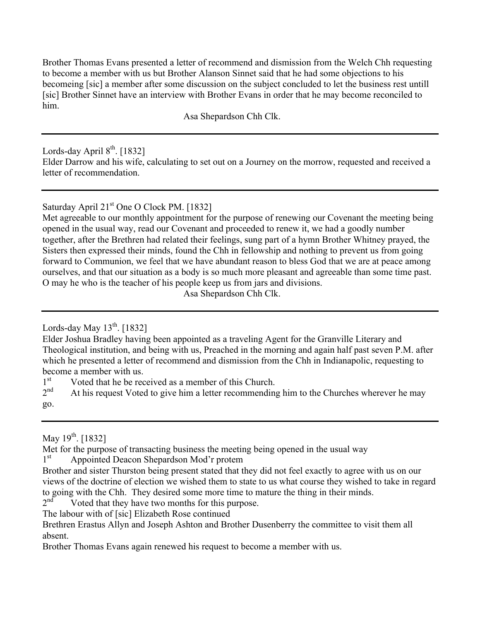Brother Thomas Evans presented a letter of recommend and dismission from the Welch Chh requesting to become a member with us but Brother Alanson Sinnet said that he had some objections to his becomeing [sic] a member after some discussion on the subject concluded to let the business rest untill [sic] Brother Sinnet have an interview with Brother Evans in order that he may become reconciled to him.

Asa Shepardson Chh Clk.

Lords-day April  $8^{th}$ . [1832] Elder Darrow and his wife, calculating to set out on a Journey on the morrow, requested and received a letter of recommendation.

Saturday April 21<sup>st</sup> One O Clock PM. [1832]

Met agreeable to our monthly appointment for the purpose of renewing our Covenant the meeting being opened in the usual way, read our Covenant and proceeded to renew it, we had a goodly number together, after the Brethren had related their feelings, sung part of a hymn Brother Whitney prayed, the Sisters then expressed their minds, found the Chh in fellowship and nothing to prevent us from going forward to Communion, we feel that we have abundant reason to bless God that we are at peace among ourselves, and that our situation as a body is so much more pleasant and agreeable than some time past. O may he who is the teacher of his people keep us from jars and divisions.

Asa Shepardson Chh Clk.

Lords-day May  $13^{th}$ . [1832]

Elder Joshua Bradley having been appointed as a traveling Agent for the Granville Literary and Theological institution, and being with us, Preached in the morning and again half past seven P.M. after which he presented a letter of recommend and dismission from the Chh in Indianapolic, requesting to become a member with us.

 $1<sup>st</sup>$  Voted that he be received as a member of this Church.<br> $2<sup>nd</sup>$  At his request Voted to give him a letter recommending

At his request Voted to give him a letter recommending him to the Churches wherever he may go.

May  $19^{th}$ . [1832]

Met for the purpose of transacting business the meeting being opened in the usual way

1<sup>st</sup> Appointed Deacon Shepardson Mod'r protem

Brother and sister Thurston being present stated that they did not feel exactly to agree with us on our views of the doctrine of election we wished them to state to us what course they wished to take in regard to going with the Chh. They desired some more time to mature the thing in their minds.<br> $2<sup>nd</sup>$  Voted that they have two months for this nurnose.

Voted that they have two months for this purpose.

The labour with of [sic] Elizabeth Rose continued

Brethren Erastus Allyn and Joseph Ashton and Brother Dusenberry the committee to visit them all absent.

Brother Thomas Evans again renewed his request to become a member with us.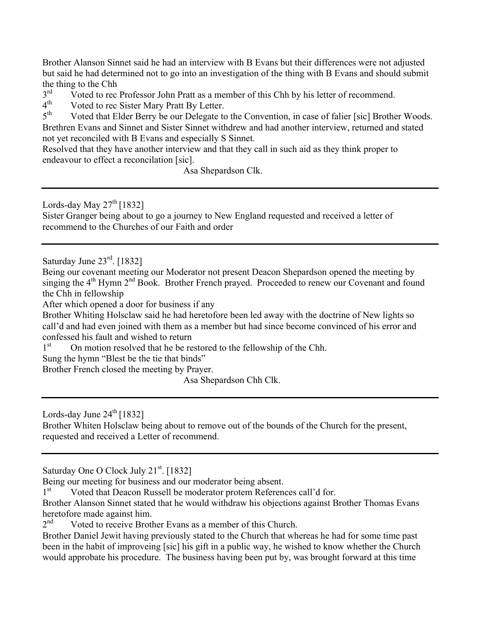Brother Alanson Sinnet said he had an interview with B Evans but their differences were not adjusted but said he had determined not to go into an investigation of the thing with B Evans and should submit the thing to the Chh  $3<sup>rd</sup>$  Voted to rec

 $3<sup>rd</sup>$  Voted to rec Professor John Pratt as a member of this Chh by his letter of recommend.<br> $4<sup>th</sup>$  Voted to rec Sister Mary Pratt By Letter

 $4<sup>th</sup>$  Voted to rec Sister Mary Pratt By Letter.<br> $5<sup>th</sup>$  Voted that Elder Berry be our Delegate to

Voted that Elder Berry be our Delegate to the Convention, in case of falier [sic] Brother Woods. Brethren Evans and Sinnet and Sister Sinnet withdrew and had another interview, returned and stated not yet reconciled with B Evans and especially S Sinnet.

Resolved that they have another interview and that they call in such aid as they think proper to endeavour to effect a reconcilation [sic].

Asa Shepardson Clk.

Lords-day May  $27<sup>th</sup>$  [1832] Sister Granger being about to go a journey to New England requested and received a letter of recommend to the Churches of our Faith and order

Saturday June 23<sup>rd</sup>. [1832]

Being our covenant meeting our Moderator not present Deacon Shepardson opened the meeting by singing the 4<sup>th</sup> Hymn 2<sup>nd</sup> Book. Brother French prayed. Proceeded to renew our Covenant and found the Chh in fellowship

After which opened a door for business if any

Brother Whiting Holsclaw said he had heretofore been led away with the doctrine of New lights so call'd and had even joined with them as a member but had since become convinced of his error and confessed his fault and wished to return

1<sup>st</sup> On motion resolved that he be restored to the fellowship of the Chh.

Sung the hymn "Blest be the tie that binds"

Brother French closed the meeting by Prayer.

Asa Shepardson Chh Clk.

Lords-day June  $24^{\text{th}}$  [1832]

Brother Whiten Holsclaw being about to remove out of the bounds of the Church for the present, requested and received a Letter of recommend.

Saturday One O Clock July 21<sup>st</sup>. [1832]

Being our meeting for business and our moderator being absent.

1<sup>st</sup> Voted that Deacon Russell be moderator protem References call'd for.

Brother Alanson Sinnet stated that he would withdraw his objections against Brother Thomas Evans heretofore made against him.<br>2<sup>nd</sup> Voted to receive Broth

Voted to receive Brother Evans as a member of this Church.

Brother Daniel Jewit having previously stated to the Church that whereas he had for some time past been in the habit of improveing [sic] his gift in a public way, he wished to know whether the Church would approbate his procedure. The business having been put by, was brought forward at this time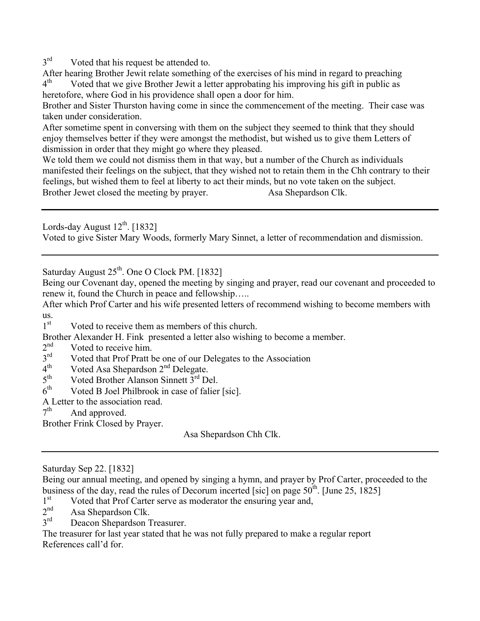$3<sup>rd</sup>$  Voted that his request be attended to.

After hearing Brother Jewit relate something of the exercises of his mind in regard to preaching  $4<sup>th</sup>$  Voted that we give Brother Jewit a letter approbating his improving his gift in public as Voted that we give Brother Jewit a letter approbating his improving his gift in public as heretofore, where God in his providence shall open a door for him.

Brother and Sister Thurston having come in since the commencement of the meeting. Their case was taken under consideration.

After sometime spent in conversing with them on the subject they seemed to think that they should enjoy themselves better if they were amongst the methodist, but wished us to give them Letters of dismission in order that they might go where they pleased.

We told them we could not dismiss them in that way, but a number of the Church as individuals manifested their feelings on the subject, that they wished not to retain them in the Chh contrary to their feelings, but wished them to feel at liberty to act their minds, but no vote taken on the subject. Brother Jewet closed the meeting by prayer. Asa Shepardson Clk.

Lords-day August  $12^{th}$ . [1832]

Voted to give Sister Mary Woods, formerly Mary Sinnet, a letter of recommendation and dismission.

Saturday August  $25<sup>th</sup>$ . One O Clock PM. [1832]

Being our Covenant day, opened the meeting by singing and prayer, read our covenant and proceeded to renew it, found the Church in peace and fellowship…..

After which Prof Carter and his wife presented letters of recommend wishing to become members with us.<br> $1<sup>st</sup>$ 

Voted to receive them as members of this church.

Brother Alexander H. Fink presented a letter also wishing to become a member.<br> $2<sup>nd</sup>$  Voted to receive him

- $2<sup>nd</sup>$  Voted to receive him.<br> $3<sup>rd</sup>$  Voted that Prof Pratt b
- $3<sup>rd</sup>$  Voted that Prof Pratt be one of our Delegates to the Association  $4<sup>th</sup>$  Voted Asa Shenardson  $2<sup>nd</sup>$  Delegate
- $4<sup>th</sup>$  Voted Asa Shepardson  $2<sup>nd</sup>$  Delegate.<br>  $5<sup>th</sup>$  Voted Brother Alanson Sinnett  $3<sup>rd</sup>$  De
- $5<sup>th</sup>$  Voted Brother Alanson Sinnett  $3<sup>rd</sup>$  Del.<br>6<sup>th</sup> Voted B Joel Philbrook in case of falier
- Voted B Joel Philbrook in case of falier [sic].

A Letter to the association read.

 $7<sup>th</sup>$  And approved.

Brother Frink Closed by Prayer.

Asa Shepardson Chh Clk.

- 1st Voted that Prof Carter serve as moderator the ensuring year and,<br> $2<sup>nd</sup>$  Asa Shenardson Clk
- $2<sup>nd</sup>$  Asa Shepardson Clk.<br> $3<sup>rd</sup>$  Deacon Shepardson T
- Deacon Shepardson Treasurer.

The treasurer for last year stated that he was not fully prepared to make a regular report References call'd for.

Saturday Sep 22. [1832]

Being our annual meeting, and opened by singing a hymn, and prayer by Prof Carter, proceeded to the business of the day, read the rules of Decorum incerted [sic] on page  $50^{th}$ . [June 25, 1825]  $1^{st}$  Voted that Prof Carter serve as moderator the ensuring year and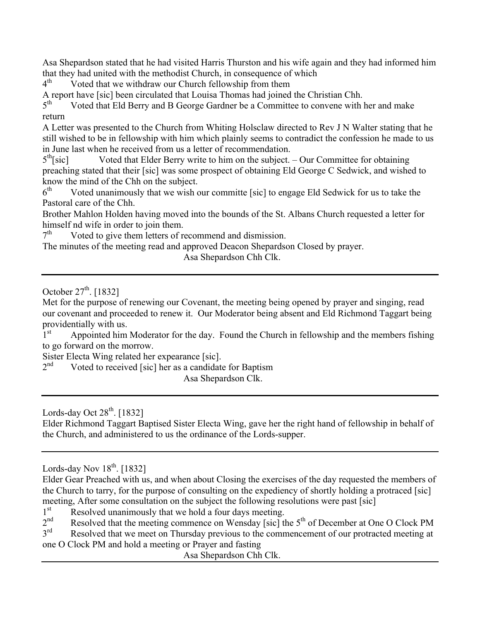Asa Shepardson stated that he had visited Harris Thurston and his wife again and they had informed him that they had united with the methodist Church, in consequence of which  $4<sup>th</sup>$  Voted that we withdraw our Church fellowship from them

Voted that we withdraw our Church fellowship from them

A report have [sic] been circulated that Louisa Thomas had joined the Christian Chh.<br> $5<sup>th</sup>$  Voted that Eld Berry and B George Gardner be a Committee to convene with

Voted that Eld Berry and B George Gardner be a Committee to convene with her and make return

A Letter was presented to the Church from Whiting Holsclaw directed to Rev J N Walter stating that he still wished to be in fellowship with him which plainly seems to contradict the confession he made to us in June last when he received from us a letter of recommendation.

 $5<sup>th</sup>[sic]$  Voted that Elder Berry write to him on the subject. – Our Committee for obtaining preaching stated that their [sic] was some prospect of obtaining Eld George C Sedwick, and wished to know the mind of the Chh on the subject.

 $6<sup>th</sup>$  Voted unanimously that we wish our committe [sic] to engage Eld Sedwick for us to take the Pastoral care of the Chh.

Brother Mahlon Holden having moved into the bounds of the St. Albans Church requested a letter for himself nd wife in order to join them.<br> $7<sup>th</sup>$  Voted to give them letters of re

Voted to give them letters of recommend and dismission.

The minutes of the meeting read and approved Deacon Shepardson Closed by prayer.

Asa Shepardson Chh Clk.

October  $27^{th}$ . [1832]

Met for the purpose of renewing our Covenant, the meeting being opened by prayer and singing, read our covenant and proceeded to renew it. Our Moderator being absent and Eld Richmond Taggart being providentially with us.

1<sup>st</sup> Appointed him Moderator for the day. Found the Church in fellowship and the members fishing to go forward on the morrow.

Sister Electa Wing related her expearance [sic].

 $2<sup>nd</sup>$  Voted to received [sic] her as a candidate for Baptism

Asa Shepardson Clk.

Lords-day Oct  $28<sup>th</sup>$ . [1832]

Elder Richmond Taggart Baptised Sister Electa Wing, gave her the right hand of fellowship in behalf of the Church, and administered to us the ordinance of the Lords-supper.

 $1<sup>st</sup>$  Resolved unanimously that we hold a four days meeting.<br> $2<sup>nd</sup>$  Resolved that the meeting commence on Wensday [sic] the

2<sup>nd</sup> Resolved that the meeting commence on Wensday [sic] the 5<sup>th</sup> of December at One O Clock PM<br>  $3^{rd}$  Resolved that we meet on Thursday previous to the commencement of our protracted meeting at

Resolved that we meet on Thursday previous to the commencement of our protracted meeting at one O Clock PM and hold a meeting or Prayer and fasting

Asa Shepardson Chh Clk.

Lords-day Nov  $18^{th}$ . [1832]

Elder Gear Preached with us, and when about Closing the exercises of the day requested the members of the Church to tarry, for the purpose of consulting on the expediency of shortly holding a protraced [sic] meeting, After some consultation on the subject the following resolutions were past [sic]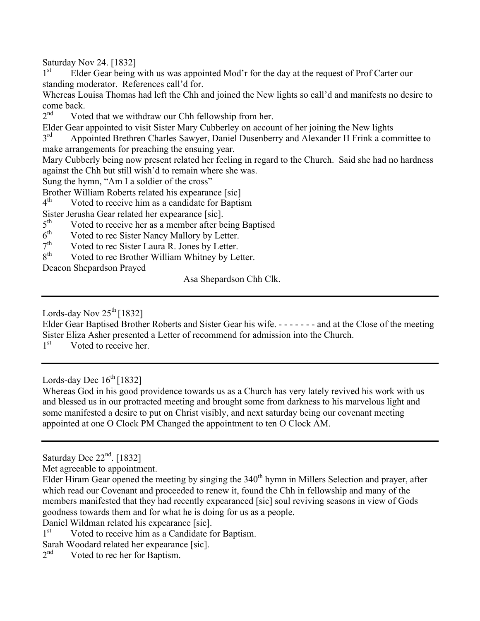Saturday Nov 24. [1832]

1<sup>st</sup> Elder Gear being with us was appointed Mod'r for the day at the request of Prof Carter our standing moderator. References call'd for.

Whereas Louisa Thomas had left the Chh and joined the New lights so call'd and manifests no desire to come back.<br> $2<sup>nd</sup>$  Vote

Voted that we withdraw our Chh fellowship from her.

Elder Gear appointed to visit Sister Mary Cubberley on account of her joining the New lights<br>3<sup>rd</sup> Appointed Brethren Charles Sawyer, Daniel Dusenberry and Alexander H Frink a con

Appointed Brethren Charles Sawyer, Daniel Dusenberry and Alexander H Frink a committee to make arrangements for preaching the ensuing year.

Mary Cubberly being now present related her feeling in regard to the Church. Said she had no hardness against the Chh but still wish'd to remain where she was.

Sung the hymn, "Am I a soldier of the cross"

Brother William Roberts related his expearance [sic]<br>4<sup>th</sup> Voted to receive him as a candidate for Bantis

Voted to receive him as a candidate for Baptism

Sister Jerusha Gear related her expearance [sic].<br> $5<sup>th</sup>$  Voted to receive her as a member after he

 $5<sup>th</sup>$  Voted to receive her as a member after being Baptised<br> $6<sup>th</sup>$  Voted to rec Sister Nancy Mallory by Letter

 $6<sup>th</sup>$  Voted to rec Sister Nancy Mallory by Letter.<br> $7<sup>th</sup>$  Voted to rec Sister Laura R. Jones by Letter.

 $7<sup>th</sup>$  Voted to rec Sister Laura R. Jones by Letter.<br> $8<sup>th</sup>$  Voted to rec Brother William Whitney by Le

Voted to rec Brother William Whitney by Letter.

Deacon Shepardson Prayed

Asa Shepardson Chh Clk.

Lords-day Nov  $25^{th}$  [1832]

Elder Gear Baptised Brother Roberts and Sister Gear his wife. - - - - - - - and at the Close of the meeting Sister Eliza Asher presented a Letter of recommend for admission into the Church.

1<sup>st</sup> Voted to receive her.

Lords-day Dec  $16^{th}$  [1832]

Whereas God in his good providence towards us as a Church has very lately revived his work with us and blessed us in our protracted meeting and brought some from darkness to his marvelous light and some manifested a desire to put on Christ visibly, and next saturday being our covenant meeting appointed at one O Clock PM Changed the appointment to ten O Clock AM.

Saturday Dec  $22<sup>nd</sup>$ . [1832]

Met agreeable to appointment.

Elder Hiram Gear opened the meeting by singing the 340<sup>th</sup> hymn in Millers Selection and prayer, after which read our Covenant and proceeded to renew it, found the Chh in fellowship and many of the members manifested that they had recently expearanced [sic] soul reviving seasons in view of Gods goodness towards them and for what he is doing for us as a people.

Daniel Wildman related his expearance [sic].

1<sup>st</sup> Voted to receive him as a Candidate for Baptism.

Sarah Woodard related her expearance [sic].<br> $2<sup>nd</sup>$  Voted to rec her for Bantism

Voted to rec her for Baptism.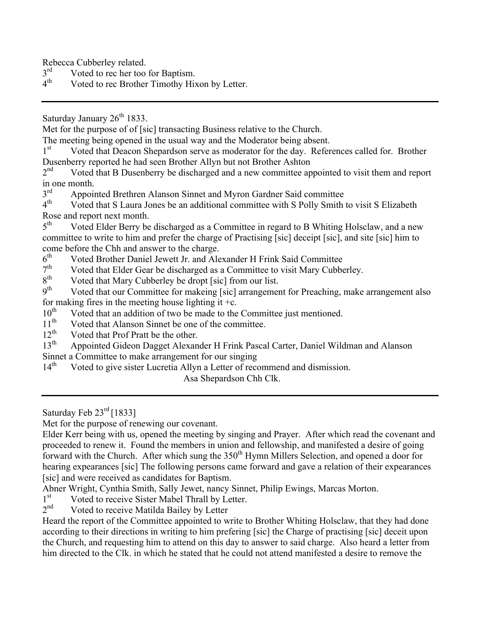Rebecca Cubberley related.<br> $3<sup>rd</sup>$  Voted to rec her too

 $3<sup>rd</sup>$  Voted to rec her too for Baptism.<br>  $4<sup>th</sup>$  Voted to rec Brother Timothy His

Voted to rec Brother Timothy Hixon by Letter.

Saturday January  $26<sup>th</sup> 1833$ .

Met for the purpose of of [sic] transacting Business relative to the Church.

The meeting being opened in the usual way and the Moderator being absent.

1<sup>st</sup> Voted that Deacon Shepardson serve as moderator for the day. References called for. Brother Dusenberry reported he had seen Brother Allyn but not Brother Ashton<br>2<sup>nd</sup> Voted that B Dusenberry be discharged and a new committee an

Voted that B Dusenberry be discharged and a new committee appointed to visit them and report in one month.<br> $3<sup>rd</sup>$  Announ

 $3<sup>rd</sup>$  Appointed Brethren Alanson Sinnet and Myron Gardner Said committee  $4<sup>th</sup>$  Voted that S Laura Jones be an additional committee with S Polly Smith

Voted that S Laura Jones be an additional committee with S Polly Smith to visit S Elizabeth Rose and report next month.<br> $5<sup>th</sup>$  Voted Elder Berry be

Voted Elder Berry be discharged as a Committee in regard to B Whiting Holsclaw, and a new committee to write to him and prefer the charge of Practising [sic] deceipt [sic], and site [sic] him to come before the Chh and answer to the charge.

 $6<sup>th</sup>$  Voted Brother Daniel Jewett Jr. and Alexander H Frink Said Committee  $7<sup>th</sup>$  Voted that Elder Gear be discharged as a Committee to visit Mary Cubbe

 $7<sup>th</sup>$  Voted that Elder Gear be discharged as a Committee to visit Mary Cubberley.<br> $8<sup>th</sup>$  Voted that Mary Cubberley be dropt [sic] from our list.

 $8<sup>th</sup>$  Voted that Mary Cubberley be dropt [sic] from our list.<br> $9<sup>th</sup>$  Voted that our Committee for makeing [sic] arrangement

Voted that our Committee for makeing [sic] arrangement for Preaching, make arrangement also for making fires in the meeting house lighting it +c.<br> $10^{th}$  Voted that an addition of two be made to the

 $10<sup>th</sup>$  Voted that an addition of two be made to the Committee just mentioned.<br> $11<sup>th</sup>$  Voted that Alanson Sinnet be one of the committee.

 $11<sup>th</sup>$  Voted that Alanson Sinnet be one of the committee.<br> $12<sup>th</sup>$  Voted that Prof Pratt be the other

Voted that Prof Pratt be the other.

13<sup>th</sup> Appointed Gideon Dagget Alexander H Frink Pascal Carter, Daniel Wildman and Alanson

Sinnet a Committee to make arrangement for our singing  $14<sup>th</sup>$  Voted to give sister Lucretia Allyn a Letter of reco

Voted to give sister Lucretia Allyn a Letter of recommend and dismission.

Asa Shepardson Chh Clk.

Saturday Feb  $23^{\text{rd}}$  [1833]

Met for the purpose of renewing our covenant.

Elder Kerr being with us, opened the meeting by singing and Prayer. After which read the covenant and proceeded to renew it. Found the members in union and fellowship, and manifested a desire of going forward with the Church. After which sung the 350<sup>th</sup> Hymn Millers Selection, and opened a door for hearing expearances [sic] The following persons came forward and gave a relation of their expearances [sic] and were received as candidates for Baptism.

Abner Wright, Cynthia Smith, Sally Jewet, nancy Sinnet, Philip Ewings, Marcas Morton.

 $1<sup>st</sup>$  Voted to receive Sister Mabel Thrall by Letter.<br>  $2<sup>nd</sup>$  Voted to receive Matilda Bailey by Letter.

Voted to receive Matilda Bailey by Letter

Heard the report of the Committee appointed to write to Brother Whiting Holsclaw, that they had done according to their directions in writing to him prefering [sic] the Charge of practising [sic] deceit upon the Church, and requesting him to attend on this day to answer to said charge. Also heard a letter from him directed to the Clk. in which he stated that he could not attend manifested a desire to remove the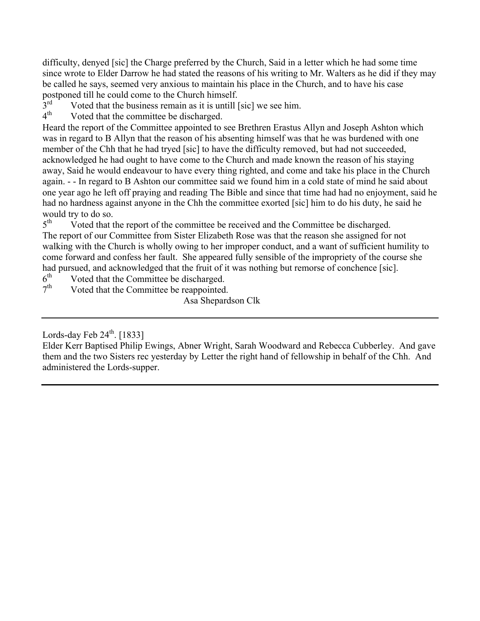difficulty, denyed [sic] the Charge preferred by the Church, Said in a letter which he had some time since wrote to Elder Darrow he had stated the reasons of his writing to Mr. Walters as he did if they may be called he says, seemed very anxious to maintain his place in the Church, and to have his case postponed till he could come to the Church himself.<br>3<sup>rd</sup> Voted that the business remain as it is untill l

 $3<sup>rd</sup>$  Voted that the business remain as it is untill [sic] we see him.<br> $4<sup>th</sup>$  Voted that the committee be discharged

Voted that the committee be discharged.

Heard the report of the Committee appointed to see Brethren Erastus Allyn and Joseph Ashton which was in regard to B Allyn that the reason of his absenting himself was that he was burdened with one member of the Chh that he had tryed [sic] to have the difficulty removed, but had not succeeded, acknowledged he had ought to have come to the Church and made known the reason of his staying away, Said he would endeavour to have every thing righted, and come and take his place in the Church again. - - In regard to B Ashton our committee said we found him in a cold state of mind he said about one year ago he left off praying and reading The Bible and since that time had had no enjoyment, said he had no hardness against anyone in the Chh the committee exorted [sic] him to do his duty, he said he would try to do so.<br>5<sup>th</sup> Voted that t

Voted that the report of the committee be received and the Committee be discharged. The report of our Committee from Sister Elizabeth Rose was that the reason she assigned for not walking with the Church is wholly owing to her improper conduct, and a want of sufficient humility to come forward and confess her fault. She appeared fully sensible of the impropriety of the course she had pursued, and acknowledged that the fruit of it was nothing but remorse of conchence [sic].

 $6<sup>th</sup>$  Voted that the Committee be discharged.<br>  $7<sup>th</sup>$  Voted that the Committee be reannointed

Voted that the Committee be reappointed.

Asa Shepardson Clk

Lords-day Feb  $24^{\text{th}}$ . [1833]

Elder Kerr Baptised Philip Ewings, Abner Wright, Sarah Woodward and Rebecca Cubberley. And gave them and the two Sisters rec yesterday by Letter the right hand of fellowship in behalf of the Chh. And administered the Lords-supper.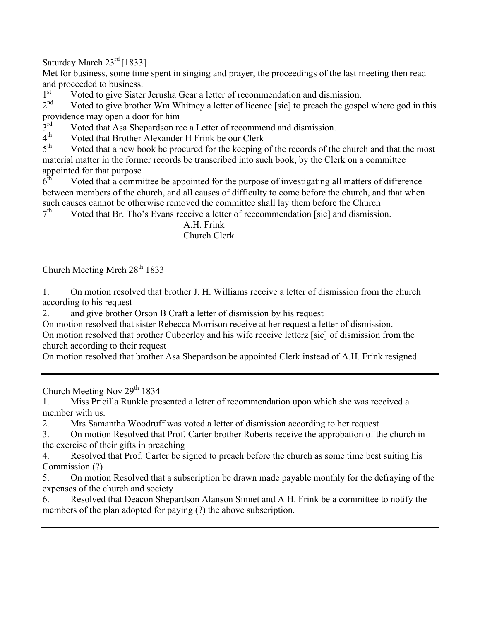Saturday March 23<sup>rd</sup> [1833]

Met for business, some time spent in singing and prayer, the proceedings of the last meeting then read and proceeded to business.

1st Voted to give Sister Jerusha Gear a letter of recommendation and dismission.<br> $2<sup>nd</sup>$  Voted to give brother Wm Whitney a letter of licence [sic] to preach the gospi

Voted to give brother Wm Whitney a letter of licence [sic] to preach the gospel where god in this providence may open a door for him<br>3<sup>rd</sup> Voted that Asa Shenardson re

 $3<sup>rd</sup>$  Voted that Asa Shepardson rec a Letter of recommend and dismission.<br>
4<sup>th</sup> Voted that Brother Alexander H Frink be our Clerk

 $4<sup>th</sup>$  Voted that Brother Alexander H Frink be our Clerk<br> $5<sup>th</sup>$  Voted that a new book be procured for the keeping

Voted that a new book be procured for the keeping of the records of the church and that the most material matter in the former records be transcribed into such book, by the Clerk on a committee appointed for that purpose<br> $6<sup>th</sup>$  Voted that a commi

Voted that a committee be appointed for the purpose of investigating all matters of difference between members of the church, and all causes of difficulty to come before the church, and that when such causes cannot be otherwise removed the committee shall lay them before the Church

 $7<sup>th</sup>$  Voted that Br. Tho's Evans receive a letter of reccommendation [sic] and dismission.

#### A.H. Frink Church Clerk

Church Meeting Mrch  $28<sup>th</sup> 1833$ 

1. On motion resolved that brother J. H. Williams receive a letter of dismission from the church according to his request

2. and give brother Orson B Craft a letter of dismission by his request

On motion resolved that sister Rebecca Morrison receive at her request a letter of dismission.

On motion resolved that brother Cubberley and his wife receive letterz [sic] of dismission from the church according to their request

On motion resolved that brother Asa Shepardson be appointed Clerk instead of A.H. Frink resigned.

Church Meeting Nov  $29<sup>th</sup> 1834$ 

1. Miss Pricilla Runkle presented a letter of recommendation upon which she was received a member with us.

2. Mrs Samantha Woodruff was voted a letter of dismission according to her request

3. On motion Resolved that Prof. Carter brother Roberts receive the approbation of the church in the exercise of their gifts in preaching

4. Resolved that Prof. Carter be signed to preach before the church as some time best suiting his Commission (?)

5. On motion Resolved that a subscription be drawn made payable monthly for the defraying of the expenses of the church and society

6. Resolved that Deacon Shepardson Alanson Sinnet and A H. Frink be a committee to notify the members of the plan adopted for paying (?) the above subscription.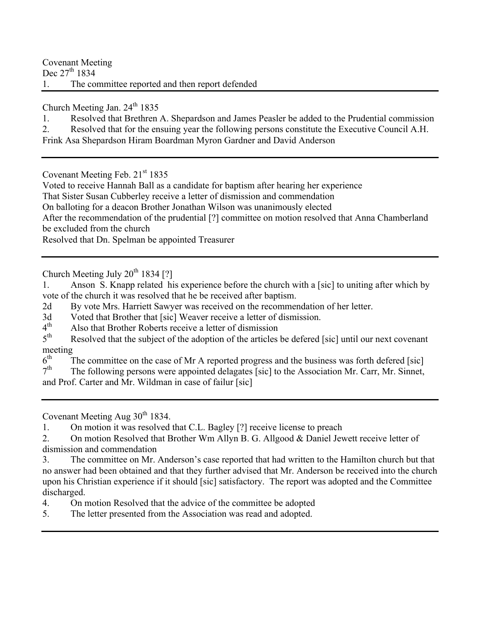Covenant Meeting Dec 27<sup>th</sup> 1834 1. The committee reported and then report defended

Church Meeting Jan.  $24<sup>th</sup> 1835$ 

1. Resolved that Brethren A. Shepardson and James Peasler be added to the Prudential commission

2. Resolved that for the ensuing year the following persons constitute the Executive Council A.H.

Frink Asa Shepardson Hiram Boardman Myron Gardner and David Anderson

Covenant Meeting Feb. 21<sup>st</sup> 1835

Voted to receive Hannah Ball as a candidate for baptism after hearing her experience

That Sister Susan Cubberley receive a letter of dismission and commendation

On balloting for a deacon Brother Jonathan Wilson was unanimously elected

After the recommendation of the prudential [?] committee on motion resolved that Anna Chamberland be excluded from the church

Resolved that Dn. Spelman be appointed Treasurer

Church Meeting July  $20^{th}$  1834 [?]

1. Anson S. Knapp related his experience before the church with a [sic] to uniting after which by vote of the church it was resolved that he be received after baptism.

2d By vote Mrs. Harriett Sawyer was received on the recommendation of her letter.

3d Voted that Brother that [sic] Weaver receive a letter of dismission.<br> $4<sup>th</sup>$  Also that Brother Roberts receive a letter of dismission

 $4<sup>th</sup>$  Also that Brother Roberts receive a letter of dismission  $5<sup>th</sup>$  Resolved that the subject of the adoption of the articles

Resolved that the subject of the adoption of the articles be defered [sic] until our next covenant meeting  $6^{\text{th}}$ 

 $6<sup>th</sup>$  The committee on the case of Mr A reported progress and the business was forth defered [sic]<br> $7<sup>th</sup>$  The following persons were appointed delagates [sic] to the Association Mr. Carr. Mr. Sinnet

The following persons were appointed delagates [sic] to the Association Mr. Carr, Mr. Sinnet, and Prof. Carter and Mr. Wildman in case of failur [sic]

Covenant Meeting Aug  $30<sup>th</sup> 1834$ .

1. On motion it was resolved that C.L. Bagley [?] receive license to preach

2. On motion Resolved that Brother Wm Allyn B. G. Allgood & Daniel Jewett receive letter of dismission and commendation

3. The committee on Mr. Anderson's case reported that had written to the Hamilton church but that no answer had been obtained and that they further advised that Mr. Anderson be received into the church upon his Christian experience if it should [sic] satisfactory. The report was adopted and the Committee discharged.

4. On motion Resolved that the advice of the committee be adopted

5. The letter presented from the Association was read and adopted.